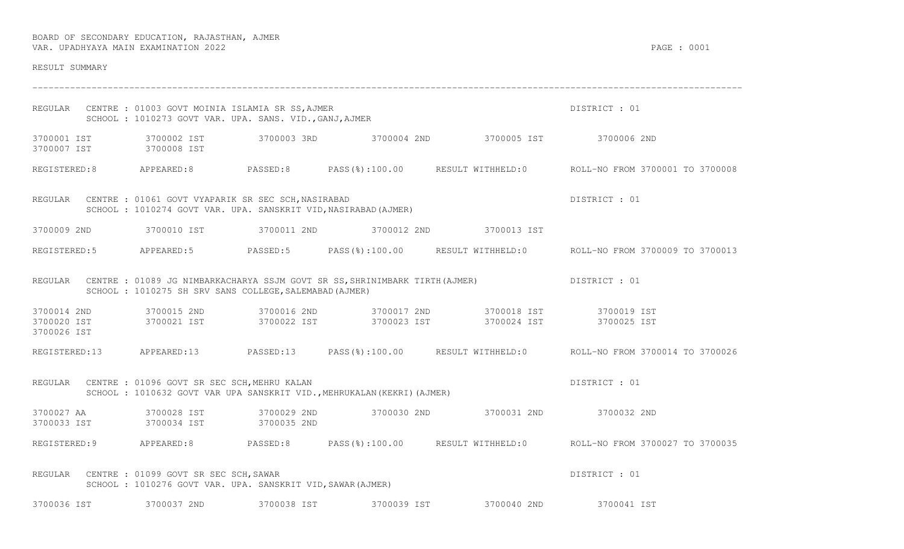| RESULT SUMMARY                            |                                                                                                                               |             |                                                                        |                                                                                    |                                                                                                   |
|-------------------------------------------|-------------------------------------------------------------------------------------------------------------------------------|-------------|------------------------------------------------------------------------|------------------------------------------------------------------------------------|---------------------------------------------------------------------------------------------------|
|                                           | REGULAR CENTRE : 01003 GOVT MOINIA ISLAMIA SR SS, AJMER<br>SCHOOL : 1010273 GOVT VAR. UPA. SANS. VID., GANJ, AJMER            |             |                                                                        |                                                                                    | DISTRICT : 01                                                                                     |
| 3700001 IST<br>3700007 IST                | 3700002 IST<br>3700008 IST                                                                                                    |             |                                                                        | 3700003 3RD 3700004 2ND 3700005 IST 3700006 2ND                                    |                                                                                                   |
|                                           |                                                                                                                               |             |                                                                        |                                                                                    | REGISTERED:8 APPEARED:8 PASSED:8 PASS(%):100.00 RESULT WITHHELD:0 ROLL-NO FROM 3700001 TO 3700008 |
|                                           | REGULAR CENTRE : 01061 GOVT VYAPARIK SR SEC SCH, NASIRABAD<br>SCHOOL : 1010274 GOVT VAR. UPA. SANSKRIT VID, NASIRABAD (AJMER) |             |                                                                        |                                                                                    | DISTRICT : 01                                                                                     |
| 3700009 2ND                               |                                                                                                                               |             |                                                                        |                                                                                    |                                                                                                   |
|                                           |                                                                                                                               |             |                                                                        |                                                                                    | REGISTERED:5 APPEARED:5 PASSED:5 PASS(%):100.00 RESULT WITHHELD:0 ROLL-NO FROM 3700009 TO 3700013 |
|                                           | SCHOOL : 1010275 SH SRV SANS COLLEGE, SALEMABAD (AJMER)                                                                       |             |                                                                        | REGULAR CENTRE : 01089 JG NIMBARKACHARYA SSJM GOVT SR SS, SHRINIMBARK TIRTH(AJMER) | DISTRICT : 01                                                                                     |
| 3700014 2ND<br>3700020 IST<br>3700026 IST | 3700021 IST                                                                                                                   |             |                                                                        | 3700022 IST 3700023 IST 3700024 IST                                                | 3700025 IST                                                                                       |
|                                           | REGISTERED:13 APPEARED:13 PASSED:13                                                                                           |             |                                                                        |                                                                                    | PASS(%):100.00 RESULT WITHHELD:0 ROLL-NO FROM 3700014 TO 3700026                                  |
|                                           | REGULAR CENTRE : 01096 GOVT SR SEC SCH, MEHRU KALAN                                                                           |             | SCHOOL: 1010632 GOVT VAR UPA SANSKRIT VID., MEHRUKALAN (KEKRI) (AJMER) |                                                                                    | DISTRICT : 01                                                                                     |
| 3700033 IST                               | 3700027 AA 3700028 IST<br>3700034 IST 3700035 2ND                                                                             |             |                                                                        | 3700029 2ND 3700030 2ND 3700031 2ND 3700032 2ND                                    |                                                                                                   |
|                                           |                                                                                                                               |             |                                                                        |                                                                                    | REGISTERED:9 APPEARED:8 PASSED:8 PASS(%):100.00 RESULT WITHHELD:0 ROLL-NO FROM 3700027 TO 3700035 |
| REGULAR                                   | CENTRE : 01099 GOVT SR SEC SCH, SAWAR<br>SCHOOL: 1010276 GOVT VAR. UPA. SANSKRIT VID, SAWAR (AJMER)                           |             |                                                                        |                                                                                    | DISTRICT : 01                                                                                     |
| 3700036 IST                               | 3700037 2ND                                                                                                                   | 3700038 IST | 3700039 IST                                                            | 3700040 2ND                                                                        | 3700041 IST                                                                                       |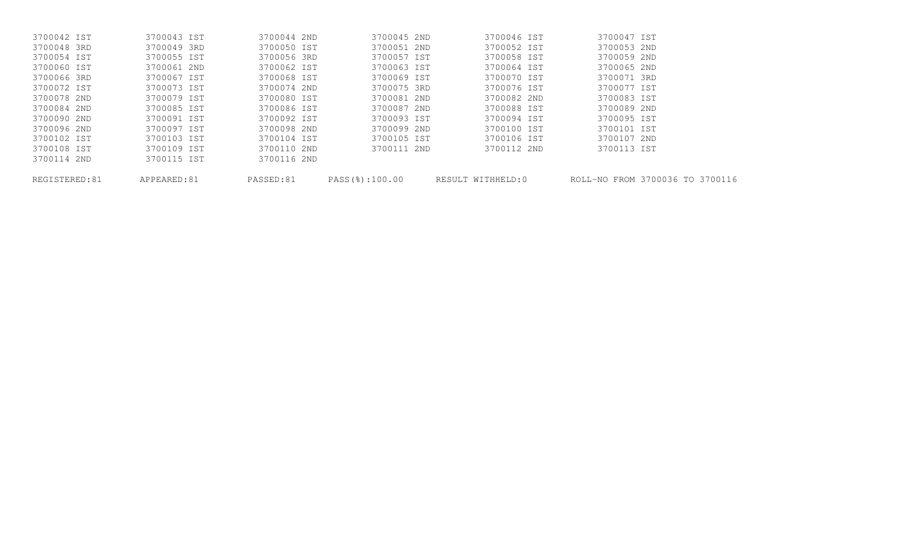| REGISTERED:81 | APPEARED:81 | PASSED:81   |             | PASS(%):100.00 RESULT WITHHELD:0 | ROLL-NO FROM 3700036 TO 3700116 |
|---------------|-------------|-------------|-------------|----------------------------------|---------------------------------|
| 3700114 2ND   | 3700115 IST | 3700116 2ND |             |                                  |                                 |
| 3700108 IST   | 3700109 IST | 3700110 2ND | 3700111 2ND | 3700112 2ND                      | 3700113 IST                     |
| 3700102 IST   | 3700103 IST | 3700104 IST | 3700105 IST | 3700106 IST                      | 3700107 2ND                     |
| 3700096 2ND   | 3700097 IST | 3700098 2ND | 3700099 2ND | 3700100 IST                      | 3700101 IST                     |
| 3700090 2ND   | 3700091 IST | 3700092 IST | 3700093 IST | 3700094 IST                      | 3700095 IST                     |
| 3700084 2ND   | 3700085 IST | 3700086 IST | 3700087 2ND | 3700088 IST                      | 3700089 2ND                     |
| 3700078 2ND   | 3700079 IST | 3700080 IST | 3700081 2ND | 3700082 2ND                      | 3700083 IST                     |
| 3700072 IST   | 3700073 IST | 3700074 2ND | 3700075 3RD | 3700076 IST                      | 3700077 IST                     |
| 3700066 3RD   | 3700067 IST | 3700068 IST | 3700069 IST | 3700070 IST                      | 3700071 3RD                     |
| 3700060 IST   | 3700061 2ND | 3700062 IST | 3700063 IST | 3700064 IST                      | 3700065 2ND                     |
| 3700054 IST   | 3700055 IST | 3700056 3RD | 3700057 IST | 3700058 IST                      | 3700059 2ND                     |
| 3700048 3RD   | 3700049 3RD | 3700050 IST | 3700051 2ND | 3700052 IST                      | 3700053 2ND                     |
| 3700042 IST   | 3700043 IST | 3700044 2ND | 3700045 2ND | 3700046 IST                      | 3700047 IST                     |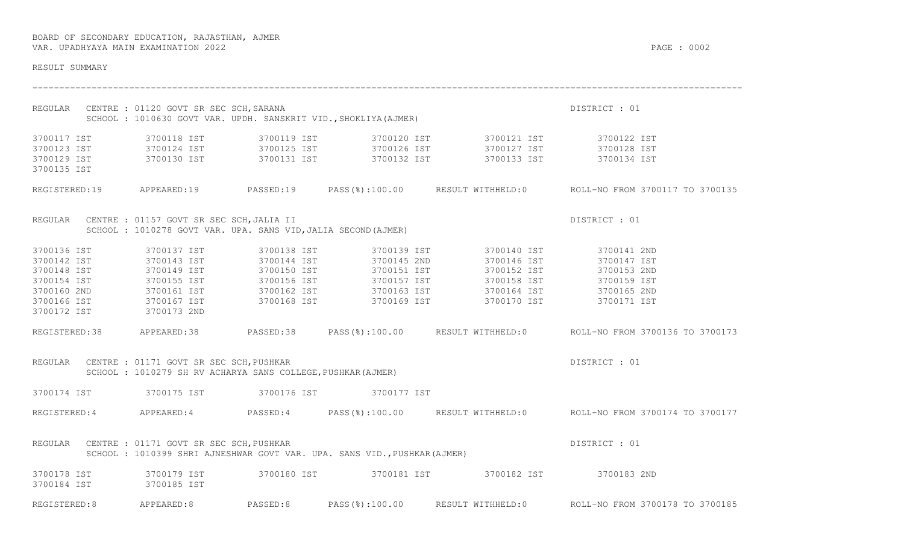| RESULT SUMMARY |                                                                                                                             |                            |                            |                                                                                                                                                                                                                                                                                |                                                                                                      |  |  |
|----------------|-----------------------------------------------------------------------------------------------------------------------------|----------------------------|----------------------------|--------------------------------------------------------------------------------------------------------------------------------------------------------------------------------------------------------------------------------------------------------------------------------|------------------------------------------------------------------------------------------------------|--|--|
|                | REGULAR CENTRE : 01120 GOVT SR SEC SCH, SARANA                                                                              |                            |                            | SCHOOL : 1010630 GOVT VAR. UPDH. SANSKRIT VID., SHOKLIYA (AJMER)                                                                                                                                                                                                               | DISTRICT : 01                                                                                        |  |  |
| 3700117 IST    |                                                                                                                             |                            |                            |                                                                                                                                                                                                                                                                                |                                                                                                      |  |  |
|                |                                                                                                                             |                            |                            | $\begin{array}{cccccccccccc} 3700123 & 1ST & & & 3700124 & 1ST & & & 3700125 & 1ST & & & 3700126 & 1ST & & & 3700127 & 1ST & & & 3700128 & 1ST \\ 3700129 & 1ST & & & 3700130 & 1ST & & 3700131 & 1ST & & & 3700132 & 1ST & & & 3700133 & 1ST & & & 3700134 & 1ST \end{array}$ |                                                                                                      |  |  |
| 3700135 IST    |                                                                                                                             |                            |                            |                                                                                                                                                                                                                                                                                |                                                                                                      |  |  |
|                |                                                                                                                             |                            |                            |                                                                                                                                                                                                                                                                                | REGISTERED:19 APPEARED:19 PASSED:19 PASS(%):100.00 RESULT WITHHELD:0 ROLL-NO FROM 3700117 TO 3700135 |  |  |
|                | REGULAR CENTRE : 01157 GOVT SR SEC SCH, JALIA II                                                                            |                            |                            |                                                                                                                                                                                                                                                                                | DISTRICT : 01                                                                                        |  |  |
|                | SCHOOL : 1010278 GOVT VAR. UPA. SANS VID, JALIA SECOND (AJMER)                                                              |                            |                            |                                                                                                                                                                                                                                                                                |                                                                                                      |  |  |
| 3700136 IST    | 3700137 IST                                                                                                                 | 3700138 IST                |                            | 3700139 IST 3700140 IST 3700141 2ND                                                                                                                                                                                                                                            |                                                                                                      |  |  |
|                |                                                                                                                             |                            | 3700145 2ND                | 3700146 IST                                                                                                                                                                                                                                                                    | 3700147 IST                                                                                          |  |  |
|                | 3700142 IST 3700143 IST<br>3700148 IST 3700149 IST                                                                          | 3700144 IST<br>3700150 IST | S700145 ZND<br>3700151 IST |                                                                                                                                                                                                                                                                                |                                                                                                      |  |  |
|                |                                                                                                                             |                            |                            |                                                                                                                                                                                                                                                                                |                                                                                                      |  |  |
|                |                                                                                                                             |                            |                            |                                                                                                                                                                                                                                                                                |                                                                                                      |  |  |
|                |                                                                                                                             |                            |                            |                                                                                                                                                                                                                                                                                |                                                                                                      |  |  |
|                |                                                                                                                             |                            |                            | 3700154 IST 3700155 IST 3700155 IST 3700156 IST 3700157 IST 3700158 IST 3700160 2ND<br>3700160 2ND 3700161 IST 3700162 IST 3700163 IST 3700164 IST 3700165 2ND<br>3700166 IST 3700167 IST 3700168 IST 3700169 IST 3700170 IST 370017                                           |                                                                                                      |  |  |
|                |                                                                                                                             |                            |                            |                                                                                                                                                                                                                                                                                | REGISTERED:38 APPEARED:38 PASSED:38 PASS(%):100.00 RESULT WITHHELD:0 ROLL-NO FROM 3700136 TO 3700173 |  |  |
|                | REGULAR CENTRE : 01171 GOVT SR SEC SCH, PUSHKAR<br>SCHOOL : 1010279 SH RV ACHARYA SANS COLLEGE, PUSHKAR (AJMER)             |                            |                            |                                                                                                                                                                                                                                                                                | DISTRICT : 01                                                                                        |  |  |
|                | 3700174 IST 3700175 IST 3700176 IST 3700177 IST                                                                             |                            |                            |                                                                                                                                                                                                                                                                                |                                                                                                      |  |  |
|                |                                                                                                                             |                            |                            |                                                                                                                                                                                                                                                                                | REGISTERED:4 APPEARED:4 PASSED:4 PASS(%):100.00 RESULT WITHHELD:0 ROLL-NO FROM 3700174 TO 3700177    |  |  |
|                | REGULAR CENTRE : 01171 GOVT SR SEC SCH, PUSHKAR<br>SCHOOL: 1010399 SHRI AJNESHWAR GOVT VAR. UPA. SANS VID., PUSHKAR (AJMER) |                            |                            |                                                                                                                                                                                                                                                                                | DISTRICT : 01                                                                                        |  |  |
| 3700184 IST    | 3700185 IST                                                                                                                 |                            |                            | 3700178 IST 3700179 IST 3700180 IST 3700181 IST 3700182 IST 3700183 2ND                                                                                                                                                                                                        |                                                                                                      |  |  |
| REGISTERED:8   | APPEARED:8                                                                                                                  | PASSED:8                   | PASS(%):100.00             |                                                                                                                                                                                                                                                                                | RESULT WITHHELD:0 ROLL-NO FROM 3700178 TO 3700185                                                    |  |  |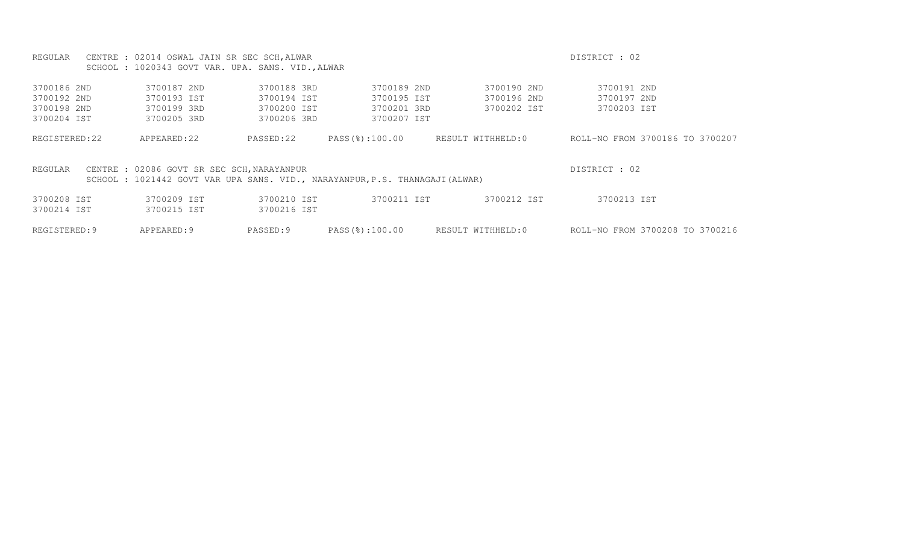|               | REGULAR CENTRE : 02014 OSWAL JAIN SR SEC SCH, ALWAR                                                                       |             |                |                   | DISTRICT : 02                   |
|---------------|---------------------------------------------------------------------------------------------------------------------------|-------------|----------------|-------------------|---------------------------------|
|               | SCHOOL : 1020343 GOVT VAR. UPA. SANS. VID., ALWAR                                                                         |             |                |                   |                                 |
| 3700186 2ND   | 3700187 2ND                                                                                                               | 3700188 3RD | 3700189 2ND    | 3700190 2ND       | 3700191 2ND                     |
|               |                                                                                                                           |             |                |                   |                                 |
| 3700192 2ND   | 3700193 IST                                                                                                               | 3700194 IST | 3700195 IST    | 3700196 2ND       | 3700197 2ND                     |
| 3700198 2ND   | 3700199 3RD                                                                                                               | 3700200 IST | 3700201 3RD    | 3700202 IST       | 3700203 IST                     |
| 3700204 IST   | 3700205 3RD                                                                                                               | 3700206 3RD | 3700207 IST    |                   |                                 |
| REGISTERED:22 | APPEARED: 22                                                                                                              | PASSED:22   | PASS(%):100.00 | RESULT WITHHELD:0 | ROLL-NO FROM 3700186 TO 3700207 |
| REGULAR       | CENTRE : 02086 GOVT SR SEC SCH, NARAYANPUR<br>SCHOOL: 1021442 GOVT VAR UPA SANS. VID., NARAYANPUR, P.S. THANAGAJI (ALWAR) |             |                |                   | DISTRICT : 02                   |
|               |                                                                                                                           |             |                |                   |                                 |
| 3700208 IST   | 3700209 IST                                                                                                               | 3700210 IST | 3700211 IST    | 3700212 IST       | 3700213 IST                     |
| 3700214 IST   | 3700215 IST                                                                                                               | 3700216 IST |                |                   |                                 |
| REGISTERED: 9 | APPEARED: 9                                                                                                               | PASSED:9    | PASS(%):100.00 | RESULT WITHHELD:0 | ROLL-NO FROM 3700208 TO 3700216 |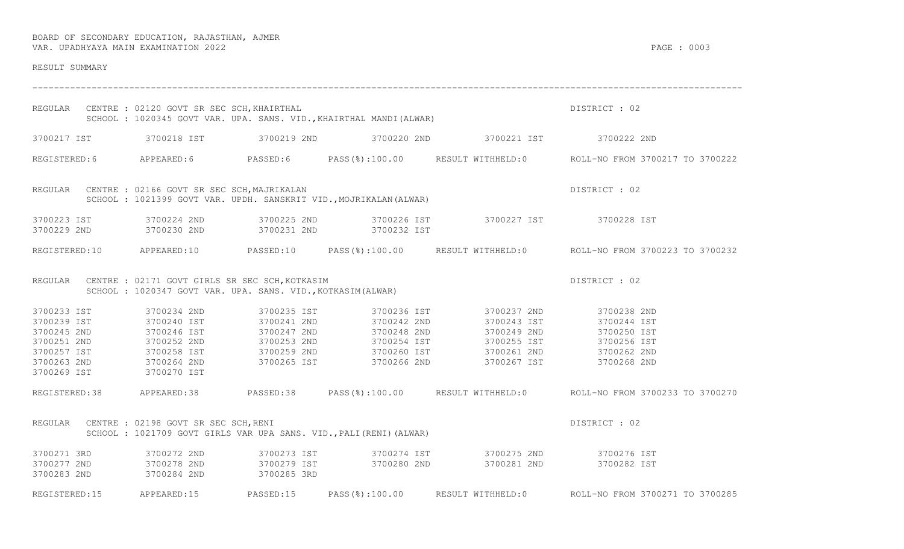| RESULT SUMMARY                            |                                                        |             |                                                                     |                                                                                                                                                                                                                                                                                               |                                                                                                      |  |  |  |
|-------------------------------------------|--------------------------------------------------------|-------------|---------------------------------------------------------------------|-----------------------------------------------------------------------------------------------------------------------------------------------------------------------------------------------------------------------------------------------------------------------------------------------|------------------------------------------------------------------------------------------------------|--|--|--|
|                                           | REGULAR CENTRE : 02120 GOVT SR SEC SCH, KHAIRTHAL      |             |                                                                     | SCHOOL : 1020345 GOVT VAR. UPA. SANS. VID., KHAIRTHAL MANDI (ALWAR)                                                                                                                                                                                                                           | DISTRICT : 02                                                                                        |  |  |  |
|                                           |                                                        |             |                                                                     | 3700217 IST 3700218 IST 3700219 2ND 3700220 2ND 3700221 IST 3700222 2ND                                                                                                                                                                                                                       |                                                                                                      |  |  |  |
|                                           |                                                        |             |                                                                     |                                                                                                                                                                                                                                                                                               | REGISTERED:6 APPEARED:6 PASSED:6 PASS(%):100.00 RESULT WITHHELD:0 ROLL-NO FROM 3700217 TO 3700222    |  |  |  |
|                                           | REGULAR CENTRE : 02166 GOVT SR SEC SCH, MAJRIKALAN     |             | SCHOOL : 1021399 GOVT VAR. UPDH. SANSKRIT VID., MOJRIKALAN (ALWAR)  |                                                                                                                                                                                                                                                                                               | DISTRICT : 02                                                                                        |  |  |  |
|                                           |                                                        |             | 3700229 2ND 3700230 2ND 3700231 2ND 3700232 IST                     | 3700223 IST 3700224 2ND 3700225 2ND 3700226 IST 3700227 IST 3700228 IST                                                                                                                                                                                                                       |                                                                                                      |  |  |  |
|                                           |                                                        |             |                                                                     |                                                                                                                                                                                                                                                                                               | REGISTERED:10 APPEARED:10 PASSED:10 PASS(%):100.00 RESULT WITHHELD:0 ROLL-NO FROM 3700223 TO 3700232 |  |  |  |
|                                           | REGULAR CENTRE : 02171 GOVT GIRLS SR SEC SCH, KOTKASIM |             |                                                                     | - CATIL GUVI GIRLS SR SEC SCH, KOTKASIM<br>SCHOOL : 1020347 GOVT VAR. UPA. SANS. VID., KOTKASIM (ALWAR)                                                                                                                                                                                       | DISTRICT : 02                                                                                        |  |  |  |
| 3700233 IST                               |                                                        |             |                                                                     | 3700234 2ND 3700235 IST 3700236 IST 3700237 2ND 3700238 2ND<br>3700239 IST 3700240 IST 3700240 IST 3700241 2ND 3700242 2ND 3700243 IST 3700245 2ND 3700245 2ND 3700246 IST 3700246 IST 3700244 IST 3700245 2ND 3700250 IST 3700246 IST 3700244 IST 3700244 IST 3700244 IST 3700250 IST 370025 |                                                                                                      |  |  |  |
|                                           |                                                        |             |                                                                     |                                                                                                                                                                                                                                                                                               | REGISTERED:38 APPEARED:38 PASSED:38 PASS(%):100.00 RESULT WITHHELD:0 ROLL-NO FROM 3700233 TO 3700270 |  |  |  |
|                                           | REGULAR CENTRE : 02198 GOVT SR SEC SCH, RENI           |             | SCHOOL : 1021709 GOVT GIRLS VAR UPA SANS. VID., PALI (RENI) (ALWAR) |                                                                                                                                                                                                                                                                                               | DISTRICT : 02                                                                                        |  |  |  |
| 3700271 3RD<br>3700277 2ND<br>3700283 2ND | 3700284 2ND                                            | 3700285 3RD |                                                                     | 3700272 2ND                3700273 IST                3700274 IST                  3700275 2ND                    3700276 IST<br>3700278 2ND                 3700279 IST                3700280 2ND                                                                                           |                                                                                                      |  |  |  |
|                                           |                                                        |             |                                                                     |                                                                                                                                                                                                                                                                                               | REGISTERED:15 APPEARED:15 PASSED:15 PASS(%):100.00 RESULT WITHHELD:0 ROLL-NO FROM 3700271 TO 3700285 |  |  |  |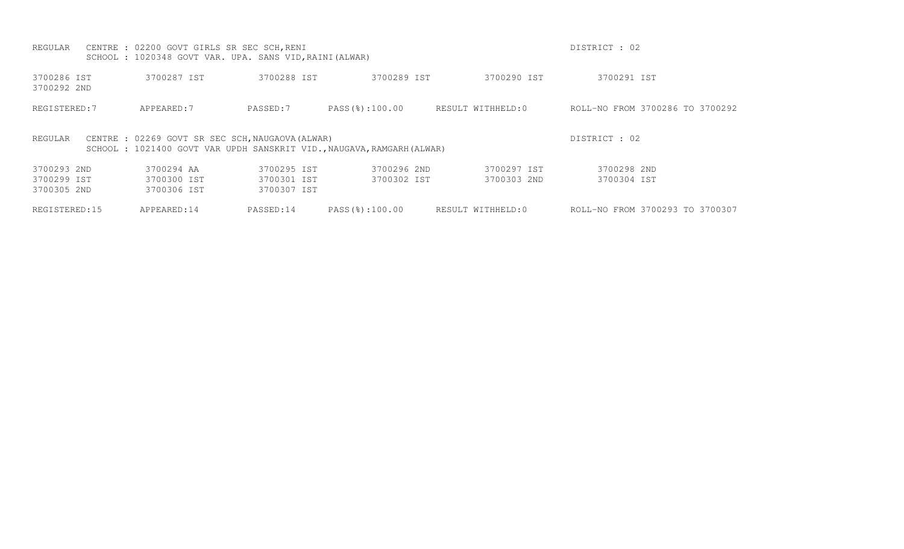| REGULAR                    | CENTRE : 02200 GOVT GIRLS SR SEC SCH, RENI<br>SCHOOL : 1020348 GOVT VAR. UPA. SANS VID, RAINI (ALWAR)                      |             |                |                   | DISTRICT : 02                   |
|----------------------------|----------------------------------------------------------------------------------------------------------------------------|-------------|----------------|-------------------|---------------------------------|
| 3700286 IST<br>3700292 2ND | 3700287 IST                                                                                                                | 3700288 IST | 3700289 IST    | 3700290 IST       | 3700291 IST                     |
| REGISTERED: 7              | APPEARED: 7                                                                                                                | PASSED:7    | PASS(%):100.00 | RESULT WITHHELD:0 | ROLL-NO FROM 3700286 TO 3700292 |
| REGULAR                    | CENTRE : 02269 GOVT SR SEC SCH, NAUGAOVA (ALWAR)<br>SCHOOL : 1021400 GOVT VAR UPDH SANSKRIT VID., NAUGAVA, RAMGARH (ALWAR) |             |                |                   | DISTRICT : 02                   |
| 3700293 2ND                | 3700294 AA                                                                                                                 | 3700295 IST | 3700296 2ND    | 3700297 IST       | 3700298 2ND                     |
| 3700299 IST                | 3700300 IST                                                                                                                | 3700301 IST | 3700302 IST    | 3700303 2ND       | 3700304 IST                     |
| 3700305 2ND                | 3700306 IST                                                                                                                | 3700307 IST |                |                   |                                 |
| REGISTERED: 15             | APPEARED:14                                                                                                                | PASSED:14   | PASS(%):100.00 | RESULT WITHHELD:0 | ROLL-NO FROM 3700293 TO 3700307 |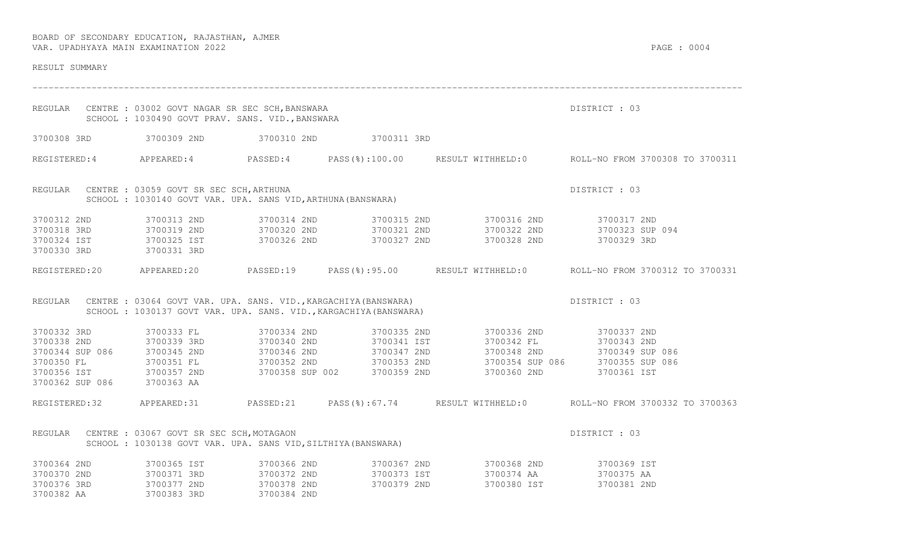| RESULT SUMMARY                                                         |                                                                                                                  |                                           |                                                                  |                                                                                                                                                           |                                                                                                     |
|------------------------------------------------------------------------|------------------------------------------------------------------------------------------------------------------|-------------------------------------------|------------------------------------------------------------------|-----------------------------------------------------------------------------------------------------------------------------------------------------------|-----------------------------------------------------------------------------------------------------|
|                                                                        | REGULAR CENTRE : 03002 GOVT NAGAR SR SEC SCH, BANSWARA<br>SCHOOL : 1030490 GOVT PRAV. SANS. VID., BANSWARA       |                                           |                                                                  |                                                                                                                                                           | DISTRICT : 03                                                                                       |
|                                                                        |                                                                                                                  |                                           | 3700308 3RD 3700309 2ND 3700310 2ND 3700311 3RD                  |                                                                                                                                                           |                                                                                                     |
|                                                                        |                                                                                                                  |                                           |                                                                  |                                                                                                                                                           | REGISTERED:4 APPEARED:4 PASSED:4 PASS(%):100.00 RESULT WITHHELD:0 ROLL-NO FROM 3700308 TO 3700311   |
|                                                                        | REGULAR CENTRE : 03059 GOVT SR SEC SCH, ARTHUNA<br>SCHOOL : 1030140 GOVT VAR. UPA. SANS VID, ARTHUNA (BANSWARA)  |                                           |                                                                  |                                                                                                                                                           | DISTRICT : 03                                                                                       |
| 3700312 2ND<br>3700324 IST 3700325 IST<br>3700330 3RD 3700331 3RD      | 3700313 2ND                                                                                                      | 3700326 2ND                               | 3700327 2ND                                                      | 3700314 2ND 3700315 2ND 3700316 2ND 3700317 2ND<br>3700318 3RD 3700319 2ND 3700320 2ND 3700321 2ND 3700322 2ND 3700322 2ND 3700323 SUP 094<br>3700328 2ND | 3700329 3RD                                                                                         |
|                                                                        |                                                                                                                  |                                           |                                                                  |                                                                                                                                                           | REGISTERED:20 APPEARED:20 PASSED:19 PASS(%):95.00 RESULT WITHHELD:0 ROLL-NO FROM 3700312 TO 3700331 |
|                                                                        | REGULAR CENTRE : 03064 GOVT VAR. UPA. SANS. VID., KARGACHIYA (BANSWARA)                                          |                                           | SCHOOL: 1030137 GOVT VAR. UPA. SANS. VID., KARGACHIYA (BANSWARA) |                                                                                                                                                           | DISTRICT : 03                                                                                       |
| 3700332 3RD<br>3700350 FL<br>3700356 IST<br>3700362 SUP 086 3700363 AA | 3700333 FL                                                                                                       |                                           | 3700334 2ND 3700335 2ND                                          | 3700357 2ND 3700358 SUP 002 3700359 2ND 3700360 2ND                                                                                                       | 3700336 2ND 3700337 2ND<br>3700342 FL 3700343 2ND<br>3700348 2ND 3700349 SUP 086<br>3700361 IST     |
|                                                                        |                                                                                                                  |                                           |                                                                  |                                                                                                                                                           | REGISTERED:32 APPEARED:31 PASSED:21 PASS(%):67.74 RESULT WITHHELD:0 ROLL-NO FROM 3700332 TO 3700363 |
|                                                                        | REGULAR CENTRE : 03067 GOVT SR SEC SCH, MOTAGAON<br>SCHOOL: 1030138 GOVT VAR. UPA. SANS VID, SILTHIYA (BANSWARA) |                                           |                                                                  |                                                                                                                                                           | DISTRICT : 03                                                                                       |
| 3700364 2ND<br>3700370 2ND<br>3700376 3RD<br>3700382 AA                | 3700365 IST<br>3700371 3RD<br>3700377 2ND<br>3700383 3RD                                                         | 3700372 2ND<br>3700378 2ND<br>3700384 2ND | 3700373 IST<br>3700373 IST<br>3700379 2ND                        | 3700366 2ND 3700367 2ND 3700368 2ND 3700369 IST                                                                                                           | 15.<br>3700375 AA 3700380 IST 3700381 2012<br>3700381 2ND                                           |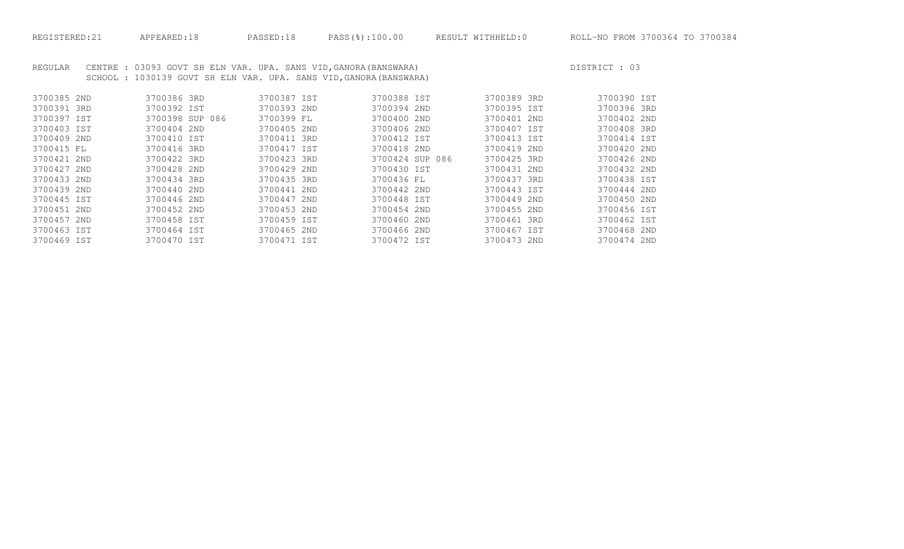REGULAR CENTRE : 03093 GOVT SH ELN VAR. UPA. SANS VID, GANORA (BANSWARA) DISTRICT : 03 SCHOOL : 1030139 GOVT SH ELN VAR. UPA. SANS VID,GANORA(BANSWARA)

| 3700385 2ND | 3700386 3RD     | 3700387 IST | 3700388 IST     | 3700389 3RD | 3700390 IST |
|-------------|-----------------|-------------|-----------------|-------------|-------------|
| 3700391 3RD | 3700392 IST     | 3700393 2ND | 3700394 2ND     | 3700395 IST | 3700396 3RD |
| 3700397 IST | 3700398 SUP 086 | 3700399 FL  | 3700400 2ND     | 3700401 2ND | 3700402 2ND |
| 3700403 IST | 3700404 2ND     | 3700405 2ND | 3700406 2ND     | 3700407 IST | 3700408 3RD |
| 3700409 2ND | 3700410 IST     | 3700411 3RD | 3700412 IST     | 3700413 IST | 3700414 IST |
| 3700415 FL  | 3700416 3RD     | 3700417 IST | 3700418 2ND     | 3700419 2ND | 3700420 2ND |
| 3700421 2ND | 3700422 3RD     | 3700423 3RD | 3700424 SUP 086 | 3700425 3RD | 3700426 2ND |
| 3700427 2ND | 3700428 2ND     | 3700429 2ND | 3700430 IST     | 3700431 2ND | 3700432 2ND |
| 3700433 2ND | 3700434 3RD     | 3700435 3RD | 3700436 FL      | 3700437 3RD | 3700438 IST |
| 3700439 2ND | 3700440 2ND     | 3700441 2ND | 3700442 2ND     | 3700443 IST | 3700444 2ND |
| 3700445 IST | 3700446 2ND     | 3700447 2ND | 3700448 IST     | 3700449 2ND | 3700450 2ND |
| 3700451 2ND | 3700452 2ND     | 3700453 2ND | 3700454 2ND     | 3700455 2ND | 3700456 IST |
| 3700457 2ND | 3700458 IST     | 3700459 IST | 3700460 2ND     | 3700461 3RD | 3700462 IST |
| 3700463 IST | 3700464 IST     | 3700465 2ND | 3700466 2ND     | 3700467 IST | 3700468 2ND |
| 3700469 IST | 3700470 IST     | 3700471 IST | 3700472 IST     | 3700473 2ND | 3700474 2ND |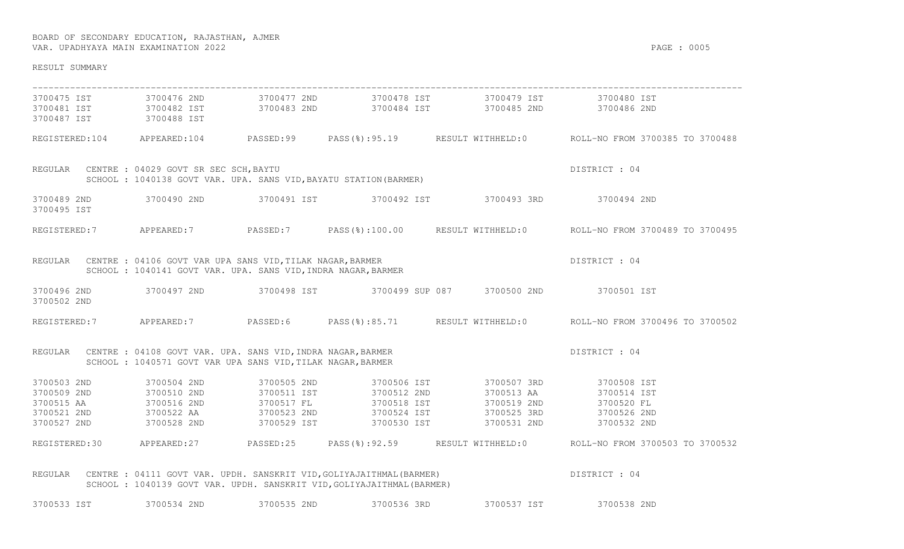| RESULT SUMMARY                                                    |                                                                                                                            |                                                                       |                                                                                                                                                                                                                                   |                                                                                                       |
|-------------------------------------------------------------------|----------------------------------------------------------------------------------------------------------------------------|-----------------------------------------------------------------------|-----------------------------------------------------------------------------------------------------------------------------------------------------------------------------------------------------------------------------------|-------------------------------------------------------------------------------------------------------|
|                                                                   |                                                                                                                            |                                                                       | 3700475 IST 3700476 2ND 3700477 2ND 3700478 IST 3700479 IST 3700479 IST 3700480 IST                                                                                                                                               |                                                                                                       |
| 3700487 IST 3700488 IST                                           |                                                                                                                            |                                                                       | 3700481 IST 3700482 IST 3700483 2ND 3700484 IST 3700485 2ND 3700486 2ND                                                                                                                                                           |                                                                                                       |
|                                                                   |                                                                                                                            |                                                                       |                                                                                                                                                                                                                                   | REGISTERED:104 APPEARED:104 PASSED:99 PASS(%):95.19 RESULT WITHHELD:0 ROLL-NO FROM 3700385 TO 3700488 |
| REGULAR CENTRE : 04029 GOVT SR SEC SCH, BAYTU                     |                                                                                                                            | SCHOOL: 1040138 GOVT VAR. UPA. SANS VID, BAYATU STATION (BARMER)      |                                                                                                                                                                                                                                   | DISTRICT : 04                                                                                         |
| 3700495 IST                                                       |                                                                                                                            |                                                                       | 3700489 2ND 3700490 2ND 3700491 IST 3700492 IST 3700493 3RD 3700494 2ND                                                                                                                                                           |                                                                                                       |
|                                                                   |                                                                                                                            |                                                                       |                                                                                                                                                                                                                                   | REGISTERED:7 APPEARED:7 PASSED:7 PASS(%):100.00 RESULT WITHHELD:0 ROLL-NO FROM 3700489 TO 3700495     |
| REGULAR CENTRE : 04106 GOVT VAR UPA SANS VID, TILAK NAGAR, BARMER | SCHOOL : 1040141 GOVT VAR. UPA. SANS VID, INDRA NAGAR, BARMER                                                              |                                                                       |                                                                                                                                                                                                                                   | DISTRICT : 04                                                                                         |
| 3700502 2ND                                                       |                                                                                                                            |                                                                       | 3700496 2ND 3700497 2ND 3700498 IST 3700499 SUP 087 3700500 2ND 3700501 IST                                                                                                                                                       |                                                                                                       |
|                                                                   |                                                                                                                            |                                                                       |                                                                                                                                                                                                                                   | REGISTERED:7 APPEARED:7 PASSED:6 PASS(%):85.71 RESULT WITHHELD:0 ROLL-NO FROM 3700496 TO 3700502      |
| REGULAR                                                           | CENTRE : 04108 GOVT VAR. UPA. SANS VID, INDRA NAGAR, BARMER<br>SCHOOL : 1040571 GOVT VAR UPA SANS VID, TILAK NAGAR, BARMER |                                                                       |                                                                                                                                                                                                                                   | DISTRICT : 04                                                                                         |
| 3700503 2ND                                                       | 3700504 2ND                                                                                                                |                                                                       | 3700505 2ND 3700506 IST 3700507 3RD 3700508 IST                                                                                                                                                                                   |                                                                                                       |
| 3700509 2ND 3700510 2ND                                           |                                                                                                                            | 3700511 IST 3700512 2ND                                               |                                                                                                                                                                                                                                   | 3700513 AA 3700514 IST                                                                                |
|                                                                   |                                                                                                                            |                                                                       | 3700515 AA            3700516 2ND          3700517 FL            3700518 IST          3700519 2ND          3700520 FL<br>3700521 2ND          3700522 AA          3700523 2ND          3700524 IST        3700525 3RD        3700 |                                                                                                       |
|                                                                   |                                                                                                                            |                                                                       |                                                                                                                                                                                                                                   |                                                                                                       |
|                                                                   |                                                                                                                            |                                                                       |                                                                                                                                                                                                                                   |                                                                                                       |
|                                                                   |                                                                                                                            |                                                                       |                                                                                                                                                                                                                                   | REGISTERED:30 APPEARED:27 PASSED:25 PASS(%):92.59 RESULT WITHHELD:0 ROLL-NO FROM 3700503 TO 3700532   |
| REGULAR                                                           |                                                                                                                            | SCHOOL: 1040139 GOVT VAR. UPDH. SANSKRIT VID, GOLIYAJAITHMAL (BARMER) | CENTRE : 04111 GOVT VAR. UPDH. SANSKRIT VID, GOLIYAJAITHMAL (BARMER)                                                                                                                                                              | DISTRICT : 04                                                                                         |

3700533 IST 3700534 2ND 3700535 2ND 3700536 3RD 3700537 IST 3700538 2ND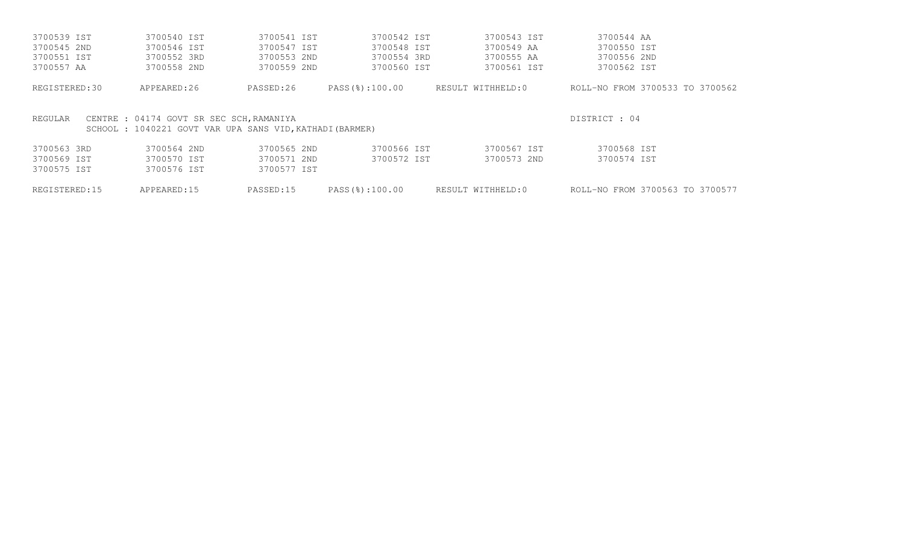| REGISTERED:15 | APPEARED:15                                                                                         | PASSED:15   | PASS(%):100.00 | RESULT WITHHELD:0 | ROLL-NO FROM 3700563 TO 3700577 |
|---------------|-----------------------------------------------------------------------------------------------------|-------------|----------------|-------------------|---------------------------------|
| 3700575 IST   | 3700576 IST                                                                                         | 3700577 IST |                |                   |                                 |
| 3700569 IST   | 3700570 IST                                                                                         | 3700571 2ND | 3700572 IST    | 3700573 2ND       | 3700574 IST                     |
| 3700563 3RD   | 3700564 2ND                                                                                         | 3700565 2ND | 3700566 IST    | 3700567 IST       | 3700568 IST                     |
| REGULAR       | CENTRE : 04174 GOVT SR SEC SCH, RAMANIYA<br>SCHOOL: 1040221 GOVT VAR UPA SANS VID, KATHADI (BARMER) |             |                |                   | DISTRICT : 04                   |
| REGISTERED:30 | APPEARED:26                                                                                         | PASSED:26   | PASS(%):100.00 | RESULT WITHHELD:0 | ROLL-NO FROM 3700533 TO 3700562 |
| 3700557 AA    | 3700558 2ND                                                                                         | 3700559 2ND | 3700560 IST    | 3700561 IST       | 3700562 IST                     |
| 3700551 IST   | 3700552 3RD                                                                                         | 3700553 2ND | 3700554 3RD    | 3700555 AA        | 3700556 2ND                     |
| 3700545 2ND   | 3700546 IST                                                                                         | 3700547 IST | 3700548 IST    | 3700549 AA        | 3700550 IST                     |
| 3700539 IST   | 3700540 IST                                                                                         | 3700541 IST | 3700542 IST    | 3700543 IST       | 3700544 AA                      |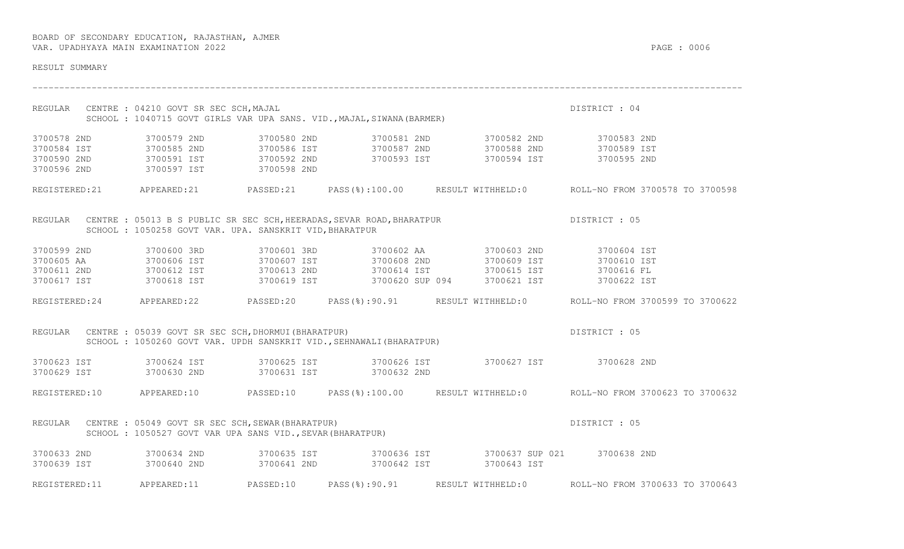| RESULT SUMMARY |                                                             |                                                                                                             |                                                                                                                                                                                                                                                                                                           |                                                                                                      |
|----------------|-------------------------------------------------------------|-------------------------------------------------------------------------------------------------------------|-----------------------------------------------------------------------------------------------------------------------------------------------------------------------------------------------------------------------------------------------------------------------------------------------------------|------------------------------------------------------------------------------------------------------|
|                | REGULAR CENTRE : 04210 GOVT SR SEC SCH, MAJAL               | CENTRE : 04210 GOVT SR SEC SCH,MAJAL<br>SCHOOL : 1040715 GOVT GIRLS VAR UPA SANS. VID.,MAJAL,SIWANA(BARMER) |                                                                                                                                                                                                                                                                                                           | DISTRICT : 04                                                                                        |
|                | 3700596 2ND 3700597 IST 3700598 2ND                         |                                                                                                             | 3700578 2ND            3700579 2ND              3700580 2ND            3700581 2ND              3700582 2ND<br>3700584 IST            3700585 2ND          3700586 IST          3700587 2ND          3700588 2ND          3700                                                                            |                                                                                                      |
|                |                                                             |                                                                                                             |                                                                                                                                                                                                                                                                                                           | REGISTERED:21 APPEARED:21 PASSED:21 PASS(%):100.00 RESULT WITHHELD:0 ROLL-NO FROM 3700578 TO 3700598 |
|                | SCHOOL : 1050258 GOVT VAR. UPA. SANSKRIT VID, BHARATPUR     |                                                                                                             | REGULAR CENTRE : 05013 B S PUBLIC SR SEC SCH, HEERADAS, SEVAR ROAD, BHARATPUR  DISTRICT : 05                                                                                                                                                                                                              |                                                                                                      |
|                |                                                             |                                                                                                             | 3700599 2ND 3700600 3RD 3700601 3RD 3700602 AA 3700603 2ND 3700604 IST<br>3700605 AA 3700606 IST 3700607 IST 3700608 2ND 3700609 IST 3700610 IST<br>3700611 2ND 3700612 IST 3700613 2ND 3700614 IST 3700615 IST 3700616 FL<br>3700617 IST 3700618 IST 3700619 IST 3700620 SUP 094 3700621 IST 3700622 IST |                                                                                                      |
|                |                                                             |                                                                                                             |                                                                                                                                                                                                                                                                                                           | REGISTERED:24 APPEARED:22 PASSED:20 PASS(%):90.91 RESULT WITHHELD:0 ROLL-NO FROM 3700599 TO 3700622  |
|                | REGULAR CENTRE : 05039 GOVT SR SEC SCH, DHORMUI (BHARATPUR) | SCHOOL : 1050260 GOVT VAR. UPDH SANSKRIT VID., SEHNAWALI (BHARATPUR)                                        |                                                                                                                                                                                                                                                                                                           | DISTRICT : 05                                                                                        |
|                |                                                             | 3700629 IST 3700630 2ND 3700631 IST 3700632 2ND                                                             | 3700623 IST 3700624 IST 3700625 IST 3700626 IST 3700627 IST 3700628 2ND                                                                                                                                                                                                                                   |                                                                                                      |
|                |                                                             |                                                                                                             |                                                                                                                                                                                                                                                                                                           | REGISTERED:10 APPEARED:10 PASSED:10 PASS(%):100.00 RESULT WITHHELD:0 ROLL-NO FROM 3700623 TO 3700632 |
| REGULAR        | CENTRE : 05049 GOVT SR SEC SCH, SEWAR (BHARATPUR)           | SCHOOL: 1050527 GOVT VAR UPA SANS VID., SEVAR (BHARATPUR)                                                   |                                                                                                                                                                                                                                                                                                           | DISTRICT : 05                                                                                        |
|                |                                                             |                                                                                                             | 3700633 2ND 3700634 2ND 3700635 IST 3700636 IST 3700637 SUP 021 3700638 2ND<br>3700639 IST 3700640 2ND 3700641 2ND 3700642 IST 3700643 IST                                                                                                                                                                |                                                                                                      |
|                | REGISTERED:11 APPEARED:11 PASSED:10 PASS(%):90.91           |                                                                                                             | RESULT WITHHELD:0                                                                                                                                                                                                                                                                                         | ROLL-NO FROM 3700633 TO 3700643                                                                      |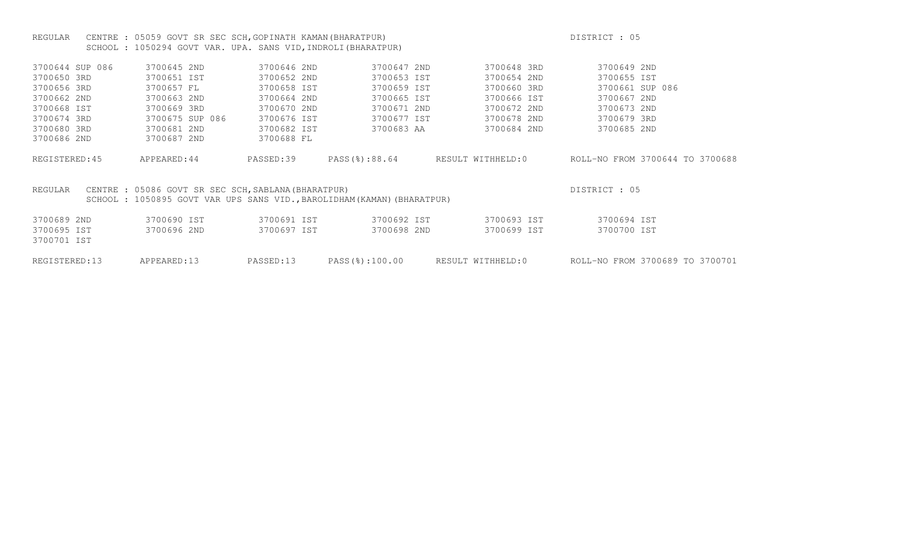# REGULAR CENTRE : 05059 GOVT SR SEC SCH, GOPINATH KAMAN(BHARATPUR) CHARATEUR CHARATEUR DISTRICT : 05 SCHOOL : 1050294 GOVT VAR. UPA. SANS VID, INDROLI (BHARATPUR)

| 3700644 SUP 086 | 3700645 2ND                                         | 3700646 2ND | 3700647 2ND                                                            | 3700648 3RD       | 3700649 2ND                     |
|-----------------|-----------------------------------------------------|-------------|------------------------------------------------------------------------|-------------------|---------------------------------|
| 3700650 3RD     | 3700651 IST                                         | 3700652 2ND | 3700653 IST                                                            | 3700654 2ND       | 3700655 IST                     |
| 3700656 3RD     | 3700657 FL                                          | 3700658 IST | 3700659 IST                                                            | 3700660 3RD       | 3700661 SUP 086                 |
| 3700662 2ND     | 3700663 2ND                                         | 3700664 2ND | 3700665 IST                                                            | 3700666 IST       | 3700667 2ND                     |
| 3700668 IST     | 3700669 3RD                                         | 3700670 2ND | 3700671 2ND                                                            | 3700672 2ND       | 3700673 2ND                     |
| 3700674 3RD     | 3700675 SUP 086                                     | 3700676 IST | 3700677 IST                                                            | 3700678 2ND       | 3700679 3RD                     |
| 3700680 3RD     | 3700681 2ND                                         | 3700682 IST | 3700683 AA                                                             | 3700684 2ND       | 3700685 2ND                     |
| 3700686 2ND     | 3700687 2ND                                         | 3700688 FL  |                                                                        |                   |                                 |
|                 |                                                     |             |                                                                        |                   |                                 |
| REGISTERED: 45  | APPEARED: 44                                        | PASSED:39   | PASS(%):88.64                                                          | RESULT WITHHELD:0 | ROLL-NO FROM 3700644 TO 3700688 |
|                 |                                                     |             |                                                                        |                   |                                 |
|                 |                                                     |             |                                                                        |                   |                                 |
| REGULAR         | CENTRE : 05086 GOVT SR SEC SCH, SABLANA (BHARATPUR) |             |                                                                        |                   | DISTRICT: 05                    |
|                 |                                                     |             | SCHOOL: 1050895 GOVT VAR UPS SANS VID., BAROLIDHAM (KAMAN) (BHARATPUR) |                   |                                 |
|                 |                                                     |             |                                                                        |                   |                                 |
| 3700689 2ND     | 3700690 IST                                         | 3700691 IST | 3700692 IST                                                            | 3700693 IST       | 3700694 IST                     |
| 3700695 IST     | 3700696 2ND                                         | 3700697 IST | 3700698 2ND                                                            | 3700699 IST       | 3700700 IST                     |
| 3700701 IST     |                                                     |             |                                                                        |                   |                                 |
|                 |                                                     |             |                                                                        |                   |                                 |
| REGISTERED: 13  | APPEARED:13                                         | PASSED:13   | PASS(%):100.00                                                         | RESULT WITHHELD:0 | ROLL-NO FROM 3700689 TO 3700701 |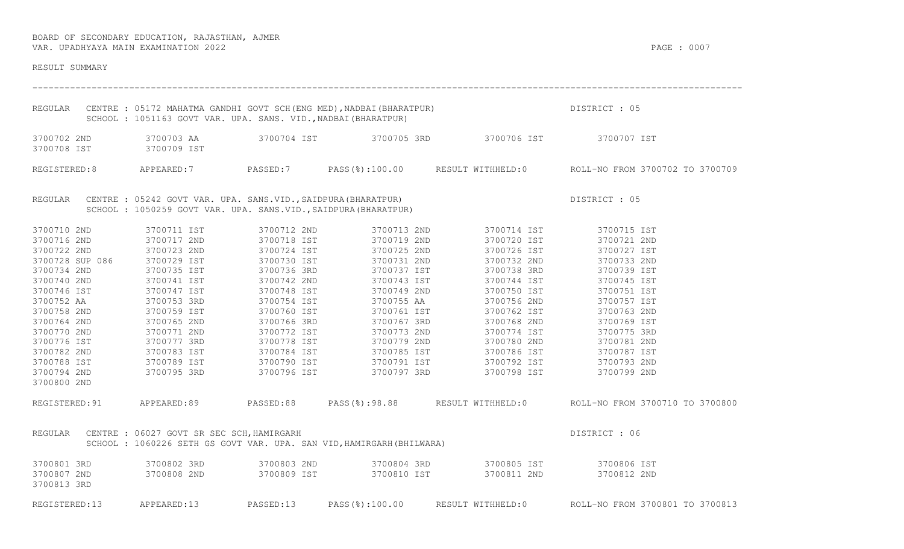| RESULT SUMMARY                                                                    |                                                                 |             |                                                                      |                                                                                                                                       |                                                                                                     |
|-----------------------------------------------------------------------------------|-----------------------------------------------------------------|-------------|----------------------------------------------------------------------|---------------------------------------------------------------------------------------------------------------------------------------|-----------------------------------------------------------------------------------------------------|
|                                                                                   | SCHOOL : 1051163 GOVT VAR. UPA. SANS. VID., NADBAI (BHARATPUR)  |             |                                                                      |                                                                                                                                       |                                                                                                     |
| 3700702 2ND<br>3700708 IST                                                        | 3700709 IST                                                     |             |                                                                      | 3700703 AA                  3700704 IST                3700705 3RD                  3700706 IST                3700707 IST            |                                                                                                     |
|                                                                                   |                                                                 |             |                                                                      |                                                                                                                                       | REGISTERED:8 APPEARED:7 PASSED:7 PASS(%):100.00 RESULT WITHHELD:0 ROLL-NO FROM 3700702 TO 3700709   |
|                                                                                   | SCHOOL : 1050259 GOVT VAR. UPA. SANS.VID., SAIDPURA (BHARATPUR) |             |                                                                      | REGULAR CENTRE : 05242 GOVT VAR. UPA. SANS.VID., SAIDPURA (BHARATPUR)<br>SCHOOL : 1050259 GOVT VAR. UPA. SANS.VIDSAIDPURA (BHARATPUR) | DISTRICT : 05                                                                                       |
| 3700710 2ND                                                                       | 3700711 IST                                                     | 3700712 2ND |                                                                      | 3700713 2ND 3700714 IST 3700715 IST                                                                                                   |                                                                                                     |
| 3700716 2ND                                                                       | 3700717 2ND                                                     | 3700718 IST | 3700719 2ND                                                          | 3700720 IST                                                                                                                           | 3700721 2ND                                                                                         |
|                                                                                   |                                                                 | 3700724 IST | 3700725 2ND                                                          | 3700726 IST                                                                                                                           | 3700727 IST                                                                                         |
| 3700722 2ND 3700723 2ND<br>3700728 SUP 086 3700729 IST<br>3700734 2ND 3700735 IST |                                                                 | 3700730 IST | 3700731 2ND                                                          | 3700732 2ND                                                                                                                           | 3700733 2ND                                                                                         |
|                                                                                   | 3700735 IST                                                     | 3700736 3RD | 3700737 IST                                                          |                                                                                                                                       | 3700738 3RD 3700739 IST                                                                             |
| 3700740 2ND                                                                       |                                                                 | 3700742 2ND | 3700743 IST                                                          | 3700744 IST                                                                                                                           | 3700745 IST                                                                                         |
| 3700746 IST                                                                       |                                                                 | 3700748 IST | 3700749 2ND                                                          | 3700750 IST                                                                                                                           | 3700751 IST                                                                                         |
| 3700752 AA                                                                        |                                                                 | 3700754 IST | 3700755 AA                                                           | 3700756 2ND                                                                                                                           | 3700757 IST                                                                                         |
| 3700758 2ND                                                                       | 3700741 IST<br>3700747 IST<br>3700753 3RD<br>3700759 IST        | 3700760 IST | 3700761 IST                                                          | 3700762 IST                                                                                                                           | 3700763 2ND                                                                                         |
| 3700764 2ND                                                                       | 3700765 2ND                                                     | 3700766 3RD | 3700767 3RD                                                          | 3700768 2ND                                                                                                                           | 3700769 IST                                                                                         |
| 3700770 2ND                                                                       | 3700771 2ND                                                     | 3700772 IST | 3700773 2ND                                                          |                                                                                                                                       |                                                                                                     |
| 3700776 IST                                                                       | 3700777 3RD                                                     | 3700778 IST | 3700779 2ND                                                          |                                                                                                                                       |                                                                                                     |
| 3700782 2ND                                                                       | 3700783 IST                                                     | 3700784 IST |                                                                      | 3700785 IST 3700786 IST 3700787 IST                                                                                                   |                                                                                                     |
| 3700788 IST                                                                       |                                                                 |             |                                                                      |                                                                                                                                       |                                                                                                     |
| 3700794 2ND<br>3700800 2ND                                                        | 3700789 IST<br>3700795 3RD                                      |             |                                                                      |                                                                                                                                       |                                                                                                     |
|                                                                                   |                                                                 |             |                                                                      |                                                                                                                                       |                                                                                                     |
|                                                                                   |                                                                 |             |                                                                      |                                                                                                                                       | REGISTERED:91 APPEARED:89 PASSED:88 PASS(%):98.88 RESULT WITHHELD:0 ROLL-NO FROM 3700710 TO 3700800 |
|                                                                                   | REGULAR CENTRE : 06027 GOVT SR SEC SCH, HAMIRGARH               |             | SCHOOL: 1060226 SETH GS GOVT VAR. UPA. SAN VID, HAMIRGARH (BHILWARA) |                                                                                                                                       | DISTRICT : 06                                                                                       |
| 3700801 3RD                                                                       | 3700802 3RD                                                     |             |                                                                      | 3700803 2ND 3700804 3RD 3700805 IST 3700806 IST                                                                                       |                                                                                                     |
| 3700807 2ND                                                                       | 3700808 2ND                                                     |             |                                                                      |                                                                                                                                       |                                                                                                     |
| 3700813 3RD                                                                       |                                                                 |             |                                                                      |                                                                                                                                       |                                                                                                     |
| REGISTERED:13                                                                     | APPEARED:13 PASSED:13                                           |             | PASS(%):100.00                                                       |                                                                                                                                       | RESULT WITHHELD: 0 ROLL-NO FROM 3700801 TO 3700813                                                  |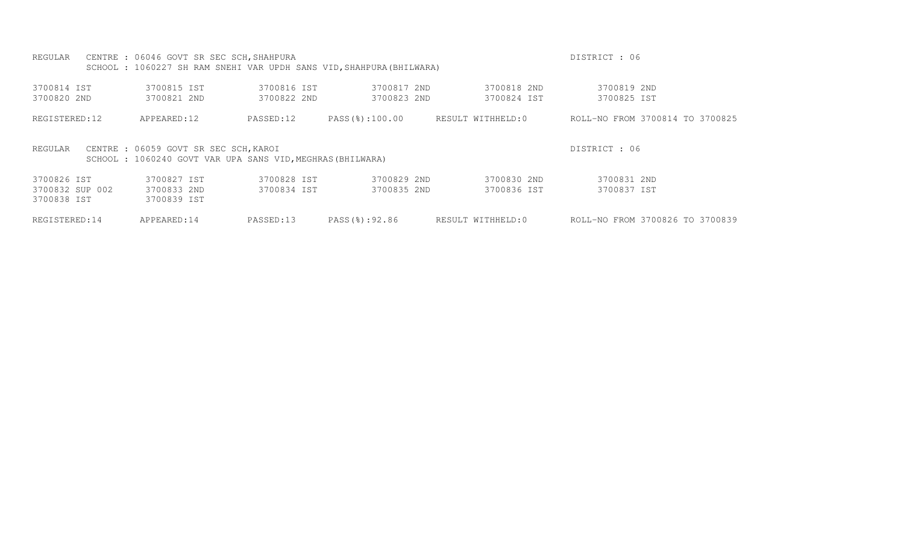| REGULAR                    | CENTRE : 06046 GOVT SR SEC SCH, SHAHPURA                                                            |                            | SCHOOL: 1060227 SH RAM SNEHI VAR UPDH SANS VID, SHAHPURA (BHILWARA) |                            | DISTRICT : 06                   |
|----------------------------|-----------------------------------------------------------------------------------------------------|----------------------------|---------------------------------------------------------------------|----------------------------|---------------------------------|
| 3700814 IST<br>3700820 2ND | 3700815 IST<br>3700821 2ND                                                                          | 3700816 IST<br>3700822 2ND | 3700817 2ND<br>3700823 2ND                                          | 3700818 2ND<br>3700824 IST | 3700819 2ND<br>3700825 IST      |
| REGISTERED:12              | APPEARED:12                                                                                         | PASSED:12                  | PASS(%):100.00                                                      | RESULT WITHHELD:0          | ROLL-NO FROM 3700814 TO 3700825 |
| REGULAR                    | CENTRE : 06059 GOVT SR SEC SCH, KAROI<br>SCHOOL : 1060240 GOVT VAR UPA SANS VID, MEGHRAS (BHILWARA) |                            |                                                                     |                            | DISTRICT : 06                   |
| 3700826 IST                | 3700827 IST                                                                                         | 3700828 IST                | 3700829 2ND                                                         | 3700830 2ND                | 3700831 2ND                     |
| 3700832 SUP 002            | 3700833 2ND                                                                                         | 3700834 IST                | 3700835 2ND                                                         | 3700836 IST                | 3700837 IST                     |
| 3700838 IST                | 3700839 IST                                                                                         |                            |                                                                     |                            |                                 |
| REGISTERED: 14             | APPEARED:14                                                                                         | PASSED:13                  | PASS(%):92.86                                                       | RESULT WITHHELD:0          | ROLL-NO FROM 3700826 TO 3700839 |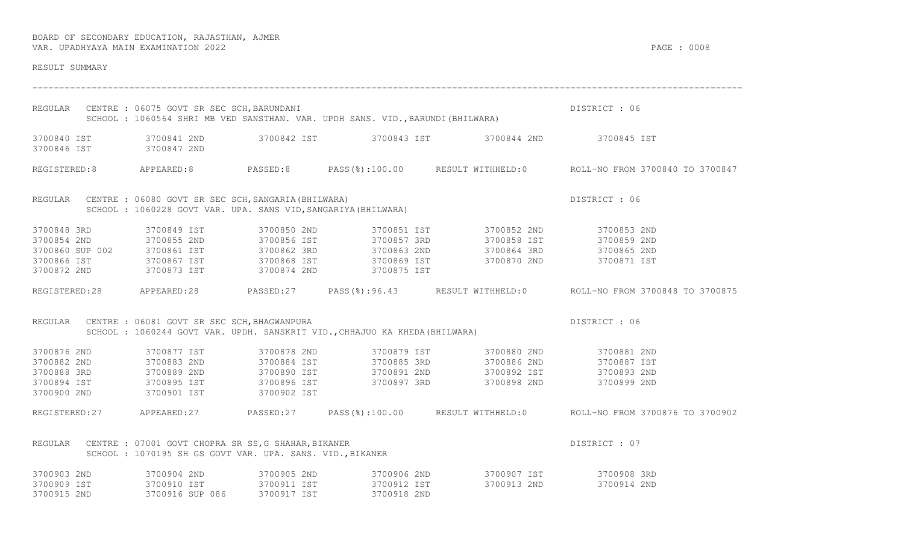| RESULT SUMMARY                         |                                                                                                                                     |             |                                        |                                                                                                                                                                                                                                                                                                                                                                          |                                                                                                      |
|----------------------------------------|-------------------------------------------------------------------------------------------------------------------------------------|-------------|----------------------------------------|--------------------------------------------------------------------------------------------------------------------------------------------------------------------------------------------------------------------------------------------------------------------------------------------------------------------------------------------------------------------------|------------------------------------------------------------------------------------------------------|
|                                        | REGULAR CENTRE : 06075 GOVT SR SEC SCH, BARUNDANI<br>SCHOOL: 1060564 SHRI MB VED SANSTHAN. VAR. UPDH SANS. VID., BARUNDI (BHILWARA) |             |                                        |                                                                                                                                                                                                                                                                                                                                                                          | DISTRICT : 06                                                                                        |
| 3700846 IST 3700847 2ND                |                                                                                                                                     |             |                                        | 3700840 IST 3700841 2ND 3700842 IST 3700843 IST 3700844 2ND 3700845 IST                                                                                                                                                                                                                                                                                                  |                                                                                                      |
|                                        |                                                                                                                                     |             |                                        |                                                                                                                                                                                                                                                                                                                                                                          | REGISTERED:8 APPEARED:8 PASSED:8 PASS(%):100.00 RESULT WITHHELD:0 ROLL-NO FROM 3700840 TO 3700847    |
|                                        | REGULAR CENTRE : 06080 GOVT SR SEC SCH, SANGARIA (BHILWARA)                                                                         |             |                                        | SCHOOL : 1060228 GOVT VAR. UPA. SANGARIA (BHILWARA)<br>SCHOOL : 1060228 GOVT VAR. UPA. SANS VID, SANGARIYA (BHILWARA)                                                                                                                                                                                                                                                    | DISTRICT : 06                                                                                        |
|                                        | 3700848 3RD 3700849 IST 3700850 2ND                                                                                                 |             |                                        | 3700851 IST 3700852 2ND 3700853 2ND<br>$\begin{array}{cccccccccccc} 3700854 & 2\text{ND} & & 3700855 & 2\text{ND} & & 3700856 & 1\text{ST} & & 3700857 & 3\text{RD} & & 3700858 & 1\text{ST} & & 3700859 & 2\text{ND} \\ 3700860 & \text{SUP} & 002 & & 3700861 & 1\text{ST} & & 3700862 & 3\text{RD} & & 3700863 & 2\text{ND} & & 3700864 & 3\text{RD} & & 3700865 & 2$ |                                                                                                      |
|                                        |                                                                                                                                     |             |                                        |                                                                                                                                                                                                                                                                                                                                                                          | REGISTERED:28 APPEARED:28 PASSED:27 PASS(%):96.43 RESULT WITHHELD:0 ROLL-NO FROM 3700848 TO 3700875  |
|                                        | REGULAR CENTRE : 06081 GOVT SR SEC SCH, BHAGWANPURA<br>SCHOOL: 1060244 GOVT VAR. UPDH. SANSKRIT VID., CHHAJUO KA KHEDA (BHILWARA)   |             |                                        |                                                                                                                                                                                                                                                                                                                                                                          | DISTRICT : 06                                                                                        |
|                                        |                                                                                                                                     |             |                                        | 3700876 2ND 3700877 IST 3700878 2ND 3700879 IST 3700880 2ND 3700881 2ND<br>3700882 2ND 3700883 2ND 3700884 IST 3700885 3RD 3700886 2ND 3700887 IST<br>3700888 3RD 3700889 2ND 3700890 IST 3700891 2ND 3700892 IST 3700894 IST 3700893 2ND<br>3700894 IST 3700895 IST 3700896 IST 3700897 3RD 3700898 2ND 370089                                                          |                                                                                                      |
|                                        |                                                                                                                                     |             |                                        |                                                                                                                                                                                                                                                                                                                                                                          | REGISTERED:27 APPEARED:27 PASSED:27 PASS(%):100.00 RESULT WITHHELD:0 ROLL-NO FROM 3700876 TO 3700902 |
| REGULAR                                | CENTRE : 07001 GOVT CHOPRA SR SS, G SHAHAR, BIKANER<br>SCHOOL : 1070195 SH GS GOVT VAR. UPA. SANS. VID., BIKANER                    |             |                                        |                                                                                                                                                                                                                                                                                                                                                                          | DISTRICT : 07                                                                                        |
| 3700909 IST 3700910 IST<br>3700915 2ND | 3700916 SUP 086                                                                                                                     | 3700917 IST | 3700911 IST 3700912 IST<br>3700918 2ND | 3700903 2ND 3700904 2ND 3700905 2ND 3700906 2ND 3700906 2ND 3700907 IST 3700908 3RD<br>3700913 2ND                                                                                                                                                                                                                                                                       | 3700914 2ND                                                                                          |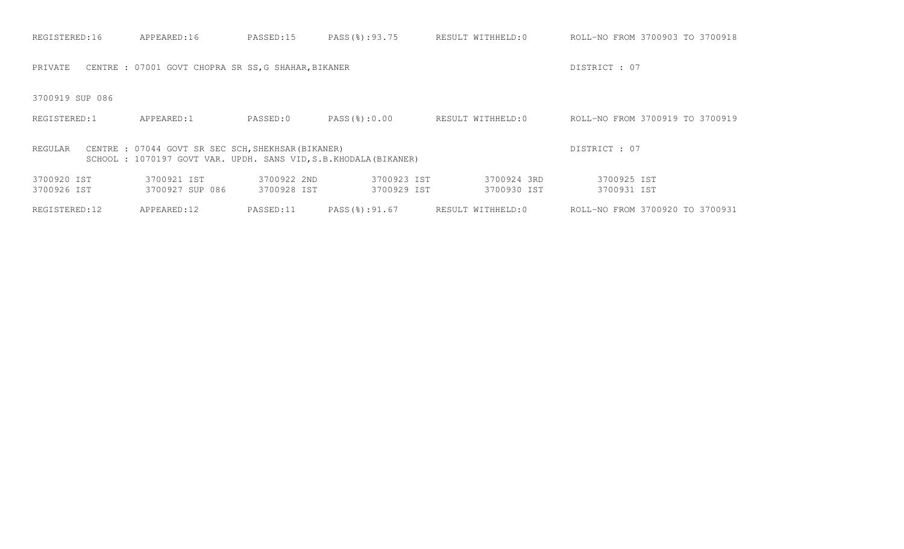| REGISTERED:16              | APPEARED:16                                                                                                             | PASSED:15                  | PASS(%):93.75              | RESULT WITHHELD:0          | ROLL-NO FROM 3700903 TO 3700918 |
|----------------------------|-------------------------------------------------------------------------------------------------------------------------|----------------------------|----------------------------|----------------------------|---------------------------------|
| PRIVATE                    | CENTRE : 07001 GOVT CHOPRA SR SS, G SHAHAR, BIKANER                                                                     |                            |                            |                            | DISTRICT : 07                   |
| 3700919 SUP 086            |                                                                                                                         |                            |                            |                            |                                 |
| REGISTERED:1               | APPEARED:1                                                                                                              | PASSED:0                   | PASS(8):0.00               | RESULT WITHHELD:0          | ROLL-NO FROM 3700919 TO 3700919 |
| REGULAR                    | CENTRE : 07044 GOVT SR SEC SCH, SHEKHSAR (BIKANER)<br>SCHOOL : 1070197 GOVT VAR. UPDH. SANS VID, S.B. KHODALA (BIKANER) |                            |                            |                            | DISTRICT: 07                    |
| 3700920 IST<br>3700926 IST | 3700921 IST<br>3700927 SUP 086                                                                                          | 3700922 2ND<br>3700928 IST | 3700923 IST<br>3700929 IST | 3700924 3RD<br>3700930 IST | 3700925 IST<br>3700931 IST      |
| REGISTERED:12              | APPEARED:12                                                                                                             | PASSED:11                  | PASS(%):91.67              | RESULT WITHHELD:0          | ROLL-NO FROM 3700920 TO 3700931 |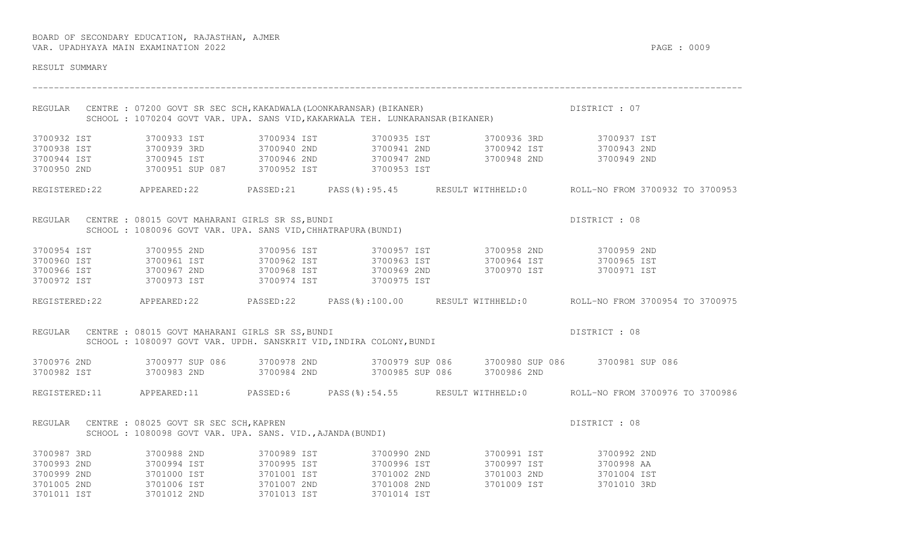| RESULT SUMMARY             |                                                                                                                                                              |                            |             |             |             |                                                                                                                                                                                                                                                                                |
|----------------------------|--------------------------------------------------------------------------------------------------------------------------------------------------------------|----------------------------|-------------|-------------|-------------|--------------------------------------------------------------------------------------------------------------------------------------------------------------------------------------------------------------------------------------------------------------------------------|
|                            | REGULAR CENTRE : 07200 GOVT SR SEC SCH, KAKADWALA (LOONKARANSAR) (BIKANER)<br>SCHOOL : 1070204 GOVT VAR. UPA. SANS VID, KAKARWALA TEH. LUNKARANSAR (BIKANER) |                            |             |             |             | DISTRICT : 07                                                                                                                                                                                                                                                                  |
| 3700932 IST                |                                                                                                                                                              | 3700933 IST                |             |             |             | 3700934 IST 3700935 IST 3700936 3RD 3700937 IST                                                                                                                                                                                                                                |
| 3700938 IST                |                                                                                                                                                              |                            |             |             |             | 3700939 3RD    3700940 2ND    3700941 2ND    3700942 IST    3700943 2ND                                                                                                                                                                                                        |
|                            |                                                                                                                                                              |                            |             |             |             | $\begin{array}{cccccccc} 3700944 & \text{IST} & 3700945 & \text{IST} & 3700946 & \text{2ND} & 3700947 & \text{2ND} & 3700948 & \text{2ND} & 3700950 & 3700949 & \text{2ND} & 3700950 & 3700951 & \text{SUP} & 087 & 3700952 & \text{IST} & 3700953 & \text{IST} & \end{array}$ |
|                            |                                                                                                                                                              |                            |             |             |             |                                                                                                                                                                                                                                                                                |
|                            |                                                                                                                                                              |                            |             |             |             | REGISTERED:22 APPEARED:22 PASSED:21 PASS(%):95.45 RESULT WITHHELD:0 ROLL-NO FROM 3700932 TO 3700953                                                                                                                                                                            |
|                            | REGULAR CENTRE : 08015 GOVT MAHARANI GIRLS SR SS, BUNDI<br>SCHOOL : 1080096 GOVT VAR. UPA. SANS VID, CHHATRAPURA (BUNDI)                                     |                            |             |             |             | DISTRICT : 08                                                                                                                                                                                                                                                                  |
|                            |                                                                                                                                                              |                            |             |             |             |                                                                                                                                                                                                                                                                                |
|                            |                                                                                                                                                              |                            |             |             |             | 3700954 IST              3700955 2ND            3700956 IST            3700957 IST            3700958 2ND            3700959 2ND<br>3700960 IST            3700961 IST          3700962 IST        3700963 IST        3700964 IST                                              |
|                            |                                                                                                                                                              |                            |             |             |             |                                                                                                                                                                                                                                                                                |
|                            | 3700972 IST 3700973 IST 3700974 IST 3700975 IST                                                                                                              |                            |             |             |             |                                                                                                                                                                                                                                                                                |
|                            |                                                                                                                                                              |                            |             |             |             | REGISTERED:22 APPEARED:22 PASSED:22 PASS(%):100.00 RESULT WITHHELD:0 ROLL-NO FROM 3700954 TO 3700975                                                                                                                                                                           |
|                            | REGULAR CENTRE : 08015 GOVT MAHARANI GIRLS SR SS, BUNDI<br>SCHOOL: 1080097 GOVT VAR. UPDH. SANSKRIT VID, INDIRA COLONY, BUNDI                                |                            |             |             |             | DISTRICT : 08                                                                                                                                                                                                                                                                  |
|                            | 3700982 IST      3700983 2ND       3700984 2ND       3700985 SUP 086    3700986 2ND                                                                          |                            |             |             |             | 3700976 2ND 3700977 SUP 086 3700978 2ND 3700979 SUP 086 3700980 SUP 086 3700981 SUP 086                                                                                                                                                                                        |
|                            |                                                                                                                                                              |                            |             |             |             | REGISTERED:11 APPEARED:11 PASSED:6 PASS(%):54.55 RESULT WITHHELD:0 ROLL-NO FROM 3700976 TO 3700986                                                                                                                                                                             |
|                            | REGULAR CENTRE : 08025 GOVT SR SEC SCH, KAPREN<br>SCHOOL: 1080098 GOVT VAR. UPA. SANS. VID., AJANDA (BUNDI)                                                  |                            |             |             |             | DISTRICT : 08                                                                                                                                                                                                                                                                  |
| 3700987 3RD                |                                                                                                                                                              | 3700988 2ND                |             |             |             | 3700989 IST              3700990 2ND              3700991 IST              3700992 2ND<br>3700995 IST            3700996 IST            3700997 IST          3700998 AA<br>3701001 IST            3701002 2ND          3701003 2ND                                             |
| 3700993 2ND<br>3700993 2ND |                                                                                                                                                              |                            |             |             |             | $3701003$ and $3701004$ and $3701004$ for $3701004$ for $3701004$ for $3701004$ for $3701004$ for $3701004$ for $3701004$ for $3701004$ for $3701004$ for $3701004$ for $3701004$ for $3701004$ for $3701004$ for $3701004$ f                                                  |
|                            |                                                                                                                                                              | 3700994 IST<br>3701000 IST |             | 3701002 2ND |             |                                                                                                                                                                                                                                                                                |
| 3701005 2ND                | 3701006 IST                                                                                                                                                  |                            | 3701007 2ND | 3701008 2ND | 3701009 IST | 3701010 3RD                                                                                                                                                                                                                                                                    |
| 3701011 IST                | 3701012 2ND                                                                                                                                                  |                            | 3701013 IST | 3701014 IST |             |                                                                                                                                                                                                                                                                                |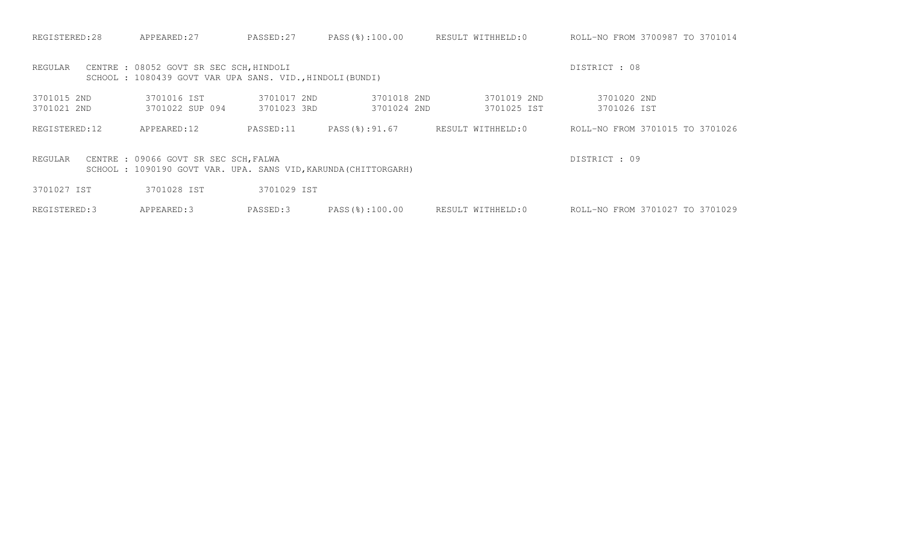| REGISTERED:28              | APPEARED: 27                                                                                            | PASSED:27                  | PASS(%):100.00             | RESULT WITHHELD:0          | ROLL-NO FROM 3700987 TO 3701014 |
|----------------------------|---------------------------------------------------------------------------------------------------------|----------------------------|----------------------------|----------------------------|---------------------------------|
| REGULAR                    | CENTRE : 08052 GOVT SR SEC SCH, HINDOLI<br>SCHOOL: 1080439 GOVT VAR UPA SANS. VID., HINDOLI (BUNDI)     |                            |                            |                            | DISTRICT : 08                   |
| 3701015 2ND<br>3701021 2ND | 3701016 IST<br>3701022 SUP 094                                                                          | 3701017 2ND<br>3701023 3RD | 3701018 2ND<br>3701024 2ND | 3701019 2ND<br>3701025 IST | 3701020 2ND<br>3701026 IST      |
| REGISTERED:12              | APPEARED:12                                                                                             | PASSED:11                  | PASS(%):91.67              | RESULT WITHHELD:0          | ROLL-NO FROM 3701015 TO 3701026 |
| REGULAR                    | CENTRE : 09066 GOVT SR SEC SCH, FALWA<br>SCHOOL: 1090190 GOVT VAR. UPA. SANS VID, KARUNDA (CHITTORGARH) |                            |                            |                            | DISTRICT: 09                    |
| 3701027 IST                | 3701028 IST                                                                                             | 3701029 IST                |                            |                            |                                 |
| REGISTERED: 3              | APPEARED: 3                                                                                             | PASSED:3                   | PASS(%):100.00             | RESULT WITHHELD:0          | ROLL-NO FROM 3701027 TO 3701029 |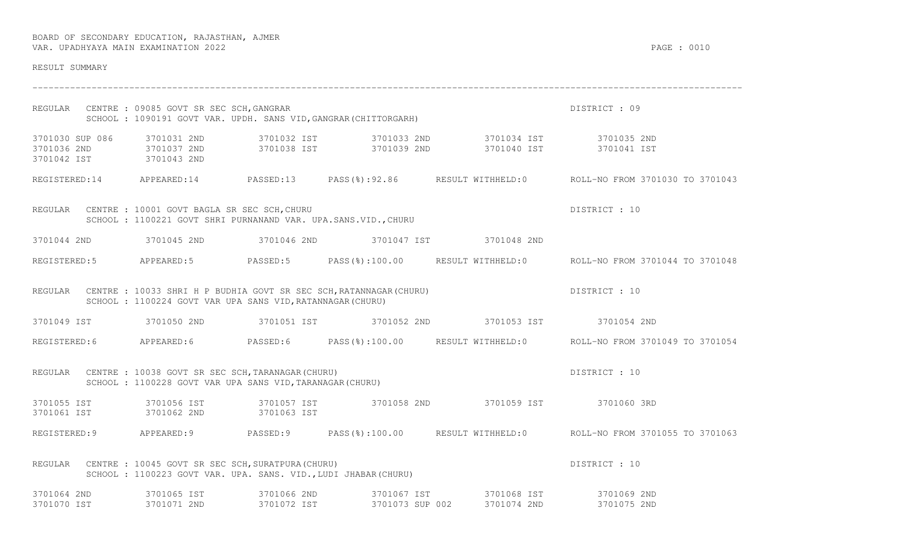| RESULT SUMMARY                                                        |                                                                                                                         |             |                                                                            |                                                                                                                    |                                                                                                     |
|-----------------------------------------------------------------------|-------------------------------------------------------------------------------------------------------------------------|-------------|----------------------------------------------------------------------------|--------------------------------------------------------------------------------------------------------------------|-----------------------------------------------------------------------------------------------------|
|                                                                       | REGULAR CENTRE : 09085 GOVT SR SEC SCH, GANGRAR                                                                         |             | SCHOOL: 1090191 GOVT VAR. UPDH. SANS VID, GANGRAR (CHITTORGARH)            |                                                                                                                    | DISTRICT : 09                                                                                       |
| 3701030 SUP 086 3701031 2ND<br>3701036 2ND 3701037 2ND<br>3701042 IST | 3701043 2ND                                                                                                             |             |                                                                            | 3701038 IST 3701039 2ND 3701040 IST                                                                                | 3701041 IST                                                                                         |
|                                                                       |                                                                                                                         |             |                                                                            |                                                                                                                    | REGISTERED:14 APPEARED:14 PASSED:13 PASS(%):92.86 RESULT WITHHELD:0 ROLL-NO FROM 3701030 TO 3701043 |
|                                                                       | REGULAR CENTRE : 10001 GOVT BAGLA SR SEC SCH, CHURU<br>SCHOOL : 1100221 GOVT SHRI PURNANAND VAR. UPA. SANS. VID., CHURU |             |                                                                            |                                                                                                                    | DISTRICT : 10                                                                                       |
| 3701044 2ND                                                           |                                                                                                                         |             |                                                                            | 3701045 2ND 3701046 2ND 3701047 IST 3701048 2ND                                                                    |                                                                                                     |
|                                                                       |                                                                                                                         |             |                                                                            |                                                                                                                    | REGISTERED:5 APPEARED:5 PASSED:5 PASS(%):100.00 RESULT WITHHELD:0 ROLL-NO FROM 3701044 TO 3701048   |
|                                                                       | SCHOOL : 1100224 GOVT VAR UPA SANS VID, RATANNAGAR (CHURU)                                                              |             | REGULAR CENTRE : 10033 SHRI H P BUDHIA GOVT SR SEC SCH, RATANNAGAR (CHURU) |                                                                                                                    | DISTRICT : 10                                                                                       |
| 3701049 IST 3701050 2ND                                               |                                                                                                                         |             |                                                                            |                                                                                                                    |                                                                                                     |
|                                                                       |                                                                                                                         |             |                                                                            |                                                                                                                    | REGISTERED:6 APPEARED:6 PASSED:6 PASS(%):100.00 RESULT WITHHELD:0 ROLL-NO FROM 3701049 TO 3701054   |
|                                                                       | REGULAR CENTRE : 10038 GOVT SR SEC SCH, TARANAGAR (CHURU)<br>SCHOOL : 1100228 GOVT VAR UPA SANS VID, TARANAGAR (CHURU)  |             |                                                                            |                                                                                                                    | DISTRICT : 10                                                                                       |
| 3701055 IST 3701056 IST<br>3701061 IST                                | 3701062 2ND                                                                                                             | 3701063 IST |                                                                            | 3701057 IST 3701058 2ND 3701059 IST 3701060 3RD                                                                    |                                                                                                     |
| REGISTERED: 9                                                         | APPEARED: 9 PASSED: 9                                                                                                   |             |                                                                            |                                                                                                                    | PASS(%):100.00 RESULT WITHHELD:0 ROLL-NO FROM 3701055 TO 3701063                                    |
| REGULAR                                                               | CENTRE : 10045 GOVT SR SEC SCH, SURATPURA (CHURU)<br>SCHOOL : 1100223 GOVT VAR. UPA. SANS. VID., LUDI JHABAR (CHURU)    |             |                                                                            |                                                                                                                    | DISTRICT : 10                                                                                       |
| 3701064 2ND                                                           | 3701065 IST                                                                                                             | 3701066 2ND |                                                                            | 3701067 IST 3701068 IST 3701069 2ND<br>3701070 IST 3701071 2ND 3701072 IST 3701073 SUP 002 3701074 2ND 3701075 2ND |                                                                                                     |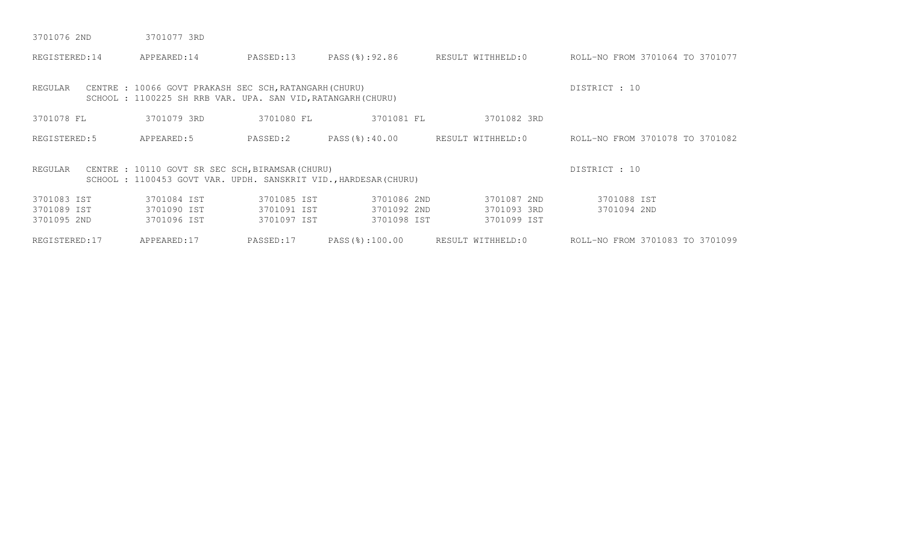| 3701076 2ND | 3701077 3RD |  |
|-------------|-------------|--|
|             |             |  |

| REGISTERED:14                             | APPEARED:14                                                                                                           | PASSED:13                                 | PASS(%):92.86                             | RESULT WITHHELD:0                         | ROLL-NO FROM 3701064 TO 3701077 |
|-------------------------------------------|-----------------------------------------------------------------------------------------------------------------------|-------------------------------------------|-------------------------------------------|-------------------------------------------|---------------------------------|
| REGULAR                                   | CENTRE : 10066 GOVT PRAKASH SEC SCH, RATANGARH (CHURU)<br>SCHOOL: 1100225 SH RRB VAR. UPA. SAN VID, RATANGARH (CHURU) |                                           |                                           |                                           | DISTRICT : 10                   |
| 3701078 FL                                | 3701079 3RD                                                                                                           | 3701080 FL                                | 3701081 FL                                | 3701082 3RD                               |                                 |
| REGISTERED: 5                             | APPEARED: 5                                                                                                           | PASSED:2                                  | PASS(%):40.00                             | RESULT WITHHELD:0                         | ROLL-NO FROM 3701078 TO 3701082 |
| REGULAR                                   | CENTRE : 10110 GOVT SR SEC SCH, BIRAMSAR (CHURU)<br>SCHOOL: 1100453 GOVT VAR. UPDH. SANSKRIT VID., HARDESAR (CHURU)   |                                           |                                           |                                           | DISTRICT : 10                   |
| 3701083 IST<br>3701089 IST<br>3701095 2ND | 3701084 IST<br>3701090 IST<br>3701096 IST                                                                             | 3701085 IST<br>3701091 IST<br>3701097 IST | 3701086 2ND<br>3701092 2ND<br>3701098 IST | 3701087 2ND<br>3701093 3RD<br>3701099 IST | 3701088 IST<br>3701094 2ND      |
| REGISTERED:17                             | APPEARED:17                                                                                                           | PASSED:17                                 | PASS(%):100.00                            | RESULT WITHHELD:0                         | ROLL-NO FROM 3701083 TO 3701099 |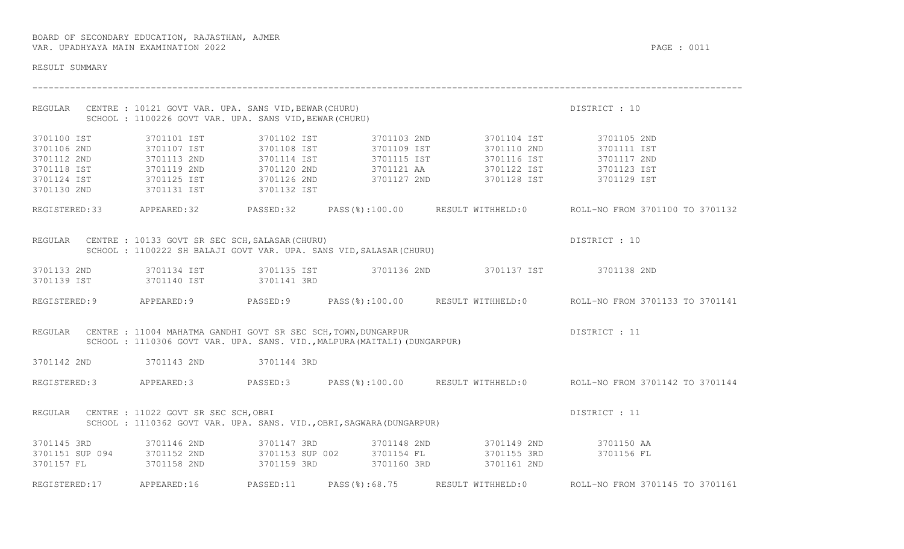| RESULT SUMMARY                            |                                                                                                                         |                                                                          |                                                                                                                                                                                                                                                                                                                                                                                                                                                                                                                                                                                                                                 |                                                                                                      |
|-------------------------------------------|-------------------------------------------------------------------------------------------------------------------------|--------------------------------------------------------------------------|---------------------------------------------------------------------------------------------------------------------------------------------------------------------------------------------------------------------------------------------------------------------------------------------------------------------------------------------------------------------------------------------------------------------------------------------------------------------------------------------------------------------------------------------------------------------------------------------------------------------------------|------------------------------------------------------------------------------------------------------|
|                                           | REGULAR CENTRE : 10121 GOVT VAR. UPA. SANS VID, BEWAR (CHURU)<br>SCHOOL: 1100226 GOVT VAR. UPA. SANS VID, BEWAR (CHURU) |                                                                          |                                                                                                                                                                                                                                                                                                                                                                                                                                                                                                                                                                                                                                 | DISTRICT : 10                                                                                        |
| 3701100 IST<br>3701106 2ND<br>3701112 2ND | 3701113 2ND                                                                                                             |                                                                          | 3701101 IST              3701102 IST            3701103 2ND              3701104 IST              3701105 2ND<br>3701107 IST            3701108 IST          3701109 IST          3701110 2ND            3701111 IST<br>3701114 IST 3701115 IST 3701116 IST 3701117 2ND<br>$\begin{array}{cccccccc} 3701118 & \text{IST} & & 3701119 & 2\text{ND} & & 3701120 & 2\text{ND} & & 3701121 & \text{AA} & & 3701122 & \text{IST} & & 3701123 & \text{IST} \\ 3701124 & \text{IST} & & 3701125 & \text{IST} & & 3701126 & 2\text{ND} & & 3701127 & 2\text{ND} & & 3701128 & \text{IST} & & 3701129 & \text{IST} \\ 3701130 & 2\text{$ |                                                                                                      |
|                                           |                                                                                                                         |                                                                          |                                                                                                                                                                                                                                                                                                                                                                                                                                                                                                                                                                                                                                 | REGISTERED:33 APPEARED:32 PASSED:32 PASS(%):100.00 RESULT WITHHELD:0 ROLL-NO FROM 3701100 TO 3701132 |
|                                           | REGULAR CENTRE : 10133 GOVT SR SEC SCH, SALASAR (CHURU)                                                                 |                                                                          | CENTRE : 10133 GOVT SR SEC SCH, SALASAR(CHURU)<br>SCHOOL : 1100222 SH BALAJI GOVT VAR. UPA. SANS VID, SALASAR(CHURU)                                                                                                                                                                                                                                                                                                                                                                                                                                                                                                            | DISTRICT : 10                                                                                        |
|                                           | 3701139 IST 3701140 IST 3701141 3RD                                                                                     |                                                                          | 3701133 2ND 3701134 IST 3701135 IST 3701136 2ND 3701137 IST 3701138 2ND                                                                                                                                                                                                                                                                                                                                                                                                                                                                                                                                                         |                                                                                                      |
|                                           |                                                                                                                         |                                                                          |                                                                                                                                                                                                                                                                                                                                                                                                                                                                                                                                                                                                                                 | REGISTERED:9 APPEARED:9 PASSED:9 PASS(%):100.00 RESULT WITHHELD:0 ROLL-NO FROM 3701133 TO 3701141    |
|                                           | REGULAR CENTRE : 11004 MAHATMA GANDHI GOVT SR SEC SCH, TOWN, DUNGARPUR                                                  | SCHOOL: 1110306 GOVT VAR. UPA. SANS. VID., MALPURA (MAITALI) (DUNGARPUR) | DISTRICT : 11                                                                                                                                                                                                                                                                                                                                                                                                                                                                                                                                                                                                                   |                                                                                                      |
|                                           | 3701142 2ND 3701143 2ND 3701144 3RD                                                                                     |                                                                          |                                                                                                                                                                                                                                                                                                                                                                                                                                                                                                                                                                                                                                 |                                                                                                      |
|                                           |                                                                                                                         |                                                                          |                                                                                                                                                                                                                                                                                                                                                                                                                                                                                                                                                                                                                                 | REGISTERED:3 APPEARED:3 PASSED:3 PASS(%):100.00 RESULT WITHHELD:0 ROLL-NO FROM 3701142 TO 3701144    |
|                                           | REGULAR CENTRE : 11022 GOVT SR SEC SCH, OBRI                                                                            | SCHOOL : 1110362 GOVT VAR. UPA. SANS. VID., OBRI, SAGWARA (DUNGARPUR)    |                                                                                                                                                                                                                                                                                                                                                                                                                                                                                                                                                                                                                                 | DISTRICT : 11                                                                                        |
|                                           |                                                                                                                         |                                                                          |                                                                                                                                                                                                                                                                                                                                                                                                                                                                                                                                                                                                                                 |                                                                                                      |
| REGISTERED:17 APPEARED:16                 |                                                                                                                         | PASSED:11  PASS(%):68.75  RESULT WITHHELD:0                              |                                                                                                                                                                                                                                                                                                                                                                                                                                                                                                                                                                                                                                 | ROLL-NO FROM 3701145 TO 3701161                                                                      |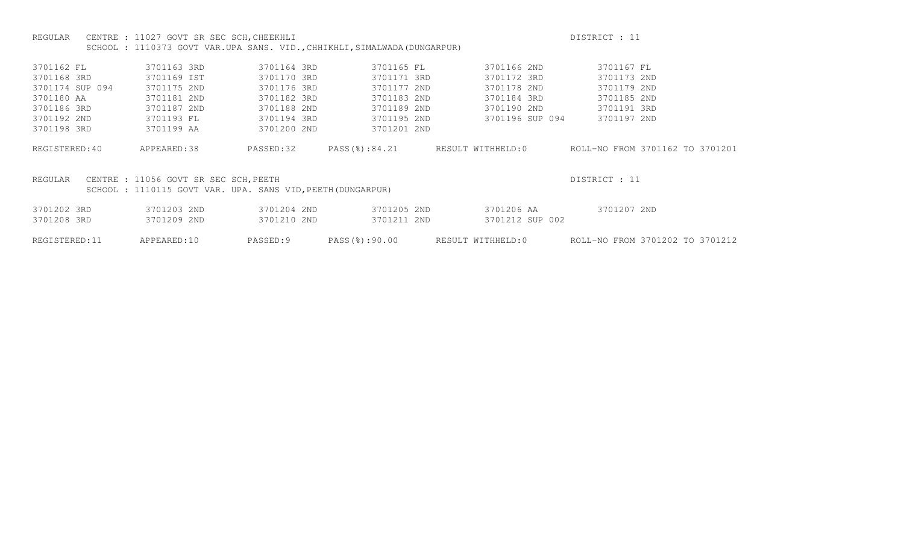## REGULAR CENTRE : 11027 GOVT SR SEC SCH, CHEEKHLI DISTRICT CHEEKHERE DISTRICT : 11 SCHOOL : 1110373 GOVT VAR.UPA SANS. VID.,CHHIKHLI,SIMALWADA(DUNGARPUR)

| 3701163 3RD | 3701164 3RD  | 3701165 FL                                         | 3701166 2ND                                                                 | 3701167 FL                                                                                                                                                                                                 |
|-------------|--------------|----------------------------------------------------|-----------------------------------------------------------------------------|------------------------------------------------------------------------------------------------------------------------------------------------------------------------------------------------------------|
| 3701169 IST | 3701170 3RD  |                                                    | 3701172 3RD                                                                 | 3701173 2ND                                                                                                                                                                                                |
| 3701175 2ND | 3701176 3RD  |                                                    | 3701178 2ND                                                                 | 3701179 2ND                                                                                                                                                                                                |
| 3701181 2ND | 3701182 3RD  |                                                    | 3701184 3RD                                                                 | 3701185 2ND                                                                                                                                                                                                |
| 3701187 2ND | 3701188 2ND  |                                                    | 3701190 2ND                                                                 | 3701191 3RD                                                                                                                                                                                                |
| 3701193 FL  | 3701194 3RD  |                                                    | 3701196 SUP 094                                                             | 3701197 2ND                                                                                                                                                                                                |
| 3701199 AA  | 3701200 2ND  |                                                    |                                                                             |                                                                                                                                                                                                            |
|             |              |                                                    |                                                                             |                                                                                                                                                                                                            |
|             |              |                                                    |                                                                             | ROLL-NO FROM 3701162 TO 3701201                                                                                                                                                                            |
|             |              |                                                    |                                                                             |                                                                                                                                                                                                            |
|             |              |                                                    |                                                                             | DISTRICT : 11                                                                                                                                                                                              |
|             |              |                                                    |                                                                             |                                                                                                                                                                                                            |
|             |              |                                                    |                                                                             |                                                                                                                                                                                                            |
| 3701203 2ND | 3701204 2ND  |                                                    | 3701206 AA                                                                  | 3701207 2ND                                                                                                                                                                                                |
| 3701209 2ND | 3701210 2ND  |                                                    | 3701212 SUP 002                                                             |                                                                                                                                                                                                            |
|             |              |                                                    |                                                                             | ROLL-NO FROM 3701202 TO 3701212                                                                                                                                                                            |
|             | APPEARED: 38 | PASSED:32<br>CENTRE : 11056 GOVT SR SEC SCH, PEETH | PASS(%):84.21<br>SCHOOL: 1110115 GOVT VAR. UPA. SANS VID, PEETH (DUNGARPUR) | 3701171 3RD<br>3701177 2ND<br>3701183 2ND<br>3701189 2ND<br>3701195 2ND<br>3701201 2ND<br>RESULT WITHHELD:0<br>3701205 2ND<br>3701211 2ND<br>APPEARED:10<br>PASSED:9<br>PASS(8):90.00<br>RESULT WITHHELD:0 |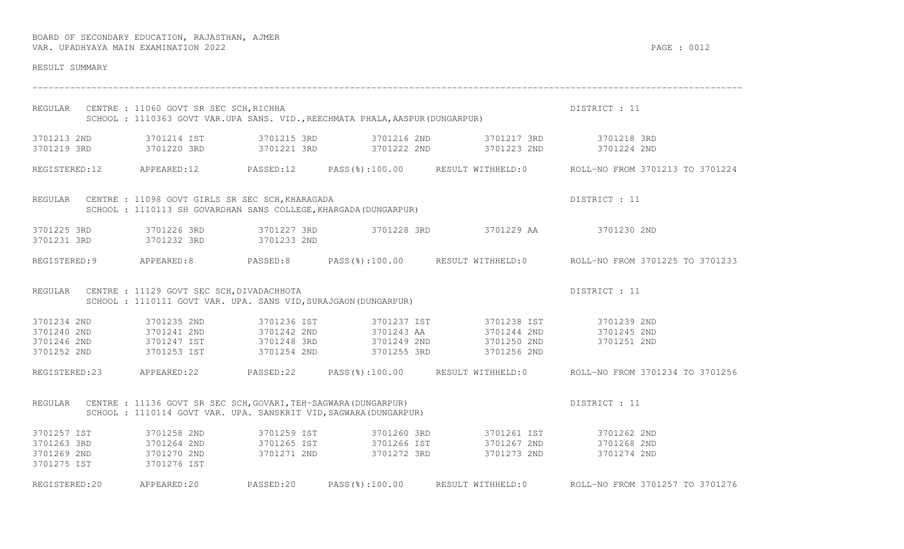| RESULT SUMMARY                                                       |                                                                                                                      |                                                                              |                                                                                                                                                                                                                                                                                                           |                                                                                                      |
|----------------------------------------------------------------------|----------------------------------------------------------------------------------------------------------------------|------------------------------------------------------------------------------|-----------------------------------------------------------------------------------------------------------------------------------------------------------------------------------------------------------------------------------------------------------------------------------------------------------|------------------------------------------------------------------------------------------------------|
|                                                                      | REGULAR CENTRE : 11060 GOVT SR SEC SCH, RICHHA                                                                       | SCHOOL: 1110363 GOVT VAR.UPA SANS. VID., REECHMATA PHALA, AASPUR (DUNGARPUR) |                                                                                                                                                                                                                                                                                                           | DISTRICT : 11                                                                                        |
| 3701219 3RD                                                          |                                                                                                                      |                                                                              | 3701213 2ND 3701214 IST 3701215 3RD 3701216 2ND 3701217 3RD 3701218 3RD                                                                                                                                                                                                                                   |                                                                                                      |
|                                                                      |                                                                                                                      |                                                                              |                                                                                                                                                                                                                                                                                                           | REGISTERED:12 APPEARED:12 PASSED:12 PASS(%):100.00 RESULT WITHHELD:0 ROLL-NO FROM 3701213 TO 3701224 |
|                                                                      | REGULAR CENTRE : 11098 GOVT GIRLS SR SEC SCH, KHARAGADA                                                              | SCHOOL : 1110113 SH GOVARDHAN SANS COLLEGE, KHARGADA (DUNGARPUR)             |                                                                                                                                                                                                                                                                                                           | DISTRICT : 11                                                                                        |
| 3701231 3RD                                                          | 3701232 3RD 3701233 2ND                                                                                              |                                                                              | 3701225 3RD 3701226 3RD 3701227 3RD 3701228 3RD 3701229 AA 3701230 2ND                                                                                                                                                                                                                                    |                                                                                                      |
|                                                                      |                                                                                                                      |                                                                              |                                                                                                                                                                                                                                                                                                           | REGISTERED:9 APPEARED:8 PASSED:8 PASS(%):100.00 RESULT WITHHELD:0 ROLL-NO FROM 3701225 TO 3701233    |
|                                                                      | REGULAR CENTRE : 11129 GOVT SEC SCH, DIVADACHHOTA<br>SCHOOL : 1110111 GOVT VAR. UPA. SANS VID, SURAJGAON (DUNGARPUR) |                                                                              |                                                                                                                                                                                                                                                                                                           | DISTRICT : 11                                                                                        |
| 3701234 2ND<br>3701240 2ND<br>3701246 2ND                            | 3701235 2ND<br>3701252 2ND 3701253 IST 3701254 2ND                                                                   |                                                                              | 3701236 IST 3701237 IST 3701238 IST 3701239 2ND<br>3701241 2ND              3701242 2ND              3701243 AA                3701244 2ND              3701245 2ND<br>3701247 IST            3701248 3RD            3701249 2ND            3701250 2ND            3701251 2ND<br>3701255 3RD 3701256 2ND |                                                                                                      |
|                                                                      |                                                                                                                      |                                                                              |                                                                                                                                                                                                                                                                                                           | REGISTERED:23 APPEARED:22 PASSED:22 PASS(%):100.00 RESULT WITHHELD:0 ROLL-NO FROM 3701234 TO 3701256 |
| REGULAR                                                              | CENTRE : 11136 GOVT SR SEC SCH, GOVARI, TEH-SAGWARA (DUNGARPUR)                                                      | SCHOOL : 1110114 GOVT VAR. UPA. SANSKRIT VID, SAGWARA (DUNGARPUR)            |                                                                                                                                                                                                                                                                                                           | DISTRICT : 11                                                                                        |
| 3701257 IST<br>3701263 3RD<br>3701269 2ND 3701270 2ND<br>3701275 IST | 3701258 2ND<br>3701264 2ND<br>3701276 IST                                                                            | 3701271 2ND 3701272 3RD                                                      | 3701273 2ND                                                                                                                                                                                                                                                                                               | 3701274 2ND                                                                                          |
|                                                                      |                                                                                                                      |                                                                              |                                                                                                                                                                                                                                                                                                           | REGISTERED:20 APPEARED:20 PASSED:20 PASS(%):100.00 RESULT WITHHELD:0 ROLL-NO FROM 3701257 TO 3701276 |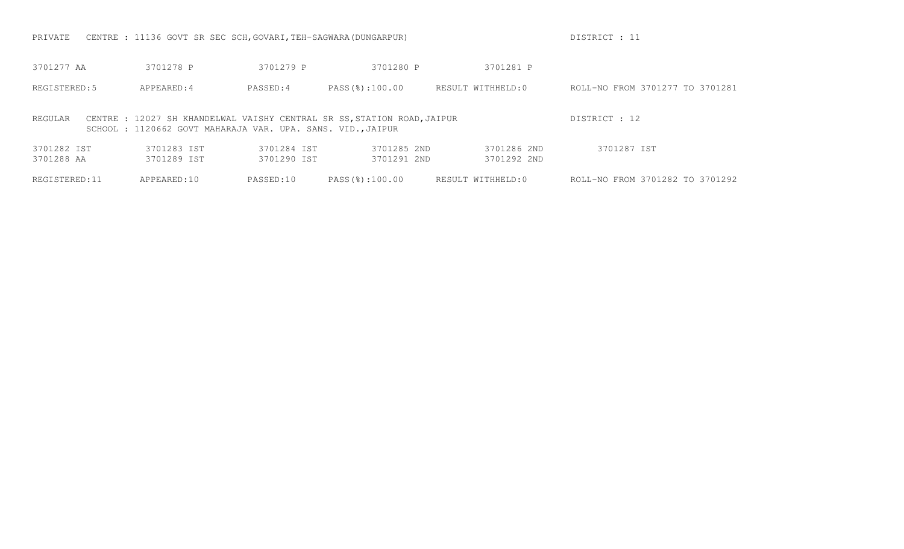PRIVATE CENTRE : 11136 GOVT SR SEC SCH, GOVARI, TEH-SAGWARA(DUNGARPUR) DESTRICT : 11

| 3701277 AA                | 3701278 P                                                  | 3701279 P                  | 3701280 P                                                               | 3701281 P                  |                                 |
|---------------------------|------------------------------------------------------------|----------------------------|-------------------------------------------------------------------------|----------------------------|---------------------------------|
| REGISTERED: 5             | APPEARED: 4                                                | PASSED:4                   | PASS(%):100.00                                                          | RESULT WITHHELD:0          | ROLL-NO FROM 3701277 TO 3701281 |
| REGULAR                   | SCHOOL: 1120662 GOVT MAHARAJA VAR. UPA. SANS. VID., JAIPUR |                            | CENTRE : 12027 SH KHANDELWAL VAISHY CENTRAL SR SS, STATION ROAD, JAIPUR |                            | DISTRICT : 12                   |
| 3701282 IST<br>3701288 AA | 3701283 IST<br>3701289 IST                                 | 3701284 TST<br>3701290 IST | 3701285 2ND<br>3701291 2ND                                              | 3701286 2ND<br>3701292 2ND | 3701287 IST                     |
| REGISTERED: 11            | APPEARED: 10                                               | PASSED:10                  | PASS(8):100.00                                                          | RESULT WITHHELD:0          | ROLL-NO FROM 3701282 TO 3701292 |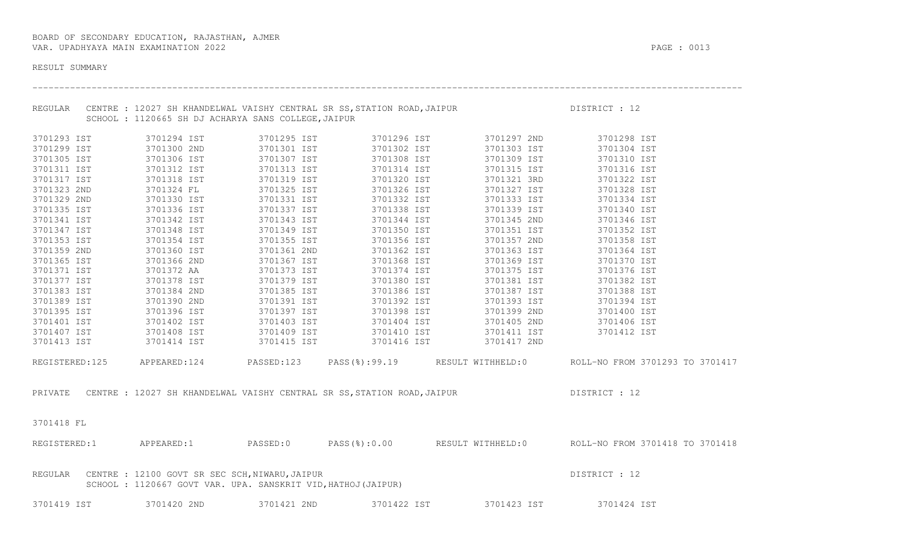| RESULT SUMMARY |                            |                                                                                                                         |                         |             |                                                                                                                                                                                                                                                                                                                                                                       |                                                                                                        |
|----------------|----------------------------|-------------------------------------------------------------------------------------------------------------------------|-------------------------|-------------|-----------------------------------------------------------------------------------------------------------------------------------------------------------------------------------------------------------------------------------------------------------------------------------------------------------------------------------------------------------------------|--------------------------------------------------------------------------------------------------------|
|                |                            | SCHOOL : 1120665 SH DJ ACHARYA SANS COLLEGE, JAIPUR                                                                     |                         |             | REGULAR CENTRE : 12027 SH KHANDELWAL VAISHY CENTRAL SR SS, STATION ROAD, JAIPUR DISTRICT : 12                                                                                                                                                                                                                                                                         |                                                                                                        |
|                | 3701293 IST                |                                                                                                                         |                         |             | 3701294 IST       3701295 IST       3701296 IST       3701297 2ND       3701298 IST                                                                                                                                                                                                                                                                                   |                                                                                                        |
|                |                            |                                                                                                                         |                         |             |                                                                                                                                                                                                                                                                                                                                                                       | 3701304 IST                                                                                            |
|                |                            |                                                                                                                         |                         |             |                                                                                                                                                                                                                                                                                                                                                                       | 3701310 IST                                                                                            |
|                |                            |                                                                                                                         |                         |             | $\begin{array}{cccccccccccc} 3701299 & \text{IST} & & & 3701300 & 2\text{ND} & & & 3701301 & \text{IST} & & & 3701302 & \text{IST} & & & 3701303 & \text{IST} \\ 3701305 & \text{IST} & & & 3701306 & \text{IST} & & & 3701307 & \text{IST} & & & 3701308 & \text{IST} & & & 3701309 & \text{IST} \\ 3701311 & \text{IST} & & & 3701312 & \text{IST} & & & 3701313 &$ | 3701316 IST                                                                                            |
|                | 3701317 IST                | 3701318 IST 3701319 IST                                                                                                 |                         | 3701320 IST | 3701321 3RD                                                                                                                                                                                                                                                                                                                                                           | 3701322 IST                                                                                            |
| 3701323 2ND    |                            | 3701324 FL                                                                                                              | 3701325 IST             | 3701326 IST | 3701327 IST                                                                                                                                                                                                                                                                                                                                                           | 3701328 IST                                                                                            |
| 3701329 2ND    |                            |                                                                                                                         |                         |             |                                                                                                                                                                                                                                                                                                                                                                       | 3701334 IST                                                                                            |
| 3701335 IST    |                            |                                                                                                                         |                         |             |                                                                                                                                                                                                                                                                                                                                                                       | 3701340 IST                                                                                            |
| 3701341 IST    |                            | 3701342 IST 3701343 IST                                                                                                 |                         |             | 3701344 IST 3701345 2ND 3701346 IST                                                                                                                                                                                                                                                                                                                                   |                                                                                                        |
| 3701347 IST    |                            |                                                                                                                         |                         |             | 3701348 IST 3701349 IST 3701350 IST 3701351 IST                                                                                                                                                                                                                                                                                                                       | 3701352 IST                                                                                            |
|                | 3701353 IST<br>3701359 2ND |                                                                                                                         |                         |             |                                                                                                                                                                                                                                                                                                                                                                       | 3701358 IST                                                                                            |
|                |                            |                                                                                                                         |                         |             | 3701363 IST                                                                                                                                                                                                                                                                                                                                                           | 3701364 IST                                                                                            |
| 3701365 IST    |                            | 3701366 2ND 3701367 IST                                                                                                 |                         | 3701368 IST | 3701369 IST                                                                                                                                                                                                                                                                                                                                                           | 3701370 IST                                                                                            |
| 3701371 IST    |                            | 3701372 AA                                                                                                              |                         |             | 3701375 IST                                                                                                                                                                                                                                                                                                                                                           | 3701376 IST                                                                                            |
| 3701377 IST    |                            | 3701378 IST<br>3701384 2ND                                                                                              |                         |             |                                                                                                                                                                                                                                                                                                                                                                       | 3701382 IST                                                                                            |
| 3701383 IST    |                            |                                                                                                                         |                         |             |                                                                                                                                                                                                                                                                                                                                                                       | 3701388 IST                                                                                            |
| 3701389 IST    |                            | 3701390 2ND                                                                                                             |                         |             | 3701391 IST 3701392 IST 3701393 IST 3701394 IST                                                                                                                                                                                                                                                                                                                       |                                                                                                        |
|                |                            |                                                                                                                         |                         |             | $\begin{array}{cccccccccccc} 3701395 & 15T & 3701396 & 15T & 3701397 & 15T & 3701398 & 15T & 3701399 & 2ND & 3701400 & 15T \\ 3701401 & 15T & 3701402 & 15T & 3701403 & 15T & 3701404 & 15T & 3701405 & 2ND & 3701406 & 15T \\ 3701407 & 15T & 3701408 & 15T & 3701409 & 15T & 37$                                                                                    |                                                                                                        |
|                |                            |                                                                                                                         |                         |             |                                                                                                                                                                                                                                                                                                                                                                       |                                                                                                        |
|                |                            |                                                                                                                         |                         |             |                                                                                                                                                                                                                                                                                                                                                                       |                                                                                                        |
|                |                            |                                                                                                                         |                         |             | 3701413 IST 3701414 IST 3701415 IST 3701416 IST 3701417 2ND                                                                                                                                                                                                                                                                                                           |                                                                                                        |
|                |                            |                                                                                                                         |                         |             |                                                                                                                                                                                                                                                                                                                                                                       | REGISTERED:125 APPEARED:124 PASSED:123 PASS(%):99.19 RESULT WITHHELD:0 ROLL-NO FROM 3701293 TO 3701417 |
|                |                            |                                                                                                                         |                         |             | PRIVATE CENTRE : 12027 SH KHANDELWAL VAISHY CENTRAL SR SS, STATION ROAD, JAIPUR DISTRICT : 12                                                                                                                                                                                                                                                                         |                                                                                                        |
| 3701418 FL     |                            |                                                                                                                         |                         |             |                                                                                                                                                                                                                                                                                                                                                                       |                                                                                                        |
|                |                            |                                                                                                                         |                         |             |                                                                                                                                                                                                                                                                                                                                                                       | REGISTERED:1 APPEARED:1 PASSED:0 PASS(%):0.00 RESULT WITHHELD:0 ROLL-NO FROM 3701418 TO 3701418        |
|                |                            | REGULAR CENTRE : 12100 GOVT SR SEC SCH, NIWARU, JAIPUR<br>SCHOOL : 1120667 GOVT VAR. UPA. SANSKRIT VID, HATHOJ (JAIPUR) |                         |             |                                                                                                                                                                                                                                                                                                                                                                       | DISTRICT : 12                                                                                          |
|                |                            |                                                                                                                         | <u>amas da ang pang</u> |             | a manda a shekarar 1992, a manda a shekarar 1992, a shekarar 1992, a shekarar 1992, a shekarar 1992, a shekara                                                                                                                                                                                                                                                        |                                                                                                        |

3701419 IST 3701420 2ND 3701421 2ND 3701422 IST 3701423 IST 3701424 IST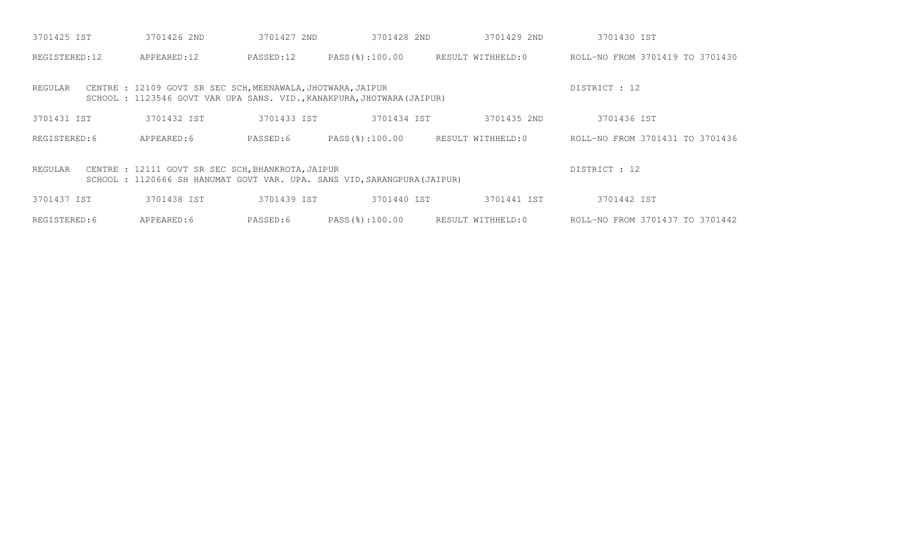| 3701425 IST                                                                                                                                              | 3701426 2ND                                                 | 3701427 2ND | 3701428 2ND                                                            | 3701429 2ND       | 3701430 IST                     |  |
|----------------------------------------------------------------------------------------------------------------------------------------------------------|-------------------------------------------------------------|-------------|------------------------------------------------------------------------|-------------------|---------------------------------|--|
| REGISTERED:12                                                                                                                                            | APPEARED:12                                                 | PASSED:12   | PASS(%):100.00                                                         | RESULT WITHHELD:0 | ROLL-NO FROM 3701419 TO 3701430 |  |
| REGULAR                                                                                                                                                  | CENTRE : 12109 GOVT SR SEC SCH, MEENAWALA, JHOTWARA, JAIPUR |             | SCHOOL : 1123546 GOVT VAR UPA SANS. VID., KANAKPURA, JHOTWARA (JAIPUR) |                   | DISTRICT : 12                   |  |
| 3701431 IST                                                                                                                                              | 3701432 IST                                                 | 3701433 IST | 3701434 IST                                                            | 3701435 2ND       | 3701436 IST                     |  |
| REGISTERED: 6                                                                                                                                            | APPEARED: 6                                                 | PASSED:6    | PASS(%):100.00                                                         | RESULT WITHHELD:0 | ROLL-NO FROM 3701431 TO 3701436 |  |
| DISTRICT : 12<br>CENTRE : 12111 GOVT SR SEC SCH, BHANKROTA, JAIPUR<br>REGULAR<br>SCHOOL: 1120666 SH HANUMAT GOVT VAR. UPA. SANS VID, SARANGPURA (JAIPUR) |                                                             |             |                                                                        |                   |                                 |  |
| 3701437 IST                                                                                                                                              | 3701438 IST                                                 | 3701439 IST | 3701440 IST                                                            | 3701441 IST       | 3701442 IST                     |  |
| REGISTERED: 6                                                                                                                                            | APPEARED: 6                                                 | PASSED:6    | PASS(%):100.00                                                         | RESULT WITHHELD:0 | ROLL-NO FROM 3701437 TO 3701442 |  |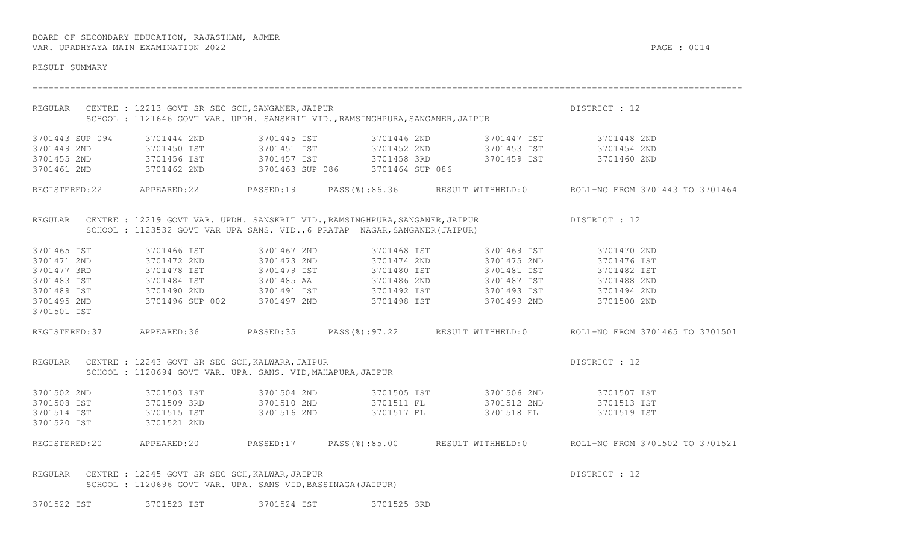| RESULT SUMMARY          |                                                                                                                        |                                                                            |                                                                                                                                                                                                                                                                                                                                                        |                                                                                                     |
|-------------------------|------------------------------------------------------------------------------------------------------------------------|----------------------------------------------------------------------------|--------------------------------------------------------------------------------------------------------------------------------------------------------------------------------------------------------------------------------------------------------------------------------------------------------------------------------------------------------|-----------------------------------------------------------------------------------------------------|
|                         | REGULAR CENTRE : 12213 GOVT SR SEC SCH, SANGANER, JAIPUR                                                               |                                                                            | CENTRE : 12213 GOVT SR SEC SCH, SANGANER, JAIPUR<br>SCHOOL : 1121646 GOVT VAR. UPDH. SANSKRIT VID.,RAMSINGHPURA,SANGANER,JAIPUR                                                                                                                                                                                                                        | DISTRICT : 12                                                                                       |
|                         | 3701443 SUP 094 3701444 2ND                                                                                            |                                                                            | 3701445 IST 3701446 2ND 3701447 IST 3701448 2ND                                                                                                                                                                                                                                                                                                        |                                                                                                     |
|                         |                                                                                                                        |                                                                            | 3701449 2ND 3701450 IST 3701451 IST 3701452 2ND 3701453 IST 3701454 2ND                                                                                                                                                                                                                                                                                |                                                                                                     |
|                         |                                                                                                                        |                                                                            |                                                                                                                                                                                                                                                                                                                                                        |                                                                                                     |
|                         |                                                                                                                        |                                                                            | 3701455 2ND 3701456 IST 3701457 IST 3701458 3RD 3701459 IST 3701460 2ND 3701460 2ND 3701460 2ND                                                                                                                                                                                                                                                        |                                                                                                     |
|                         |                                                                                                                        |                                                                            |                                                                                                                                                                                                                                                                                                                                                        | REGISTERED:22 APPEARED:22 PASSED:19 PASS(%):86.36 RESULT WITHHELD:0 ROLL-NO FROM 3701443 TO 3701464 |
|                         |                                                                                                                        | SCHOOL: 1123532 GOVT VAR UPA SANS. VID., 6 PRATAP NAGAR, SANGANER (JAIPUR) | REGULAR CENTRE : 12219 GOVT VAR. UPDH. SANSKRIT VID., RAMSINGHPURA, SANGANER, JAIPUR DISTRICT : 12                                                                                                                                                                                                                                                     |                                                                                                     |
| 3701465 IST             | 3701466 IST                                                                                                            |                                                                            | 3701467 2ND 3701468 IST 3701469 IST 3701470 2ND                                                                                                                                                                                                                                                                                                        |                                                                                                     |
| 3701471 2ND             |                                                                                                                        |                                                                            |                                                                                                                                                                                                                                                                                                                                                        |                                                                                                     |
| 3701477 3RD             |                                                                                                                        |                                                                            | 3701472 2ND                  3701473 2ND                   3701474 2ND                     3701475 2ND                    3701476 IST<br>3701478 IST                  3701479 IST                  3701480 IST                                                                                                                                         |                                                                                                     |
| 3701483 IST             |                                                                                                                        |                                                                            | 3701484 IST 3701485 AA 3701486 2ND 3701487 IST 3701488 2ND                                                                                                                                                                                                                                                                                             |                                                                                                     |
| 3701489 IST             |                                                                                                                        |                                                                            | 3701490 2ND                   3701491 IST                   3701492 IST                    3701493 IST                   3701494 2ND<br>3701496 SUP 002         3701497 2ND                   3701498 IST                    3701                                                                                                                      |                                                                                                     |
| 3701495 2ND             |                                                                                                                        |                                                                            |                                                                                                                                                                                                                                                                                                                                                        |                                                                                                     |
| 3701501 IST             |                                                                                                                        |                                                                            |                                                                                                                                                                                                                                                                                                                                                        |                                                                                                     |
|                         |                                                                                                                        |                                                                            |                                                                                                                                                                                                                                                                                                                                                        | REGISTERED:37 APPEARED:36 PASSED:35 PASS(%):97.22 RESULT WITHHELD:0 ROLL-NO FROM 3701465 TO 3701501 |
|                         | REGULAR CENTRE : 12243 GOVT SR SEC SCH, KALWARA, JAIPUR<br>SCHOOL : 1120694 GOVT VAR. UPA. SANS. VID, MAHAPURA, JAIPUR |                                                                            |                                                                                                                                                                                                                                                                                                                                                        | DISTRICT : 12                                                                                       |
|                         |                                                                                                                        |                                                                            | $\begin{array}{cccccccc} 3701502 & 2\texttt{ND} & & 3701503 & \texttt{IST} & & 3701504 & 2\texttt{ND} & & 3701505 & \texttt{IST} & & 3701506 & 2\texttt{ND} & & 3701507 & \texttt{IST} \\ 3701508 & \texttt{IST} & & 3701509 & 3\texttt{RD} & & 3701510 & 2\texttt{ND} & & 3701511 & \texttt{FL} & & 3701512 & 2\texttt{ND} & & 3701513 & \texttt{IST$ |                                                                                                     |
|                         |                                                                                                                        |                                                                            |                                                                                                                                                                                                                                                                                                                                                        |                                                                                                     |
| 3701514 IST 3701515 IST |                                                                                                                        | 3701516 2ND 3701517 FL                                                     |                                                                                                                                                                                                                                                                                                                                                        | 3701518 FL 3701519 IST                                                                              |
| 3701520 IST             | 3701521 2ND                                                                                                            |                                                                            |                                                                                                                                                                                                                                                                                                                                                        |                                                                                                     |
|                         |                                                                                                                        |                                                                            |                                                                                                                                                                                                                                                                                                                                                        | REGISTERED:20 APPEARED:20 PASSED:17 PASS(%):85.00 RESULT WITHHELD:0 ROLL-NO FROM 3701502 TO 3701521 |
| REGULAR                 | CENTRE : 12245 GOVT SR SEC SCH, KALWAR, JAIPUR<br>SCHOOL : 1120696 GOVT VAR. UPA. SANS VID, BASSINAGA (JAIPUR)         |                                                                            |                                                                                                                                                                                                                                                                                                                                                        | DISTRICT : 12                                                                                       |

3701522 IST 3701523 IST 3701524 IST 3701525 3RD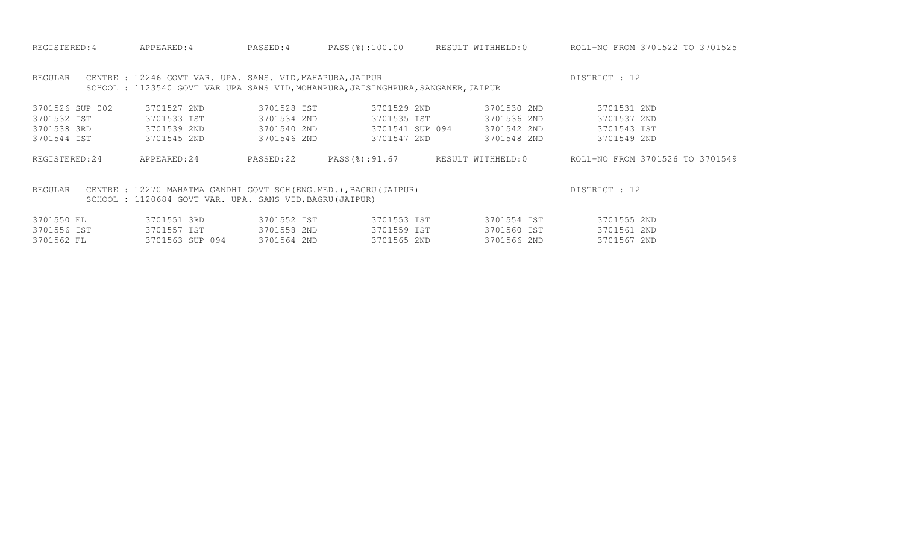| REGISTERED: 4                                                                                                                                            | APPEARED: 4                                                                                                                                   | PASSED: 4   | PASS(%):100.00  | RESULT WITHHELD:0 | ROLL-NO FROM 3701522 TO 3701525 |  |
|----------------------------------------------------------------------------------------------------------------------------------------------------------|-----------------------------------------------------------------------------------------------------------------------------------------------|-------------|-----------------|-------------------|---------------------------------|--|
| REGULAR                                                                                                                                                  | CENTRE : 12246 GOVT VAR. UPA. SANS. VID, MAHAPURA, JAIPUR<br>SCHOOL: 1123540 GOVT VAR UPA SANS VID, MOHANPURA, JAISINGHPURA, SANGANER, JAIPUR |             |                 |                   | DISTRICT : 12                   |  |
| 3701526 SUP 002                                                                                                                                          | 3701527 2ND                                                                                                                                   | 3701528 IST | 3701529 2ND     | 3701530 2ND       | 3701531 2ND                     |  |
| 3701532 IST                                                                                                                                              | 3701533 IST                                                                                                                                   | 3701534 2ND | 3701535 IST     | 3701536 2ND       | 3701537 2ND                     |  |
| 3701538 3RD                                                                                                                                              | 3701539 2ND                                                                                                                                   | 3701540 2ND | 3701541 SUP 094 | 3701542 2ND       | 3701543 IST                     |  |
| 3701544 IST                                                                                                                                              | 3701545 2ND                                                                                                                                   | 3701546 2ND | 3701547 2ND     | 3701548 2ND       | 3701549 2ND                     |  |
| REGISTERED:24                                                                                                                                            | APPEARED:24                                                                                                                                   | PASSED:22   | PASS(%):91.67   | RESULT WITHHELD:0 | ROLL-NO FROM 3701526 TO 3701549 |  |
| CENTRE : 12270 MAHATMA GANDHI GOVT SCH (ENG.MED.), BAGRU (JAIPUR)<br>DISTRICT : 12<br>REGULAR<br>SCHOOL: 1120684 GOVT VAR. UPA. SANS VID, BAGRU (JAIPUR) |                                                                                                                                               |             |                 |                   |                                 |  |
| 3701550 FL                                                                                                                                               | 3701551 3RD                                                                                                                                   | 3701552 IST | 3701553 IST     | 3701554 IST       | 3701555 2ND                     |  |
| 3701556 IST                                                                                                                                              | 3701557 IST                                                                                                                                   | 3701558 2ND | 3701559 IST     | 3701560 IST       | 3701561 2ND                     |  |

3701562 FL 3701563 SUP 094 3701564 2ND 3701565 2ND 3701566 2ND 3701567 2ND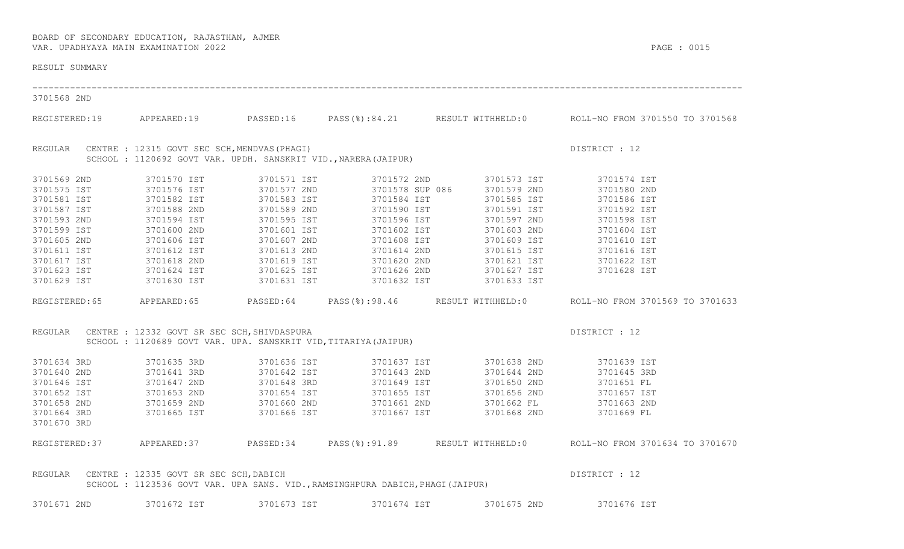RESULT SUMMARY ------------------------------------------------------------------------------------------------------------------------------------ 3701568 2ND REGISTERED:19 APPEARED:19 PASSED:16 PASS(%):84.21 RESULT WITHHELD:0 ROLL-NO FROM 3701550 TO 3701568 REGULAR CENTRE : 12315 GOVT SEC SCH, MENDVAS (PHAGI) DISTRICT : 12 SCHOOL : 1120692 GOVT VAR. UPDH. SANSKRIT VID., NARERA(JAIPUR) 3701569 2ND 3701570 IST 3701571 IST 3701572 2ND 3701573 IST 3701574 IST<br>3701581 IST 3701576 IST 3701577 2ND 3701588 3PP 086 3701578 IST 3701580 2ND 3701580 2ND<br>3701581 IST 3701582 IST 3701583 IST 3701589 IST 3701598 IST 37 REGISTERED:65 APPEARED:65 PASSED:64 PASS(%):98.46 RESULT WITHHELD:0 ROLL-NO FROM 3701569 TO 3701633 REGULAR CENTRE : 12332 GOVT SR SEC SCH, SHIVDASPURA DESTRICT ON A DISTRICT : 12 SCHOOL : 1120689 GOVT VAR. UPA. SANSKRIT VID,TITARIYA(JAIPUR) 3701634 3RD 3701635 3RD 3701636 IST 3701637 IST 3701638 2ND 3701639 IST<br>3701640 2ND 3701641 3RD 3701642 IST 3701643 2ND 3701644 2ND 3701645 3RD<br>3701646 IST 3701647 2ND 3701648 3RD 3701649 IST 3701650 2ND 3701651 FL<br>3701652 3701664 3RD 3701665 IST 3701666 IST 3701667 IST 3701668 2ND 3701669 FL 3701670 3RD REGISTERED:37 APPEARED:37 PASSED:34 PASS(%):91.89 RESULT WITHHELD:0 ROLL-NO FROM 3701634 TO 3701670 REGULAR CENTRE : 12335 GOVT SR SEC SCH, DABICH DESTRICT OF SALES AND STRICT OF DISTRICT : 12 SCHOOL : 1123536 GOVT VAR. UPA SANS. VID.,RAMSINGHPURA DABICH,PHAGI(JAIPUR)

3701671 2ND 3701672 IST 3701673 IST 3701674 IST 3701675 2ND 3701676 IST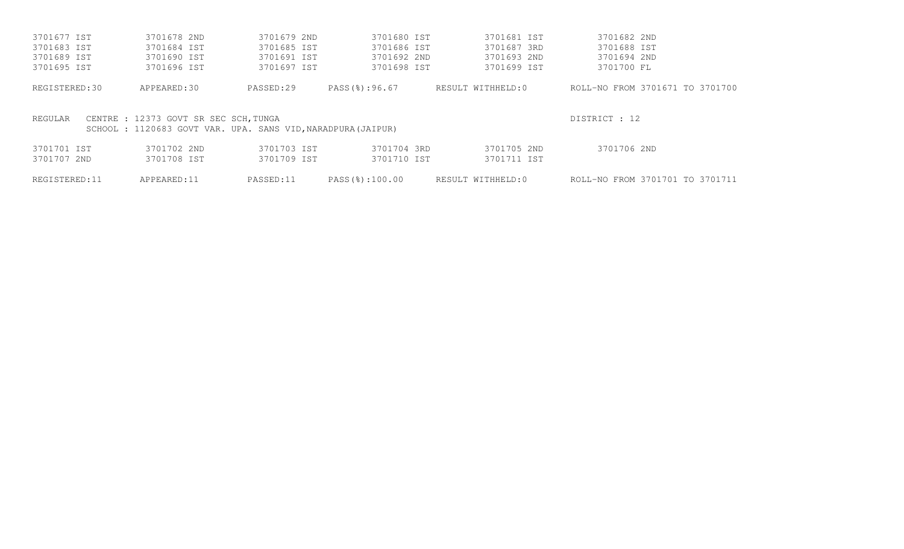| 3701677 IST   | 3701678 2ND                                                 | 3701679 2ND | 3701680 IST    | 3701681 IST       | 3701682 2ND                     |
|---------------|-------------------------------------------------------------|-------------|----------------|-------------------|---------------------------------|
| 3701683 IST   | 3701684 IST                                                 | 3701685 IST | 3701686 IST    | 3701687 3RD       | 3701688 IST                     |
| 3701689 IST   | 3701690 IST                                                 | 3701691 IST | 3701692 2ND    | 3701693 2ND       | 3701694 2ND                     |
| 3701695 IST   | 3701696 IST                                                 | 3701697 IST | 3701698 IST    | 3701699 IST       | 3701700 FL                      |
| REGISTERED:30 | APPEARED:30                                                 | PASSED:29   | PASS(%):96.67  | RESULT WITHHELD:0 | ROLL-NO FROM 3701671 TO 3701700 |
| REGULAR       | CENTRE : 12373 GOVT SR SEC SCH, TUNGA                       |             |                |                   | DISTRICT : 12                   |
|               | SCHOOL: 1120683 GOVT VAR. UPA. SANS VID, NARADPURA (JAIPUR) |             |                |                   |                                 |
| 3701701 IST   | 3701702 2ND                                                 | 3701703 IST | 3701704 3RD    | 3701705 2ND       | 3701706 2ND                     |
| 3701707 2ND   | 3701708 IST                                                 | 3701709 IST | 3701710 IST    | 3701711 IST       |                                 |
| REGISTERED:11 | APPEARED:11                                                 | PASSED:11   | PASS(%):100.00 | RESULT WITHHELD:0 | ROLL-NO FROM 3701701 TO 3701711 |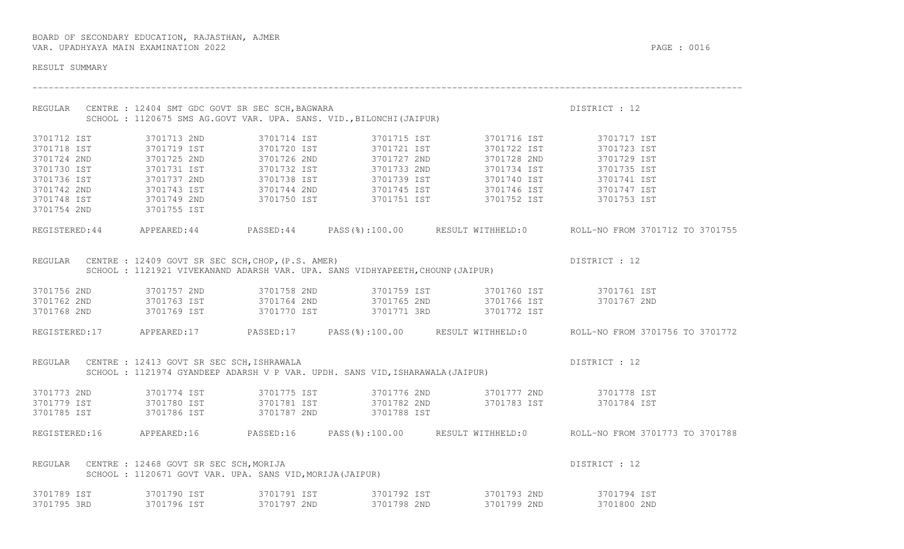RESULT SUMMARY ------------------------------------------------------------------------------------------------------------------------------------ REGULAR CENTRE : 12404 SMT GDC GOVT SR SEC SCH, BAGWARA DISTRICT OF LASH DISTRICT : 12 SCHOOL : 1120675 SMS AG.GOVT VAR. UPA. SANS. VID.,BILONCHI(JAIPUR)

3701712 IST 3701713 2ND 3701714 IST 3701715 IST 3701716 IST 3701717 IST  $\begin{array}{cccccccc} 3701718 & 15\text{T} & & 3701719 & 15\text{T} & & 3701720 & 15\text{T} & & 3701721 & 15\text{T} & & 3701722 & 15\text{T} & & 3701723 & 15\text{T} \\ 3701724 & 2\text{ND} & & 3701725 & 2\text{ND} & & 3701726 & 2\text{ND} & & 3701727 & 2\text{ND} & & 3701728 & 2\text{ND} & & 3701729 & 15\text{T$ 3701754 2ND 3701755 IST REGISTERED:44 APPEARED:44 PASSED:44 PASS(%):100.00 RESULT WITHHELD:0 ROLL-NO FROM 3701712 TO 3701755 REGULAR CENTRE : 12409 GOVT SR SEC SCH, CHOP, (P.S. AMER) DISTRICT : 12 SCHOOL : 1121921 VIVEKANAND ADARSH VAR. UPA. SANS VIDHYAPEETH,CHOUNP(JAIPUR) 3701756 2ND 3701757 2ND 3701758 2ND 3701759 IST 3701760 IST 3701761 IST<br>3701762 2ND 3701763 IST 37017764 2ND 37017765 2ND

REGISTERED:17 APPEARED:17 PASSED:17 PASS(%):100.00 RESULT WITHHELD:0 ROLL-NO FROM 3701756 TO 3701772 REGULAR CENTRE : 12413 GOVT SR SEC SCH, ISHRAWALA DESTRICT OF LASHER DISTRICT : 12

 SCHOOL : 1121974 GYANDEEP ADARSH V P VAR. UPDH. SANS VID,ISHARAWALA(JAIPUR) 3701773 2ND 3701774 IST 3701775 IST 3701776 2ND 3701777 2ND 3701778 IST 3701779 IST 3701780 IST 3701781 IST 3701782 2ND 3701783 IST 3701784 IST 3701785 IST 3701786 IST 3701787 2ND 3701788 IST REGISTERED:16 APPEARED:16 PASSED:16 PASS(%):100.00 RESULT WITHHELD:0 ROLL-NO FROM 3701773 TO 3701788 REGULAR CENTRE : 12468 GOVT SR SEC SCH, MORIJA DISTRICT : 12

 SCHOOL : 1120671 GOVT VAR. UPA. SANS VID,MORIJA(JAIPUR) 3701789 IST 3701790 IST 3701791 IST 3701792 IST 3701794 IST<br>3701795 3RD 3701796 IST 3701797 2ND 3701798 2ND 3701799 2ND 370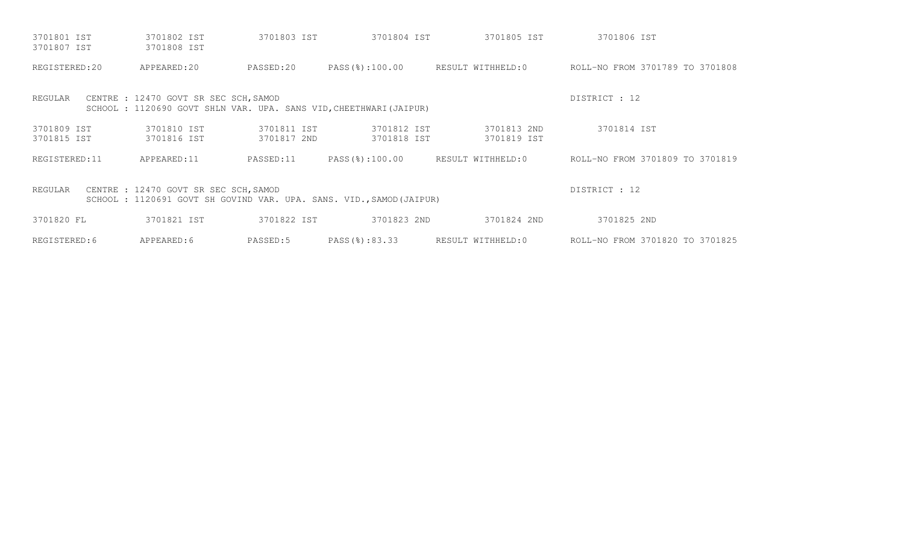| 3701801 IST<br>3701807 IST                                                                                              | 3701802 IST<br>3701808 IST            | 3701803 IST                | 3701804 IST                                                       | 3701805 IST                | 3701806 IST                     |
|-------------------------------------------------------------------------------------------------------------------------|---------------------------------------|----------------------------|-------------------------------------------------------------------|----------------------------|---------------------------------|
| REGISTERED:20                                                                                                           | APPEARED:20                           | PASSED:20                  | PASS(%):100.00                                                    | RESULT WITHHELD:0          | ROLL-NO FROM 3701789 TO 3701808 |
| REGULAR                                                                                                                 | CENTRE : 12470 GOVT SR SEC SCH, SAMOD |                            | SCHOOL: 1120690 GOVT SHLN VAR. UPA. SANS VID, CHEETHWARI (JAIPUR) |                            | DISTRICT : 12                   |
| 3701809 IST<br>3701815 IST                                                                                              | 3701810 IST<br>3701816 IST            | 3701811 IST<br>3701817 2ND | 3701812 IST<br>3701818 IST                                        | 3701813 2ND<br>3701819 IST | 3701814 IST                     |
| REGISTERED: 11                                                                                                          | APPEARED:11                           | PASSED:11                  | PASS(%):100.00                                                    | RESULT WITHHELD:0          | ROLL-NO FROM 3701809 TO 3701819 |
| CENTRE : 12470 GOVT SR SEC SCH, SAMOD<br>REGULAR<br>SCHOOL: 1120691 GOVT SH GOVIND VAR. UPA. SANS. VID., SAMOD (JAIPUR) | DISTRICT : 12                         |                            |                                                                   |                            |                                 |
| 3701820 FL                                                                                                              | 3701821 IST                           | 3701822 IST                | 3701823 2ND                                                       | 3701824 2ND                | 3701825 2ND                     |
| REGISTERED: 6                                                                                                           | APPEARED:6                            | PASSED:5                   | PASS(%):83.33                                                     | RESULT WITHHELD:0          | ROLL-NO FROM 3701820 TO 3701825 |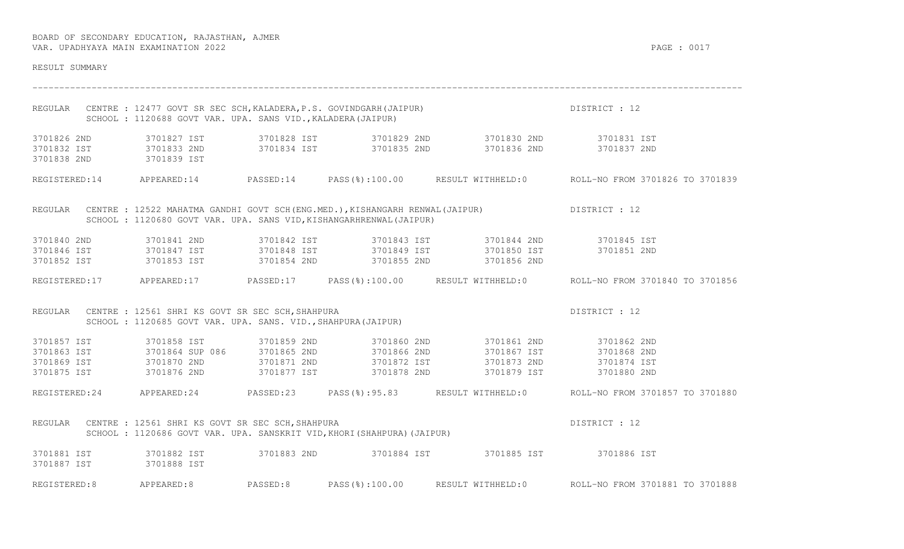| RESULT SUMMARY |                                                                                                                                                                                       |          |                |                                                                                                                                                                                                                                                                                                                                                        |                                                                                                      |
|----------------|---------------------------------------------------------------------------------------------------------------------------------------------------------------------------------------|----------|----------------|--------------------------------------------------------------------------------------------------------------------------------------------------------------------------------------------------------------------------------------------------------------------------------------------------------------------------------------------------------|------------------------------------------------------------------------------------------------------|
|                | SCHOOL: 1120688 GOVT VAR. UPA. SANS VID., KALADERA (JAIPUR)                                                                                                                           |          |                | REGULAR CENTRE : 12477 GOVT SR SEC SCH, KALADERA, P.S. GOVINDGARH (JAIPUR)                                                                                                                                                                                                                                                                             | DISTRICT : 12                                                                                        |
|                | 3701838 2ND 3701839 IST                                                                                                                                                               |          |                | $\begin{array}{cccccccccccc} 3701826 & 2\texttt{ND} & & 3701827 & \texttt{IST} & & 3701828 & \texttt{IST} & & 3701829 & 2\texttt{ND} & & 3701830 & 2\texttt{ND} & & 3701831 & \texttt{IST} \\ 3701832 & \texttt{IST} & & 3701833 & 2\texttt{ND} & & 3701834 & \texttt{IST} & & 3701835 & 2\texttt{ND} & & 3701836 & 2\texttt{ND} & & 3701837 & 2\text$ |                                                                                                      |
|                |                                                                                                                                                                                       |          |                |                                                                                                                                                                                                                                                                                                                                                        | REGISTERED:14 APPEARED:14 PASSED:14 PASS(%):100.00 RESULT WITHHELD:0 ROLL-NO FROM 3701826 TO 3701839 |
|                | SCHOOL : 1120680 GOVT VAR. UPA. SANS VID, KISHANGARHRENWAL (JAIPUR)                                                                                                                   |          |                | REGULAR CENTRE : 12522 MAHATMA GANDHI GOVT SCH(ENG.MED.), KISHANGARH RENWAL(JAIPUR) DISTRICT : 12                                                                                                                                                                                                                                                      |                                                                                                      |
|                | 3701852 IST 3701853 IST 3701854 2ND                                                                                                                                                   |          |                | 3701840 2ND                3701841 2ND                3701842 IST              3701843 IST                  3701844 2ND                  3701845 IST<br>3701846 IST              3701847 IST            3701848 IST            37<br>3701855 2ND 3701856 2ND                                                                                           |                                                                                                      |
|                |                                                                                                                                                                                       |          |                |                                                                                                                                                                                                                                                                                                                                                        | REGISTERED:17 APPEARED:17 PASSED:17 PASS(%):100.00 RESULT WITHHELD:0 ROLL-NO FROM 3701840 TO 3701856 |
|                | REGULAR CENTRE : 12561 SHRI KS GOVT SR SEC SCH, SHAHPURA<br>SCHOOL : 1120685 GOVT VAR. UPA. SANS. VID., SHAHPURA (JAIPUR)                                                             |          |                |                                                                                                                                                                                                                                                                                                                                                        | DISTRICT : 12                                                                                        |
|                | 3701857 IST 3701858 IST                                                                                                                                                               |          |                | 3701859 2ND 3701860 2ND 3701861 2ND 3701862 2ND<br>3701863 IST 3701864 SUP 086 3701865 2ND 3701866 2ND 3701867 IST 3701868 2ND<br>3701869 IST 3701870 2ND 3701871 2ND 3701872 IST 3701873 2ND 3701874 IST<br>3701875 IST       3701876 2ND       3701877 IST       3701878 2ND       3701879 IST                                                       | 3701880 2ND                                                                                          |
|                |                                                                                                                                                                                       |          |                |                                                                                                                                                                                                                                                                                                                                                        | REGISTERED:24 APPEARED:24 PASSED:23 PASS(%):95.83 RESULT WITHHELD:0 ROLL-NO FROM 3701857 TO 3701880  |
|                | CENTRE : 12561 SHRI KS GOVT SR SEC SCH, SHAHPURA<br>SCHOOL : 1120686 GOVT VAR. UPA. SANSKRIT VID, KHORI(SHAHPURA)(JAIPUR)<br>REGULAR CENTRE : 12561 SHRI KS GOVT SR SEC SCH, SHAHPURA |          |                |                                                                                                                                                                                                                                                                                                                                                        | DISTRICT : 12                                                                                        |
|                | 3701887 IST 3701888 IST                                                                                                                                                               |          |                | 3701881 IST 3701882 IST 3701883 2ND 3701884 IST 3701885 IST 3701886 IST                                                                                                                                                                                                                                                                                |                                                                                                      |
| REGISTERED:8   | APPEARED:8                                                                                                                                                                            | PASSED:8 | PASS(%):100.00 |                                                                                                                                                                                                                                                                                                                                                        | RESULT WITHHELD: 0 ROLL-NO FROM 3701881 TO 3701888                                                   |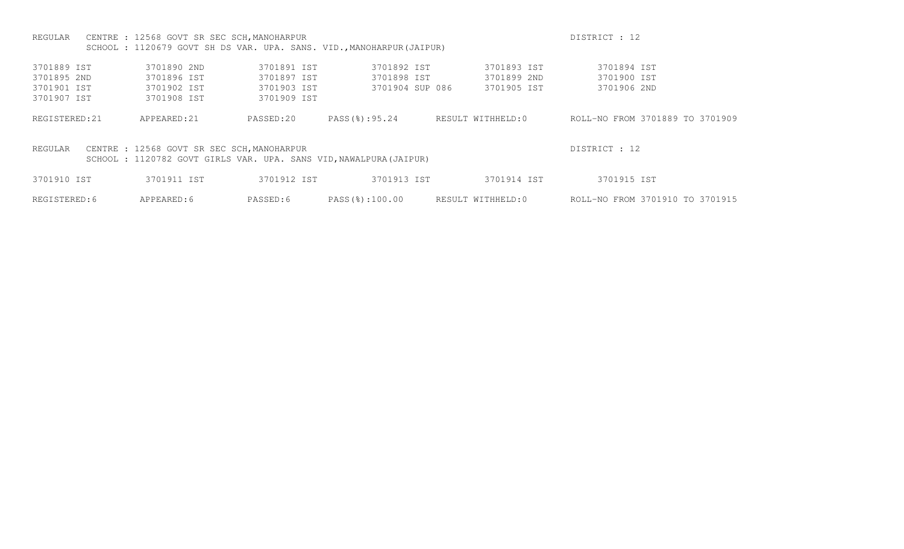| REGULAR                                                                                                                                     | CENTRE : 12568 GOVT SR SEC SCH, MANOHARPUR                           | DISTRICT : 12 |                 |                   |                                 |  |
|---------------------------------------------------------------------------------------------------------------------------------------------|----------------------------------------------------------------------|---------------|-----------------|-------------------|---------------------------------|--|
|                                                                                                                                             | SCHOOL: 1120679 GOVT SH DS VAR. UPA. SANS. VID., MANOHARPUR (JAIPUR) |               |                 |                   |                                 |  |
| 3701889 IST                                                                                                                                 | 3701890 2ND                                                          | 3701891 IST   | 3701892 IST     | 3701893 IST       | 3701894 IST                     |  |
| 3701895 2ND                                                                                                                                 | 3701896 IST                                                          | 3701897 IST   | 3701898 IST     | 3701899 2ND       | 3701900 IST                     |  |
| 3701901 IST                                                                                                                                 | 3701902 IST                                                          | 3701903 IST   | 3701904 SUP 086 | 3701905 IST       | 3701906 2ND                     |  |
| 3701907 IST                                                                                                                                 | 3701908 IST                                                          | 3701909 IST   |                 |                   |                                 |  |
| REGISTERED: 21                                                                                                                              | APPEARED: 21                                                         | PASSED:20     | PASS(%):95.24   | RESULT WITHHELD:0 | ROLL-NO FROM 3701889 TO 3701909 |  |
| DISTRICT : 12<br>CENTRE : 12568 GOVT SR SEC SCH, MANOHARPUR<br>REGULAR<br>SCHOOL: 1120782 GOVT GIRLS VAR. UPA. SANS VID, NAWALPURA (JAIPUR) |                                                                      |               |                 |                   |                                 |  |
| 3701910 IST                                                                                                                                 | 3701911 IST                                                          | 3701912 IST   | 3701913 IST     | 3701914 IST       | 3701915 IST                     |  |
| REGISTERED: 6                                                                                                                               | APPEARED:6                                                           | PASSED:6      | PASS(%):100.00  | RESULT WITHHELD:0 | ROLL-NO FROM 3701910 TO 3701915 |  |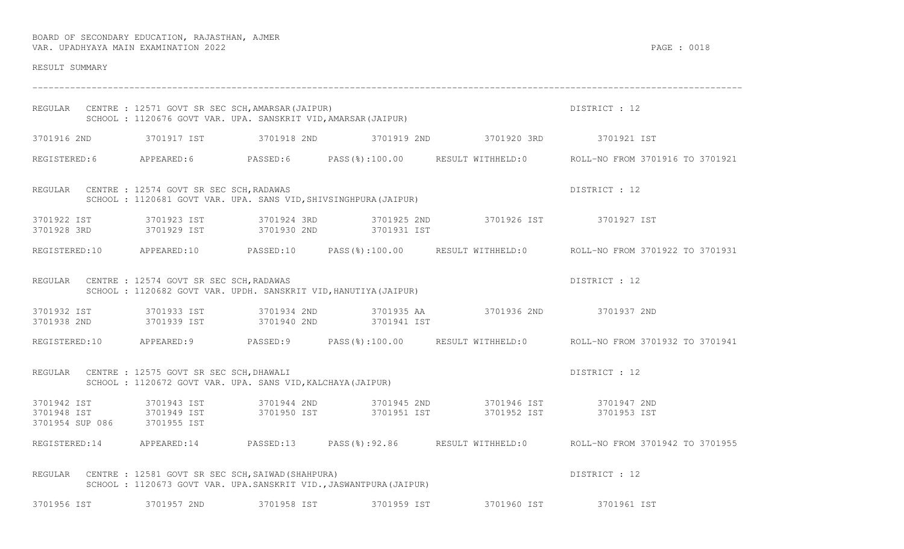| RESULT SUMMARY              |                                                                                                                |             |                                                                                                          |                                                                                                                                                                                                                                   |                                                                                                      |
|-----------------------------|----------------------------------------------------------------------------------------------------------------|-------------|----------------------------------------------------------------------------------------------------------|-----------------------------------------------------------------------------------------------------------------------------------------------------------------------------------------------------------------------------------|------------------------------------------------------------------------------------------------------|
|                             | REGULAR CENTRE : 12571 GOVT SR SEC SCH, AMARSAR (JAIPUR)                                                       |             |                                                                                                          | ULNIKE : 12571 GOVT SR SEC SCH, AMARSAR (JAIPUR)<br>SCHOOL : 1120676 GOVT VAR. UPA. SANSKRIT VID, AMARSAR (JAIPUR)                                                                                                                | DISTRICT : 12                                                                                        |
|                             |                                                                                                                |             |                                                                                                          | 3701916 2ND 3701917 IST 3701918 2ND 3701919 2ND 3701920 3RD 3701920 1 3701921 IST                                                                                                                                                 |                                                                                                      |
|                             |                                                                                                                |             |                                                                                                          |                                                                                                                                                                                                                                   | REGISTERED:6 APPEARED:6 PASSED:6 PASS(%):100.00 RESULT WITHHELD:0 ROLL-NO FROM 3701916 TO 3701921    |
|                             | REGULAR CENTRE : 12574 GOVT SR SEC SCH, RADAWAS                                                                |             | CENTRE : 12574 GOVT SR SEC SCH,RADAWAS<br>SCHOOL : 1120681 GOVT VAR. UPA. SANS VID,SHIVSINGHPURA(JAIPUR) |                                                                                                                                                                                                                                   | DISTRICT : 12                                                                                        |
|                             |                                                                                                                |             |                                                                                                          | 3701922 IST                3701923 IST               3701924 3RD              3701925 2ND                 3701926 IST                 3701927 IST                        3701927 IST                               3701927 IS     |                                                                                                      |
|                             |                                                                                                                |             |                                                                                                          |                                                                                                                                                                                                                                   | REGISTERED:10 APPEARED:10 PASSED:10 PASS(%):100.00 RESULT WITHHELD:0 ROLL-NO FROM 3701922 TO 3701931 |
|                             | REGULAR CENTRE : 12574 GOVT SR SEC SCH, RADAWAS                                                                |             | SCHOOL: 1120682 GOVT VAR. UPDH. SANSKRIT VID, HANUTIYA (JAIPUR)                                          |                                                                                                                                                                                                                                   | DISTRICT : 12                                                                                        |
|                             |                                                                                                                |             | 3701938 2ND 3701939 IST 3701940 2ND 3701941 IST                                                          | 3701932 IST 3701933 IST 3701934 2ND 3701935 AA 3701936 2ND 3701937 2ND                                                                                                                                                            |                                                                                                      |
|                             |                                                                                                                |             |                                                                                                          |                                                                                                                                                                                                                                   | REGISTERED:10 APPEARED:9 PASSED:9 PASS(%):100.00 RESULT WITHHELD:0 ROLL-NO FROM 3701932 TO 3701941   |
|                             | REGULAR CENTRE : 12575 GOVT SR SEC SCH, DHAWALI<br>SCHOOL : 1120672 GOVT VAR. UPA. SANS VID, KALCHAYA (JAIPUR) |             |                                                                                                          |                                                                                                                                                                                                                                   | DISTRICT : 12                                                                                        |
| 3701954 SUP 086 3701955 IST |                                                                                                                |             |                                                                                                          | 3701942 IST              3701943 IST            3701944 2ND            3701945 2ND              3701946 IST            3701947 2ND<br>3701948 IST            3701949 IST          3701950 IST        3701951 IST          3701952 |                                                                                                      |
|                             |                                                                                                                |             |                                                                                                          |                                                                                                                                                                                                                                   | REGISTERED:14 APPEARED:14 PASSED:13 PASS(%):92.86 RESULT WITHHELD:0 ROLL-NO FROM 3701942 TO 3701955  |
|                             | REGULAR CENTRE : 12581 GOVT SR SEC SCH, SAIWAD (SHAHPURA)                                                      |             | SCHOOL : 1120673 GOVT VAR. UPA.SANSKRIT VID., JASWANTPURA (JAIPUR)                                       |                                                                                                                                                                                                                                   | DISTRICT : 12                                                                                        |
| 3701956 IST                 | 3701957 2ND                                                                                                    | 3701958 IST | 3701959 IST                                                                                              | 3701960 IST                                                                                                                                                                                                                       | 3701961 IST                                                                                          |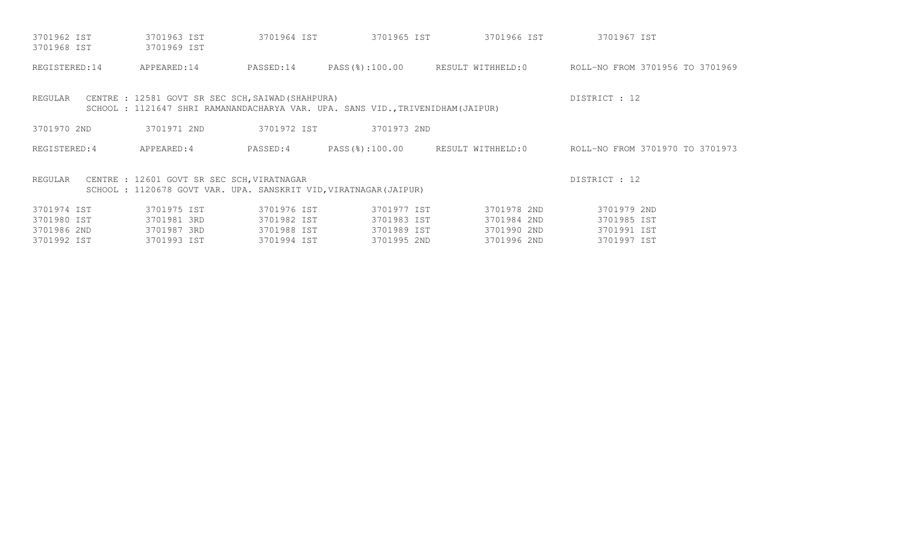| 3701962 IST<br>3701968 IST | 3701963 IST<br>3701969 IST                                                                                     | 3701964 IST | 3701965 IST                                                                    | 3701966 IST | 3701967 IST                                                      |
|----------------------------|----------------------------------------------------------------------------------------------------------------|-------------|--------------------------------------------------------------------------------|-------------|------------------------------------------------------------------|
| REGISTERED:14              | APPEARED:14                                                                                                    | PASSED:14   |                                                                                |             | PASS(%):100.00 RESULT WITHHELD:0 ROLL-NO FROM 3701956 TO 3701969 |
| REGULAR                    | CENTRE : 12581 GOVT SR SEC SCH, SAIWAD (SHAHPURA)                                                              |             | SCHOOL: 1121647 SHRI RAMANANDACHARYA VAR. UPA. SANS VID., TRIVENIDHAM (JAIPUR) |             | DISTRICT : 12                                                    |
| 3701970 2ND                | 3701971 2ND                                                                                                    | 3701972 IST | 3701973 2ND                                                                    |             |                                                                  |
| REGISTERED: 4              | APPEARED:4                                                                                                     | PASSED:4    |                                                                                |             | PASS(%):100.00 RESULT WITHHELD:0 ROLL-NO FROM 3701970 TO 3701973 |
| REGULAR                    | CENTRE : 12601 GOVT SR SEC SCH, VIRATNAGAR<br>SCHOOL: 1120678 GOVT VAR. UPA. SANSKRIT VID, VIRATNAGAR (JAIPUR) |             |                                                                                |             | DISTRICT : 12                                                    |
| 3701974 IST                | 3701975 IST                                                                                                    | 3701976 IST | 3701977 IST                                                                    | 3701978 2ND | 3701979 2ND                                                      |
| 3701980 IST                | 3701981 3RD                                                                                                    | 3701982 IST | 3701983 IST                                                                    | 3701984 2ND | 3701985 IST                                                      |
| 3701986 2ND                | 3701987 3RD                                                                                                    | 3701988 IST | 3701989 IST                                                                    | 3701990 2ND | 3701991 IST                                                      |
| 3701992 IST                | 3701993 IST                                                                                                    | 3701994 IST | 3701995 2ND                                                                    | 3701996 2ND | 3701997 IST                                                      |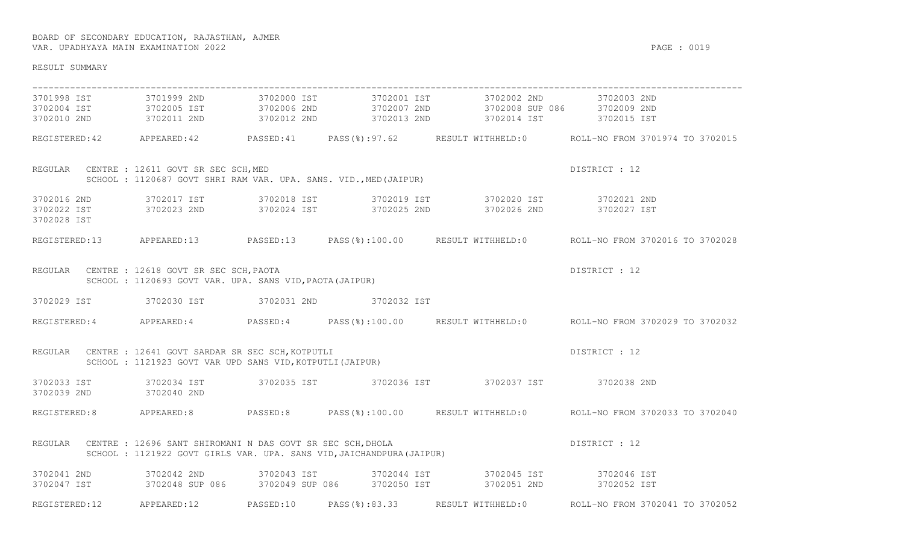| RESULT SUMMARY                         |                                                                                                                                             |               |                                                                                                                                                                                                                                                                                                              |                                                                                                      |
|----------------------------------------|---------------------------------------------------------------------------------------------------------------------------------------------|---------------|--------------------------------------------------------------------------------------------------------------------------------------------------------------------------------------------------------------------------------------------------------------------------------------------------------------|------------------------------------------------------------------------------------------------------|
|                                        |                                                                                                                                             |               | 3701998 IST 3701999 2ND 3702000 IST 3702001 IST 3702002 2ND 3702003 2ND                                                                                                                                                                                                                                      |                                                                                                      |
|                                        |                                                                                                                                             |               | $\begin{array}{cccccccc} 3702004 & \text{IST} & 3702005 & \text{IST} & 3702006 & 2\text{ND} & 3702007 & 2\text{ND} & 3702008 & \text{SUP} & 3702008 & 3702008 & 3702009 & 2\text{ND} & 3702010 & 2\text{ND} & 3702010 & 2\text{ND} & 3702010 & 3702015 & 3702015 & 3702015 & 3702015 & 3702015 & 3702015 & $ |                                                                                                      |
|                                        |                                                                                                                                             |               |                                                                                                                                                                                                                                                                                                              | REGISTERED:42 APPEARED:42 PASSED:41 PASS(%):97.62 RESULT WITHHELD:0 ROLL-NO FROM 3701974 TO 3702015  |
|                                        | SCHOOL : 1120687 GOVT SHRI RAM VAR. UPA. SANS. VID., MED (JAIPUR)<br>REGULAR CENTRE : 12611 GOVT SR SEC SCH, MED                            |               |                                                                                                                                                                                                                                                                                                              | DISTRICT : 12                                                                                        |
| 3702028 IST                            |                                                                                                                                             |               | 3702016 2ND 3702017 IST 3702018 IST 3702019 IST 3702020 IST 3702020 IST 3702021 2ND<br>3702022 IST 3702023 2ND 3702024 IST 3702025 2ND 3702026 2ND 3702027 IST                                                                                                                                               |                                                                                                      |
|                                        |                                                                                                                                             |               |                                                                                                                                                                                                                                                                                                              | REGISTERED:13 APPEARED:13 PASSED:13 PASS(%):100.00 RESULT WITHHELD:0 ROLL-NO FROM 3702016 TO 3702028 |
|                                        | REGULAR CENTRE : 12618 GOVT SR SEC SCH, PAOTA<br>SCHOOL : 1120693 GOVT VAR. UPA. SANS VID, PAOTA (JAIPUR)                                   |               |                                                                                                                                                                                                                                                                                                              | DISTRICT : 12                                                                                        |
|                                        | 3702029 IST 3702030 IST 3702031 2ND 3702032 IST                                                                                             |               |                                                                                                                                                                                                                                                                                                              |                                                                                                      |
|                                        |                                                                                                                                             |               |                                                                                                                                                                                                                                                                                                              | REGISTERED:4 APPEARED:4 PASSED:4 PASS(%):100.00 RESULT WITHHELD:0 ROLL-NO FROM 3702029 TO 3702032    |
|                                        | REGULAR CENTRE : 12641 GOVT SARDAR SR SEC SCH, KOTPUTLI<br>SCHOOL : 1121923 GOVT VAR UPD SANS VID, KOTPUTLI (JAIPUR)                        |               |                                                                                                                                                                                                                                                                                                              | DISTRICT : 12                                                                                        |
| 3702039 2ND 3702040 2ND                |                                                                                                                                             |               | 3702033 IST 3702034 IST 3702035 IST 3702036 IST 3702037 IST 3702037 IST 3702038 2ND                                                                                                                                                                                                                          |                                                                                                      |
|                                        |                                                                                                                                             |               |                                                                                                                                                                                                                                                                                                              | REGISTERED:8 APPEARED:8 PASSED:8 PASS(%):100.00 RESULT WITHHELD:0 ROLL-NO FROM 3702033 TO 3702040    |
|                                        | REGULAR CENTRE : 12696 SANT SHIROMANI N DAS GOVT SR SEC SCH, DHOLA<br>SCHOOL : 1121922 GOVT GIRLS VAR. UPA. SANS VID, JAICHANDPURA (JAIPUR) |               |                                                                                                                                                                                                                                                                                                              | DISTRICT : 12                                                                                        |
| 3702041 2ND 3702042 2ND<br>3702047 IST |                                                                                                                                             |               | 3702042 2ND                3702043 IST               3702044 IST                 3702045 IST                3702046 IST<br>3702048 SUP 086        3702049 SUP 086       3702050 IST               3702051 2ND                3702                                                                            |                                                                                                      |
| REGISTERED:12                          | APPEARED:12 PASSED:10                                                                                                                       | PASS(%):83.33 |                                                                                                                                                                                                                                                                                                              | RESULT WITHHELD:0 ROLL-NO FROM 3702041 TO 3702052                                                    |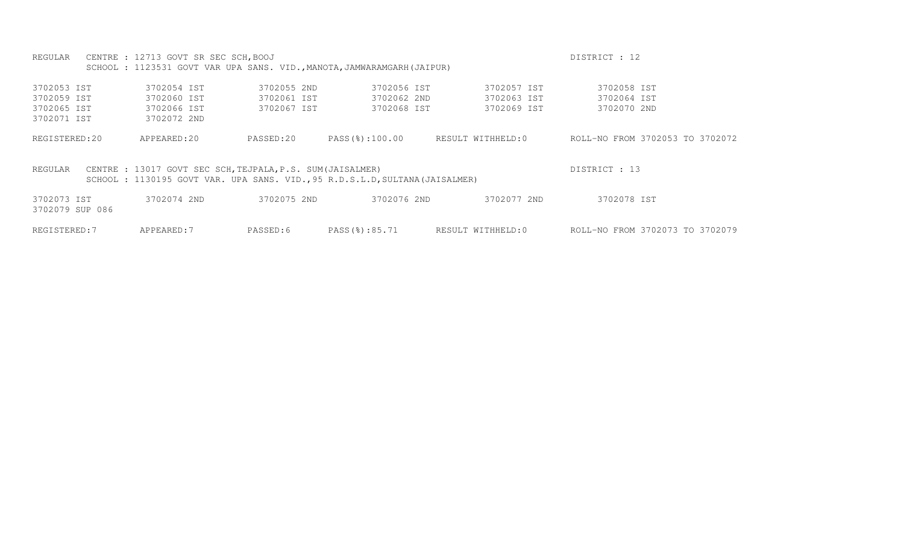REGULAR CENTRE : 12713 GOVT SR SEC SCH, BOOJ CHARLEY STATES ON THE STATE OF STATES OF STATES OF 12 SCHOOL : 1123531 GOVT VAR UPA SANS. VID., MANOTA, JAMWARAMGARH (JAIPUR)

| 3702053 IST                    | 3702054 IST                                                                                                                               | 3702055 2ND | 3702056 IST    | 3702057 IST       | 3702058 IST                     |
|--------------------------------|-------------------------------------------------------------------------------------------------------------------------------------------|-------------|----------------|-------------------|---------------------------------|
| 3702059 IST                    | 3702060 IST                                                                                                                               | 3702061 IST | 3702062 2ND    | 3702063 IST       | 3702064 IST                     |
| 3702065 IST                    | 3702066 IST                                                                                                                               | 3702067 IST | 3702068 IST    | 3702069 IST       | 3702070 2ND                     |
| 3702071 IST                    | 3702072 2ND                                                                                                                               |             |                |                   |                                 |
| REGISTERED:20                  | APPEARED:20                                                                                                                               | PASSED:20   | PASS(%):100.00 | RESULT WITHHELD:0 | ROLL-NO FROM 3702053 TO 3702072 |
| REGULAR                        | CENTRE : 13017 GOVT SEC SCH, TEJPALA, P.S. SUM (JAISALMER)<br>SCHOOL: 1130195 GOVT VAR. UPA SANS. VID., 95 R.D.S.L.D, SULTANA (JAISALMER) |             |                |                   | DISTRICT : 13                   |
| 3702073 IST<br>3702079 SUP 086 | 3702074 2ND                                                                                                                               | 3702075 2ND | 3702076 2ND    | 3702077 2ND       | 3702078 IST                     |
| REGISTERED: 7                  | APPEARED: 7                                                                                                                               | PASSED:6    | PASS(%):85.71  | RESULT WITHHELD:0 | ROLL-NO FROM 3702073 TO 3702079 |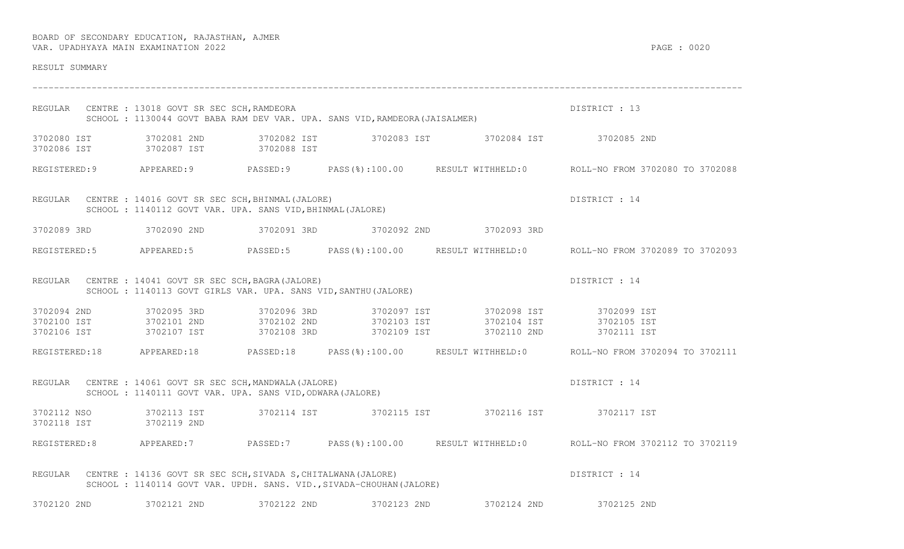| RESULT SUMMARY          |                                                                                                                                      |             |             |                                                                                                                                        |                                                                                                      |
|-------------------------|--------------------------------------------------------------------------------------------------------------------------------------|-------------|-------------|----------------------------------------------------------------------------------------------------------------------------------------|------------------------------------------------------------------------------------------------------|
|                         | REGULAR CENTRE : 13018 GOVT SR SEC SCH, RAMDEORA                                                                                     |             |             | CENTRE : 13018 GOVT SR SEC SCH,RAMDEORA<br>SCHOOL : 1130044 GOVT BABA RAM DEV VAR. UPA. SANS VID,RAMDEORA(JAISALMER)                   | DISTRICT : 13                                                                                        |
|                         | 3702086 IST 3702087 IST 3702088 IST                                                                                                  |             |             | 3702080 IST 3702081 2ND 3702082 IST 3702083 IST 3702084 IST 3702084 IST 3702085 2ND                                                    |                                                                                                      |
|                         |                                                                                                                                      |             |             |                                                                                                                                        | REGISTERED:9 APPEARED:9 PASSED:9 PASS(%):100.00 RESULT WITHHELD:0 ROLL-NO FROM 3702080 TO 3702088    |
|                         | REGULAR CENTRE : 14016 GOVT SR SEC SCH, BHINMAL (JALORE)<br>SCHOOL : 1140112 GOVT VAR. UPA. SANS VID, BHINMAL (JALORE)               |             |             |                                                                                                                                        | DISTRICT : 14                                                                                        |
|                         |                                                                                                                                      |             |             | 3702089 3RD    3702090 2ND    3702091 3RD    3702092 2ND    3702093 3RD                                                                |                                                                                                      |
|                         |                                                                                                                                      |             |             |                                                                                                                                        | REGISTERED:5 APPEARED:5 PASSED:5 PASS(%):100.00 RESULT WITHHELD:0 ROLL-NO FROM 3702089 TO 3702093    |
|                         | REGULAR CENTRE : 14041 GOVT SR SEC SCH, BAGRA (JALORE)<br>SCHOOL : 1140113 GOVT GIRLS VAR. UPA. SANS VID, SANTHU (JALORE)            |             |             |                                                                                                                                        | DISTRICT : 14                                                                                        |
| 3702094 2ND 3702095 3RD |                                                                                                                                      |             |             | 3702100 IST 3702101 2ND 3702102 2ND 3702103 IST 3702104 IST 3702105 IST<br>3702106 IST 3702107 IST 3702108 3RD 3702109 IST 3702110 2ND | 3702111 IST                                                                                          |
|                         |                                                                                                                                      |             |             |                                                                                                                                        | REGISTERED:18 APPEARED:18 PASSED:18 PASS(%):100.00 RESULT WITHHELD:0 ROLL-NO FROM 3702094 TO 3702111 |
|                         | REGULAR CENTRE : 14061 GOVT SR SEC SCH, MANDWALA (JALORE)<br>SCHOOL : 1140111 GOVT VAR. UPA. SANS VID, ODWARA (JALORE)               |             |             |                                                                                                                                        | DISTRICT : 14                                                                                        |
| 3702118 IST 3702119 2ND |                                                                                                                                      |             |             | 3702112 NSO 3702113 IST 3702114 IST 3702115 IST 3702116 IST 3702116 IST 3702117 IST                                                    |                                                                                                      |
|                         |                                                                                                                                      |             |             |                                                                                                                                        | REGISTERED:8 APPEARED:7 PASSED:7 PASS(%):100.00 RESULT WITHHELD:0 ROLL-NO FROM 3702112 TO 3702119    |
| REGULAR                 | CENTRE : 14136 GOVT SR SEC SCH, SIVADA S, CHITALWANA (JALORE)<br>SCHOOL: 1140114 GOVT VAR. UPDH. SANS. VID., SIVADA-CHOUHAN (JALORE) |             |             |                                                                                                                                        | DISTRICT : 14                                                                                        |
| 3702120 2ND             | 3702121 2ND                                                                                                                          | 3702122 2ND | 3702123 2ND | 3702124 2ND                                                                                                                            | 3702125 2ND                                                                                          |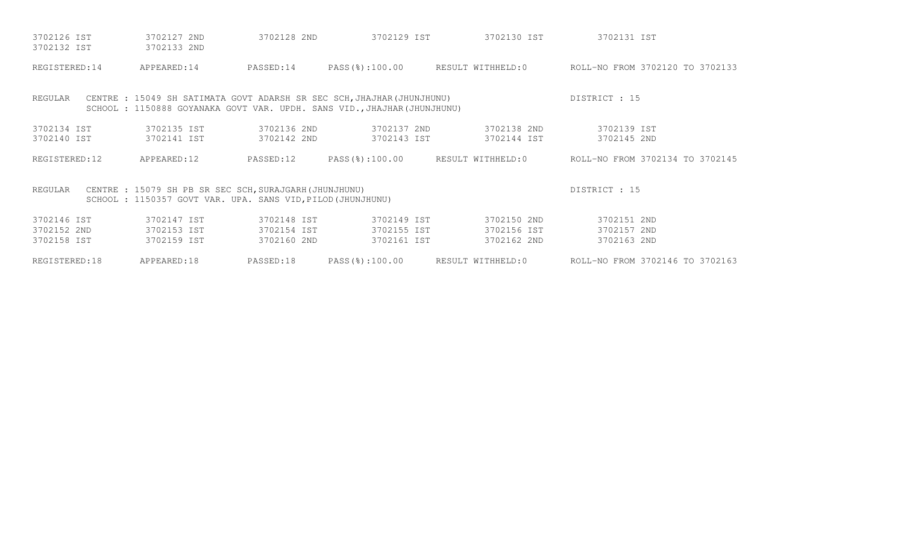| 3702126 IST<br>3702132 IST | 3702127 2ND<br>3702133 2ND                                                                                                                        | 3702128 2ND | 3702129 IST    | 3702130 IST       | 3702131 IST                                                      |
|----------------------------|---------------------------------------------------------------------------------------------------------------------------------------------------|-------------|----------------|-------------------|------------------------------------------------------------------|
| REGISTERED: 14             | APPEARED:14                                                                                                                                       | PASSED:14   |                |                   | PASS(%):100.00 RESULT WITHHELD:0 ROLL-NO FROM 3702120 TO 3702133 |
| REGULAR                    | CENTRE : 15049 SH SATIMATA GOVT ADARSH SR SEC SCH, JHAJHAR (JHUNJHUNU)<br>SCHOOL: 1150888 GOYANAKA GOVT VAR. UPDH. SANS VID., JHAJHAR (JHUNJHUNU) |             |                |                   | DISTRICT : 15                                                    |
| 3702134 IST                | 3702135 IST                                                                                                                                       | 3702136 2ND | 3702137 2ND    | 3702138 2ND       | 3702139 IST                                                      |
| 3702140 IST                | 3702141 IST                                                                                                                                       | 3702142 2ND | 3702143 IST    | 3702144 IST       | 3702145 2ND                                                      |
| REGISTERED:12              | APPEARED:12                                                                                                                                       | PASSED:12   | PASS(%):100.00 | RESULT WITHHELD:0 | ROLL-NO FROM 3702134 TO 3702145                                  |
| REGULAR                    | CENTRE : 15079 SH PB SR SEC SCH, SURAJGARH (JHUNJHUNU)<br>SCHOOL : 1150357 GOVT VAR. UPA. SANS VID, PILOD (JHUNJHUNU)                             |             |                |                   | DISTRICT : 15                                                    |
| 3702146 IST                | 3702147 IST                                                                                                                                       | 3702148 IST | 3702149 IST    | 3702150 2ND       | 3702151 2ND                                                      |
| 3702152 2ND                | 3702153 IST                                                                                                                                       | 3702154 IST | 3702155 IST    | 3702156 IST       | 3702157 2ND                                                      |
| 3702158 IST                | 3702159 IST                                                                                                                                       | 3702160 2ND | 3702161 IST    | 3702162 2ND       | 3702163 2ND                                                      |
| REGISTERED: 18             | APPEARED:18                                                                                                                                       | PASSED:18   | PASS(%):100.00 | RESULT WITHHELD:0 | ROLL-NO FROM 3702146 TO 3702163                                  |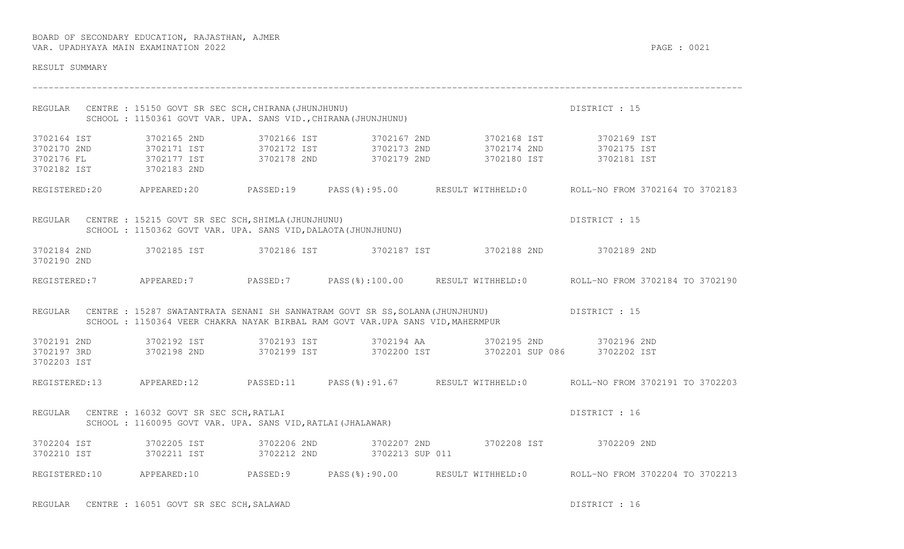| RESULT SUMMARY                                                                              |                                                                                                                              |                                                                                |                                                                                                                                           |                                                                                                     |
|---------------------------------------------------------------------------------------------|------------------------------------------------------------------------------------------------------------------------------|--------------------------------------------------------------------------------|-------------------------------------------------------------------------------------------------------------------------------------------|-----------------------------------------------------------------------------------------------------|
|                                                                                             | REGULAR CENTRE : 15150 GOVT SR SEC SCH, CHIRANA (JHUNJHUNU)<br>SCHOOL: 1150361 GOVT VAR. UPA. SANS VID., CHIRANA (JHUNJHUNU) |                                                                                |                                                                                                                                           | DISTRICT : 15                                                                                       |
| 3702164 IST<br>3702170 2ND 3702171 IST<br>3702176 FL 3702177 IST<br>3702182 IST 3702183 2ND | 3702165 2ND                                                                                                                  |                                                                                | 3702166 IST 3702167 2ND 3702168 IST 3702169 IST<br>3702172 IST 3702173 2ND 3702174 2ND 3702175 IST<br>3702178 2ND 3702179 2ND 3702180 IST | 3702181 IST                                                                                         |
|                                                                                             |                                                                                                                              |                                                                                |                                                                                                                                           | REGISTERED:20 APPEARED:20 PASSED:19 PASS(%):95.00 RESULT WITHHELD:0 ROLL-NO FROM 3702164 TO 3702183 |
|                                                                                             | REGULAR CENTRE : 15215 GOVT SR SEC SCH, SHIMLA (JHUNJHUNU)<br>SCHOOL : 1150362 GOVT VAR. UPA. SANS VID, DALAOTA (JHUNJHUNU)  |                                                                                |                                                                                                                                           | DISTRICT : 15                                                                                       |
| 3702184 2ND<br>3702190 2ND                                                                  |                                                                                                                              |                                                                                | 3702185 IST       3702186 IST       3702187 IST       3702188 2ND       3702189 2ND                                                       |                                                                                                     |
|                                                                                             |                                                                                                                              |                                                                                |                                                                                                                                           | REGISTERED:7 APPEARED:7 PASSED:7 PASS(%):100.00 RESULT WITHHELD:0 ROLL-NO FROM 3702184 TO 3702190   |
|                                                                                             |                                                                                                                              | SCHOOL : 1150364 VEER CHAKRA NAYAK BIRBAL RAM GOVT VAR.UPA SANS VID, MAHERMPUR | REGULAR CENTRE : 15287 SWATANTRATA SENANI SH SANWATRAM GOVT SR SS, SOLANA (JHUNJHUNU) DISTRICT : 15                                       |                                                                                                     |
| 3702191 2ND<br>3702197 3RD<br>3702203 IST                                                   | 3702198 2ND                                                                                                                  |                                                                                | 3702199 IST 3702200 IST 3702201 SUP 086 3702202 IST                                                                                       |                                                                                                     |
|                                                                                             |                                                                                                                              |                                                                                |                                                                                                                                           | REGISTERED:13 APPEARED:12 PASSED:11 PASS(%):91.67 RESULT WITHHELD:0 ROLL-NO FROM 3702191 TO 3702203 |
|                                                                                             | REGULAR CENTRE : 16032 GOVT SR SEC SCH, RATLAI                                                                               | SCHOOL : 1160095 GOVT VAR. UPA. SANS VID, RATLAI (JHALAWAR)                    |                                                                                                                                           | DISTRICT : 16                                                                                       |
| 3702210 IST                                                                                 | 3702211 IST                                                                                                                  | 3702212 2ND 3702213 SUP 011                                                    | 3702204 IST 3702205 IST 3702206 2ND 3702207 2ND 3702208 IST 3702209 2ND                                                                   |                                                                                                     |
|                                                                                             | REGISTERED:10 APPEARED:10 PASSED:9                                                                                           |                                                                                |                                                                                                                                           | PASS(%):90.00 RESULT WITHHELD:0 ROLL-NO FROM 3702204 TO 3702213                                     |

REGULAR CENTRE : 16051 GOVT SR SEC SCH, SALAWAD **DESTRICT** : 16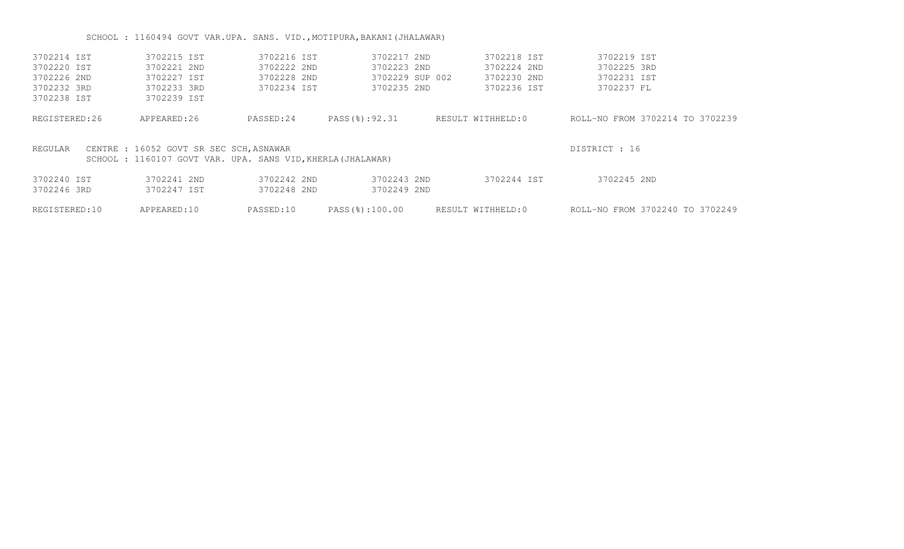# SCHOOL : 1160494 GOVT VAR.UPA. SANS. VID., MOTIPURA, BAKANI (JHALAWAR)

| 3702214 IST   | 3702215 IST                                                | 3702216 IST | 3702217 2ND     | 3702218 IST       | 3702219 IST                     |
|---------------|------------------------------------------------------------|-------------|-----------------|-------------------|---------------------------------|
| 3702220 IST   | 3702221 2ND                                                | 3702222 2ND | 3702223 2ND     | 3702224 2ND       | 3702225 3RD                     |
| 3702226 2ND   | 3702227 IST                                                | 3702228 2ND | 3702229 SUP 002 | 3702230 2ND       | 3702231 IST                     |
| 3702232 3RD   | 3702233 3RD                                                | 3702234 IST | 3702235 2ND     | 3702236 IST       | 3702237 FL                      |
| 3702238 IST   | 3702239 IST                                                |             |                 |                   |                                 |
| REGISTERED:26 | APPEARED:26                                                | PASSED:24   | PASS(%):92.31   | RESULT WITHHELD:0 | ROLL-NO FROM 3702214 TO 3702239 |
| REGULAR       | CENTRE : 16052 GOVT SR SEC SCH, ASNAWAR                    |             |                 |                   | DISTRICT : 16                   |
|               | SCHOOL: 1160107 GOVT VAR. UPA. SANS VID, KHERLA (JHALAWAR) |             |                 |                   |                                 |
| 3702240 IST   | 3702241 2ND                                                | 3702242 2ND | 3702243 2ND     | 3702244 IST       | 3702245 2ND                     |
|               |                                                            |             |                 |                   |                                 |
| 3702246 3RD   | 3702247 IST                                                | 3702248 2ND | 3702249 2ND     |                   |                                 |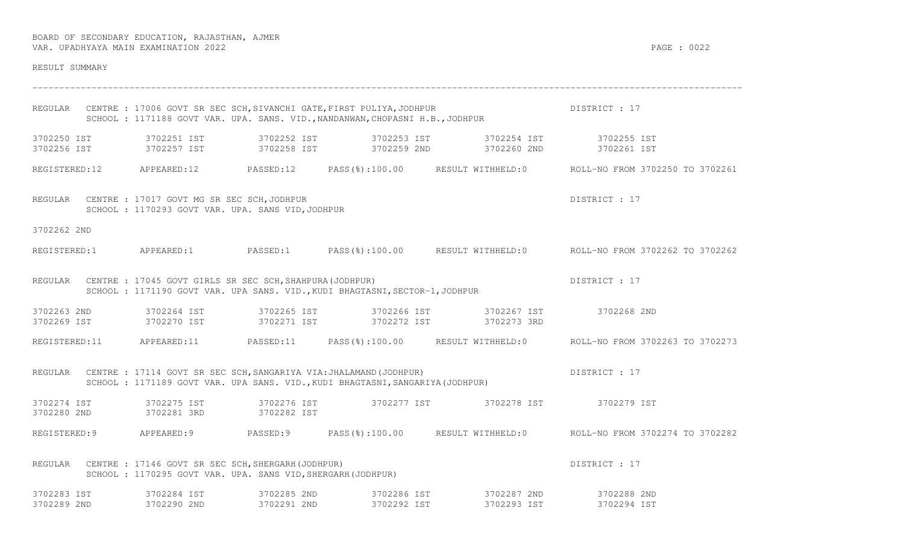| RESULT SUMMARY                                     |                                                                                                                                                              |             |                                                                                        |                                                                                                      |
|----------------------------------------------------|--------------------------------------------------------------------------------------------------------------------------------------------------------------|-------------|----------------------------------------------------------------------------------------|------------------------------------------------------------------------------------------------------|
| REGULAR                                            | CENTRE : 17006 GOVT SR SEC SCH, SIVANCHI GATE, FIRST PULIYA, JODHPUR<br>SCHOOL : 1171188 GOVT VAR. UPA. SANS. VID., NANDANWAN, CHOPASNI H.B., JODHPUR        |             |                                                                                        | DISTRICT : 17                                                                                        |
| 3702250 IST 3702251 IST<br>3702256 IST 3702257 IST |                                                                                                                                                              |             | 3702252 IST 3702253 IST 3702254 IST 3702255 IST<br>3702258 IST 3702259 2ND 3702260 2ND | 3702261 IST                                                                                          |
|                                                    |                                                                                                                                                              |             |                                                                                        | REGISTERED:12 APPEARED:12 PASSED:12 PASS(%):100.00 RESULT WITHHELD:0 ROLL-NO FROM 3702250 TO 3702261 |
|                                                    | REGULAR CENTRE : 17017 GOVT MG SR SEC SCH, JODHPUR<br>SCHOOL : 1170293 GOVT VAR. UPA. SANS VID, JODHPUR                                                      |             |                                                                                        | DISTRICT : 17                                                                                        |
| 3702262 2ND                                        |                                                                                                                                                              |             |                                                                                        |                                                                                                      |
|                                                    |                                                                                                                                                              |             |                                                                                        | REGISTERED:1 APPEARED:1 PASSED:1 PASS(%):100.00 RESULT WITHHELD:0 ROLL-NO FROM 3702262 TO 3702262    |
|                                                    | REGULAR CENTRE : 17045 GOVT GIRLS SR SEC SCH, SHAHPURA (JODHPUR)<br>SCHOOL : 1171190 GOVT VAR. UPA SANS. VID., KUDI BHAGTASNI, SECTOR-1, JODHPUR             |             |                                                                                        | DISTRICT : 17                                                                                        |
| 3702263 2ND 3702264 IST<br>3702269 IST             | 3702270 IST                                                                                                                                                  |             | 3702271 IST 3702272 IST 3702273 3RD                                                    |                                                                                                      |
|                                                    |                                                                                                                                                              |             |                                                                                        | REGISTERED:11 APPEARED:11 PASSED:11 PASS(%):100.00 RESULT WITHHELD:0 ROLL-NO FROM 3702263 TO 3702273 |
|                                                    | REGULAR CENTRE : 17114 GOVT SR SEC SCH, SANGARIYA VIA: JHALAMAND (JODHPUR)<br>SCHOOL : 1171189 GOVT VAR. UPA SANS. VID., KUDI BHAGTASNI, SANGARIYA (JODHPUR) |             |                                                                                        | DISTRICT : 17                                                                                        |
| 3702280 2ND                                        | 3702281 3RD                                                                                                                                                  | 3702282 IST | 3702274 IST 3702275 IST 3702276 IST 3702277 IST 3702277 IST 3702278 IST 3702279 IST    |                                                                                                      |
|                                                    |                                                                                                                                                              |             |                                                                                        | REGISTERED:9 APPEARED:9 PASSED:9 PASS(%):100.00 RESULT WITHHELD:0 ROLL-NO FROM 3702274 TO 3702282    |
|                                                    | REGULAR CENTRE : 17146 GOVT SR SEC SCH, SHERGARH (JODHPUR)<br>SCHOOL : 1170295 GOVT VAR. UPA. SANS VID, SHERGARH (JODHPUR)                                   |             |                                                                                        | DISTRICT : 17                                                                                        |
| 3702283 IST                                        | 3702284 IST                                                                                                                                                  | 3702285 2ND | 3702286 IST 3702287 2ND                                                                | 3702288 2ND                                                                                          |

3702289 2ND 3702290 2ND 3702291 2ND 3702292 IST 3702293 IST 3702294 IST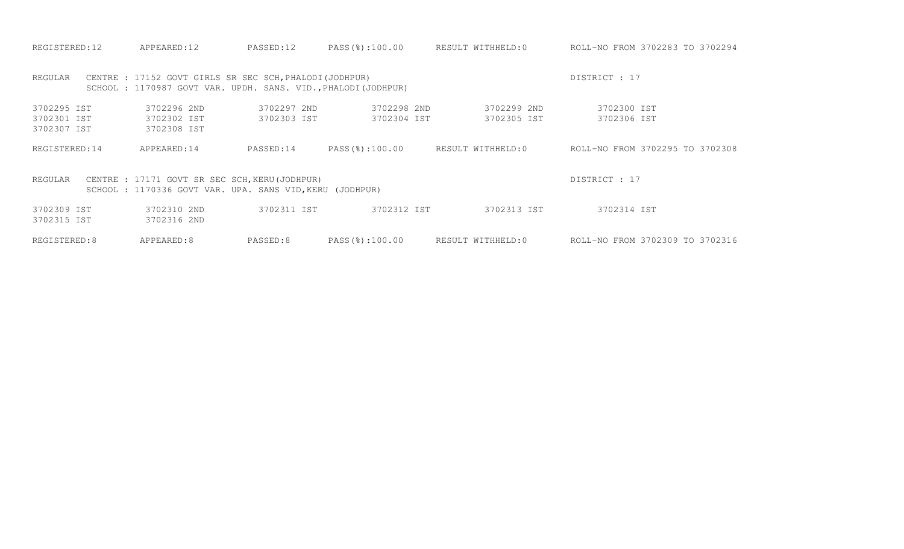| REGISTERED:12                                                                                                                         | APPEARED:12                                                                                                               | PASSED:12                  | PASS(%):100.00             | RESULT WITHHELD:0          | ROLL-NO FROM 3702283 TO 3702294 |  |  |  |
|---------------------------------------------------------------------------------------------------------------------------------------|---------------------------------------------------------------------------------------------------------------------------|----------------------------|----------------------------|----------------------------|---------------------------------|--|--|--|
| REGULAR                                                                                                                               | CENTRE : 17152 GOVT GIRLS SR SEC SCH, PHALODI (JODHPUR)<br>SCHOOL : 1170987 GOVT VAR. UPDH. SANS. VID., PHALODI (JODHPUR) |                            |                            |                            | DISTRICT : 17                   |  |  |  |
| 3702295 IST<br>3702301 IST<br>3702307 IST                                                                                             | 3702296 2ND<br>3702302 IST<br>3702308 IST                                                                                 | 3702297 2ND<br>3702303 IST | 3702298 2ND<br>3702304 IST | 3702299 2ND<br>3702305 IST | 3702300 IST<br>3702306 IST      |  |  |  |
| REGISTERED: 14                                                                                                                        | APPEARED:14                                                                                                               | PASSED:14                  | PASS(%):100.00             | RESULT WITHHELD:0          | ROLL-NO FROM 3702295 TO 3702308 |  |  |  |
| DISTRICT : 17<br>CENTRE : 17171 GOVT SR SEC SCH, KERU (JODHPUR)<br>REGULAR<br>SCHOOL: 1170336 GOVT VAR. UPA. SANS VID, KERU (JODHPUR) |                                                                                                                           |                            |                            |                            |                                 |  |  |  |
| 3702309 IST<br>3702315 IST                                                                                                            | 3702310 2ND<br>3702316 2ND                                                                                                | 3702311 IST                | 3702312 IST                | 3702313 IST                | 3702314 IST                     |  |  |  |
| REGISTERED:8                                                                                                                          | APPEARED:8                                                                                                                | PASSED:8                   | $PASS$ (%):100.00          | RESULT WITHHELD:0          | ROLL-NO FROM 3702309 TO 3702316 |  |  |  |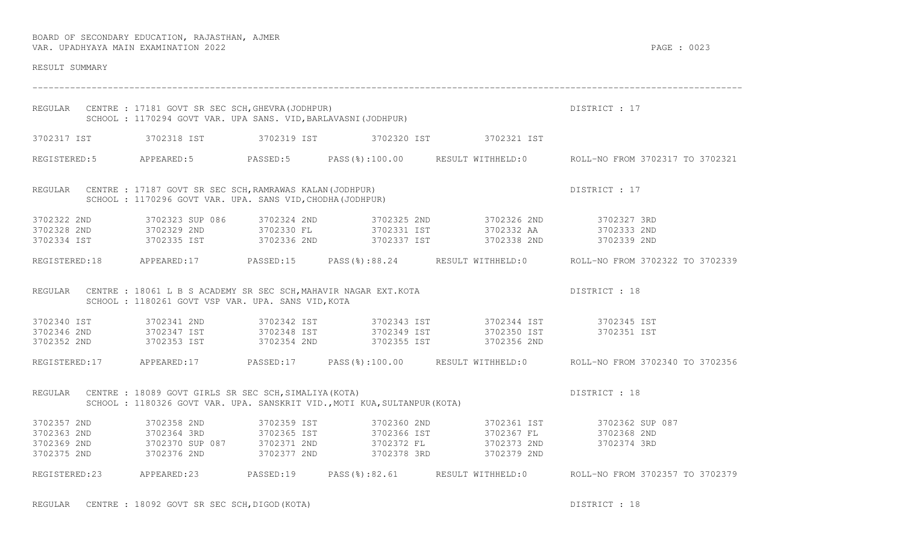| RESULT SUMMARY                                        |                                                                                                                       |             |                                                                          |                                                                                                                                                                                                                     |                                                                                                      |
|-------------------------------------------------------|-----------------------------------------------------------------------------------------------------------------------|-------------|--------------------------------------------------------------------------|---------------------------------------------------------------------------------------------------------------------------------------------------------------------------------------------------------------------|------------------------------------------------------------------------------------------------------|
| REGULAR                                               | CENTRE : 17181 GOVT SR SEC SCH, GHEVRA (JODHPUR)<br>SCHOOL: 1170294 GOVT VAR. UPA SANS. VID, BARLAVASNI (JODHPUR)     |             |                                                                          |                                                                                                                                                                                                                     | DISTRICT : 17                                                                                        |
|                                                       |                                                                                                                       |             |                                                                          | 3702317 IST 3702318 IST 3702319 IST 3702320 IST 3702321 IST                                                                                                                                                         |                                                                                                      |
|                                                       |                                                                                                                       |             |                                                                          |                                                                                                                                                                                                                     | REGISTERED:5 APPEARED:5 PASSED:5 PASS(%):100.00 RESULT WITHHELD:0 ROLL-NO FROM 3702317 TO 3702321    |
| REGULAR                                               | CENTRE : 17187 GOVT SR SEC SCH, RAMRAWAS KALAN (JODHPUR)<br>SCHOOL: 1170296 GOVT VAR. UPA. SANS VID, CHODHA (JODHPUR) |             |                                                                          |                                                                                                                                                                                                                     | DISTRICT : 17                                                                                        |
| 3702322 2ND<br>3702328 2ND 3702329 2ND<br>3702334 IST | 3702323 SUP 086                                                                                                       | 3702324 2ND |                                                                          | 3702325 2ND 3702326 2ND 3702327 3RD<br>3702330 FL 3702331 IST 3702332 AA 3702333 2ND<br>3702335 IST       3702336 2ND       3702337 IST       3702338 2ND       3702339 2ND                                         |                                                                                                      |
|                                                       |                                                                                                                       |             |                                                                          |                                                                                                                                                                                                                     | REGISTERED:18 APPEARED:17 PASSED:15 PASS(%):88.24 RESULT WITHHELD:0 ROLL-NO FROM 3702322 TO 3702339  |
| REGULAR                                               | SCHOOL : 1180261 GOVT VSP VAR. UPA. SANS VID, KOTA                                                                    |             |                                                                          | CENTRE : 18061 L B S ACADEMY SR SEC SCH, MAHAVIR NAGAR EXT. KOTA                                                                                                                                                    | DISTRICT : 18                                                                                        |
| 3702340 IST<br>3702346 2ND 3702347 IST                | 3702341 2ND                                                                                                           | 3702342 IST |                                                                          | 3702343 IST 3702344 IST 3702345 IST                                                                                                                                                                                 | 3702351 IST                                                                                          |
| 3702352 2ND                                           | 3702353 IST 3702354 2ND                                                                                               |             |                                                                          | 3702355 IST 3702356 2ND                                                                                                                                                                                             |                                                                                                      |
|                                                       |                                                                                                                       |             |                                                                          |                                                                                                                                                                                                                     | REGISTERED:17 APPEARED:17 PASSED:17 PASS(%):100.00 RESULT WITHHELD:0 ROLL-NO FROM 3702340 TO 3702356 |
| REGULAR                                               | CENTRE : 18089 GOVT GIRLS SR SEC SCH, SIMALIYA (KOTA)                                                                 |             | SCHOOL: 1180326 GOVT VAR. UPA. SANSKRIT VID., MOTI KUA, SULTANPUR (KOTA) |                                                                                                                                                                                                                     | DISTRICT : 18                                                                                        |
| 3702357 2ND                                           | 3702358 2ND                                                                                                           | 3702359 IST | 3702360 2ND                                                              |                                                                                                                                                                                                                     | 3702361 IST 3702362 SUP 087                                                                          |
| 3702363 2ND<br>3702369 2ND                            |                                                                                                                       |             |                                                                          | 3702364 3RD                   3702365 IST                       3702366 IST                       3702367 FL<br>3702370 SUP 087         3702371 2ND                    3702372 FL                       3702373 2ND | SUP کەنلەت<br>3702368 2ND<br>370005                                                                  |
| 3702375 2ND                                           | 3702376 2ND                                                                                                           | 3702377 2ND | 3702378 3RD                                                              | 3702379 2ND                                                                                                                                                                                                         |                                                                                                      |
|                                                       | REGISTERED:23 APPEARED:23 PASSED:19                                                                                   |             |                                                                          |                                                                                                                                                                                                                     | PASS(%):82.61 RESULT WITHHELD:0 ROLL-NO FROM 3702357 TO 3702379                                      |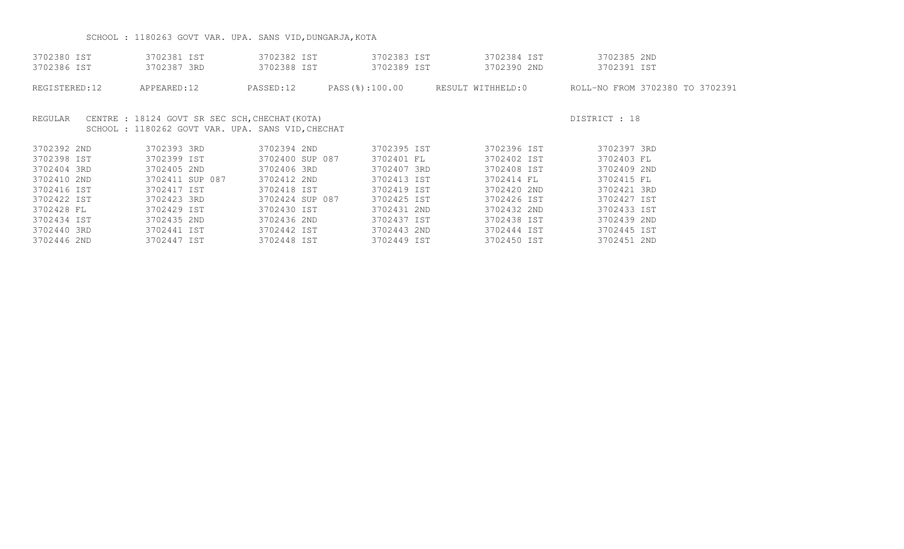# SCHOOL : 1180263 GOVT VAR. UPA. SANS VID, DUNGARJA, KOTA

| 3702380 IST<br>3702386 IST | 3702381 IST<br>3702387 3RD                                                                         | 3702382 IST<br>3702388 IST | 3702383 IST<br>3702389 IST | 3702384 IST<br>3702390 2ND | 3702385 2ND<br>3702391 IST                                       |  |
|----------------------------|----------------------------------------------------------------------------------------------------|----------------------------|----------------------------|----------------------------|------------------------------------------------------------------|--|
| REGISTERED:12              | APPEARED:12                                                                                        | PASSED:12                  |                            |                            | PASS(%):100.00 RESULT WITHHELD:0 ROLL-NO FROM 3702380 TO 3702391 |  |
| REGULAR                    | CENTRE : 18124 GOVT SR SEC SCH, CHECHAT (KOTA)<br>SCHOOL: 1180262 GOVT VAR. UPA. SANS VID, CHECHAT |                            |                            |                            | DISTRICT : 18                                                    |  |
| 3702392 2ND                | 3702393 3RD                                                                                        | 3702394 2ND                | 3702395 IST                | 3702396 IST                | 3702397 3RD                                                      |  |
| 3702398 IST                | 3702399 IST                                                                                        | 3702400 SUP 087            | 3702401 FL                 | 3702402 IST                | 3702403 FL                                                       |  |
| 3702404 3RD                | 3702405 2ND                                                                                        | 3702406 3RD                | 3702407 3RD                | 3702408 IST                | 3702409 2ND                                                      |  |
| 3702410 2ND                | 3702411 SUP 087                                                                                    | 3702412 2ND                | 3702413 IST                | 3702414 FL                 | 3702415 FL                                                       |  |
| 3702416 IST                | 3702417 IST                                                                                        | 3702418 IST                | 3702419 IST                | 3702420 2ND                | 3702421 3RD                                                      |  |
| 3702422 IST                | 3702423 3RD                                                                                        | 3702424 SUP 087            | 3702425 IST                | 3702426 IST                | 3702427 IST                                                      |  |
| 3702428 FL                 | 3702429 IST                                                                                        | 3702430 IST                | 3702431 2ND                | 3702432 2ND                | 3702433 IST                                                      |  |
| 3702434 IST                | 3702435 2ND                                                                                        | 3702436 2ND                | 3702437 IST                | 3702438 IST                | 3702439 2ND                                                      |  |
| 3702440 3RD                | 3702441 IST                                                                                        | 3702442 IST                | 3702443 2ND                | 3702444 IST                | 3702445 IST                                                      |  |
| 3702446 2ND                | 3702447 IST                                                                                        | 3702448 IST                | 3702449 IST                | 3702450 IST                | 3702451 2ND                                                      |  |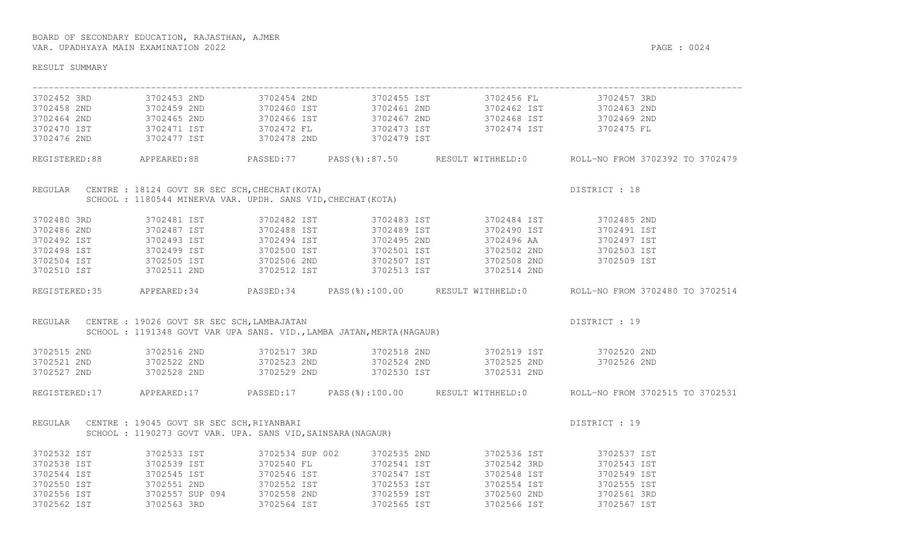| RESULT SUMMARY          |                                                                                                                                                                          |             |                         |                                                                                                                                                                                                                                      |                                                                                                      |
|-------------------------|--------------------------------------------------------------------------------------------------------------------------------------------------------------------------|-------------|-------------------------|--------------------------------------------------------------------------------------------------------------------------------------------------------------------------------------------------------------------------------------|------------------------------------------------------------------------------------------------------|
|                         | 3702452 3RD 3702453 2ND                                                                                                                                                  |             |                         | 3702454 2ND 3702455 IST 3702456 FL 3702457 3RD                                                                                                                                                                                       |                                                                                                      |
|                         | 3702458 2ND 3702459 2ND<br>3702464 2ND 3702465 2ND<br>3702470 IST 3702471 IST                                                                                            |             |                         | 3702460 IST                   3702461 2ND                    3702462 IST                        3702463 2ND<br>3702466 IST                     3702467 2ND                    3702468 IST                   3702469 2ND<br>3702472 F |                                                                                                      |
|                         |                                                                                                                                                                          |             |                         |                                                                                                                                                                                                                                      |                                                                                                      |
|                         |                                                                                                                                                                          |             |                         |                                                                                                                                                                                                                                      |                                                                                                      |
| 3702476 2ND 3702477 IST |                                                                                                                                                                          | 3702478 2ND | 3702479 IST             |                                                                                                                                                                                                                                      |                                                                                                      |
|                         |                                                                                                                                                                          |             |                         |                                                                                                                                                                                                                                      | REGISTERED:88 APPEARED:88 PASSED:77 PASS(%):87.50 RESULT WITHHELD:0 ROLL-NO FROM 3702392 TO 3702479  |
|                         | SCHOOL : 18124 GOVT SR SEC SCH, CHECHAT (KOTA)<br>SCHOOL : 1180544 MINERVA VAR. UPDH. SANS VID, CHECHAT (KOTA)<br>REGULAR CENTRE : 18124 GOVT SR SEC SCH, CHECHAT (KOTA) |             |                         |                                                                                                                                                                                                                                      | DISTRICT : 18                                                                                        |
|                         |                                                                                                                                                                          |             |                         |                                                                                                                                                                                                                                      |                                                                                                      |
| 3702480 3RD             |                                                                                                                                                                          |             |                         |                                                                                                                                                                                                                                      | 3702485 2ND                                                                                          |
| 3702486 2ND             | 3702481 IST<br>3702487 IST                                                                                                                                               |             |                         |                                                                                                                                                                                                                                      | 3702491 IST                                                                                          |
| 3702492 IST             | $3702493$ IST                                                                                                                                                            |             |                         |                                                                                                                                                                                                                                      | 3702497 IST                                                                                          |
|                         |                                                                                                                                                                          | 3702500 IST |                         |                                                                                                                                                                                                                                      | 3702503 IST                                                                                          |
|                         |                                                                                                                                                                          |             |                         |                                                                                                                                                                                                                                      | 3702509 IST                                                                                          |
|                         |                                                                                                                                                                          |             |                         | 3702498 IST 3702499 IST 3702500 IST 3702501 IST 3702502 2ND<br>3702504 IST 3702505 IST 3702506 2ND 3702507 IST 3702508 2ND<br>3702510 IST 3702511 2ND 3702512 IST 3702513 IST 3702514 2ND                                            |                                                                                                      |
|                         |                                                                                                                                                                          |             |                         |                                                                                                                                                                                                                                      | REGISTERED:35 APPEARED:34 PASSED:34 PASS(%):100.00 RESULT WITHHELD:0 ROLL-NO FROM 3702480 TO 3702514 |
| REGULAR                 | CENTRE : 19026 GOVT SR SEC SCH, LAMBAJATAN<br>SCHOOL : 1191348 GOVT VAR UPA SANS. VID., LAMBA JATAN, MERTA(NAGAUR)<br>CENTRE : 19026 GOVT SR SEC SCH, LAMBAJATAN         |             |                         |                                                                                                                                                                                                                                      | DISTRICT : 19                                                                                        |
|                         |                                                                                                                                                                          |             |                         |                                                                                                                                                                                                                                      |                                                                                                      |
|                         |                                                                                                                                                                          |             |                         | 3702515 2ND 3702516 2ND 3702517 3RD 3702518 2ND 3702519 IST 3702520 2ND                                                                                                                                                              |                                                                                                      |
|                         |                                                                                                                                                                          |             |                         | 3702521 2ND 3702522 2ND 3702523 2ND 3702524 2ND 3702524 2ND 3702525 2ND                                                                                                                                                              | 3702526 2ND                                                                                          |
| 3702527 2ND             | 3702528 2ND 3702529 2ND 3702530 IST                                                                                                                                      |             |                         | 3702531 2ND                                                                                                                                                                                                                          |                                                                                                      |
|                         |                                                                                                                                                                          |             |                         |                                                                                                                                                                                                                                      | REGISTERED:17 APPEARED:17 PASSED:17 PASS(%):100.00 RESULT WITHHELD:0 ROLL-NO FROM 3702515 TO 3702531 |
|                         | REGULAR CENTRE : 19045 GOVT SR SEC SCH, RIYANBARI                                                                                                                        |             |                         |                                                                                                                                                                                                                                      | DISTRICT : 19                                                                                        |
|                         | SCHOOL: 1190273 GOVT VAR. UPA. SANS VID, SAINSARA (NAGAUR)                                                                                                               |             |                         |                                                                                                                                                                                                                                      |                                                                                                      |
| 3702532 IST             | 3702533 IST                                                                                                                                                              |             |                         | 3702534 SUP 002 3702535 2ND 3702536 IST                                                                                                                                                                                              | 3702537 IST                                                                                          |
| 3702538 IST             | 3702539 IST                                                                                                                                                              | 3702540 FL  | 3702541 IST             | 3702542 3RD                                                                                                                                                                                                                          | 3702543 IST                                                                                          |
| 3702544 IST             | 3702545 IST                                                                                                                                                              | 3702546 IST | 3702547 IST             | 3702548 IST                                                                                                                                                                                                                          | 3702549 IST                                                                                          |
|                         |                                                                                                                                                                          |             | 3702553 IST             | 3702554 IST                                                                                                                                                                                                                          | 3702555 IST                                                                                          |
|                         |                                                                                                                                                                          |             |                         | 3/02554 IST<br>3702560 2ND                                                                                                                                                                                                           | 3702561 3RD                                                                                          |
| 3702562 IST 3702563 3RD |                                                                                                                                                                          |             | 3702564 IST 3702565 IST | 3702566 IST                                                                                                                                                                                                                          | 3702567 IST                                                                                          |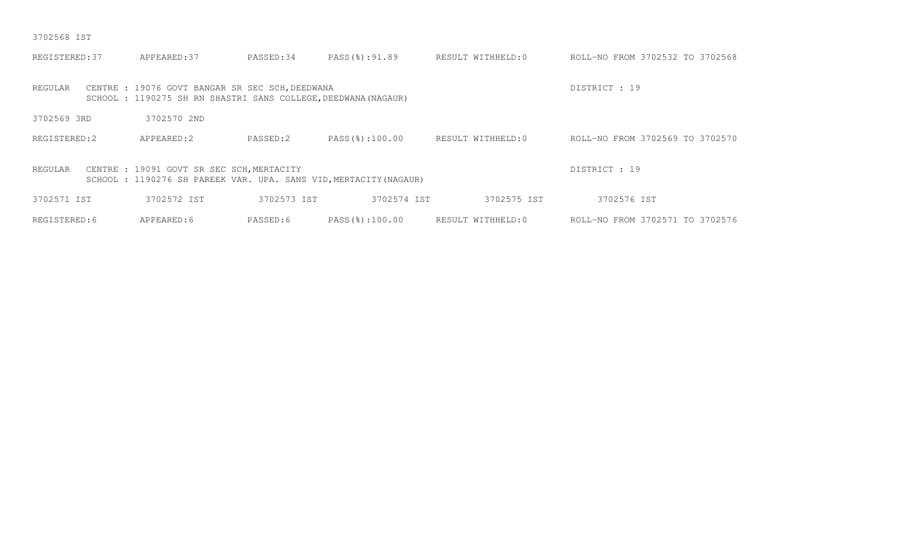3702568 IST

| REGISTERED: 37 | APPEARED: 37                                                                                                      | PASSED:34   | PASS(%):91.89  | RESULT WITHHELD:0 | ROLL-NO FROM 3702532 TO 3702568 |
|----------------|-------------------------------------------------------------------------------------------------------------------|-------------|----------------|-------------------|---------------------------------|
| REGULAR        | CENTRE : 19076 GOVT BANGAR SR SEC SCH, DEEDWANA<br>SCHOOL : 1190275 SH RN SHASTRI SANS COLLEGE, DEEDWANA (NAGAUR) |             |                |                   | DISTRICT : 19                   |
| 3702569 3RD    | 3702570 2ND                                                                                                       |             |                |                   |                                 |
| REGISTERED:2   | APPEARED:2                                                                                                        | PASSED:2    | PASS(%):100.00 | RESULT WITHHELD:0 | ROLL-NO FROM 3702569 TO 3702570 |
| REGULAR        | CENTRE : 19091 GOVT SR SEC SCH, MERTACITY<br>SCHOOL: 1190276 SH PAREEK VAR. UPA. SANS VID, MERTACITY (NAGAUR)     |             |                |                   | DISTRICT : 19                   |
| 3702571 IST    | 3702572 IST                                                                                                       | 3702573 IST | 3702574 IST    | 3702575 IST       | 3702576 IST                     |
| REGISTERED: 6  | APPEARED: 6                                                                                                       | PASSED:6    | PASS(%):100.00 | RESULT WITHHELD:0 | ROLL-NO FROM 3702571 TO 3702576 |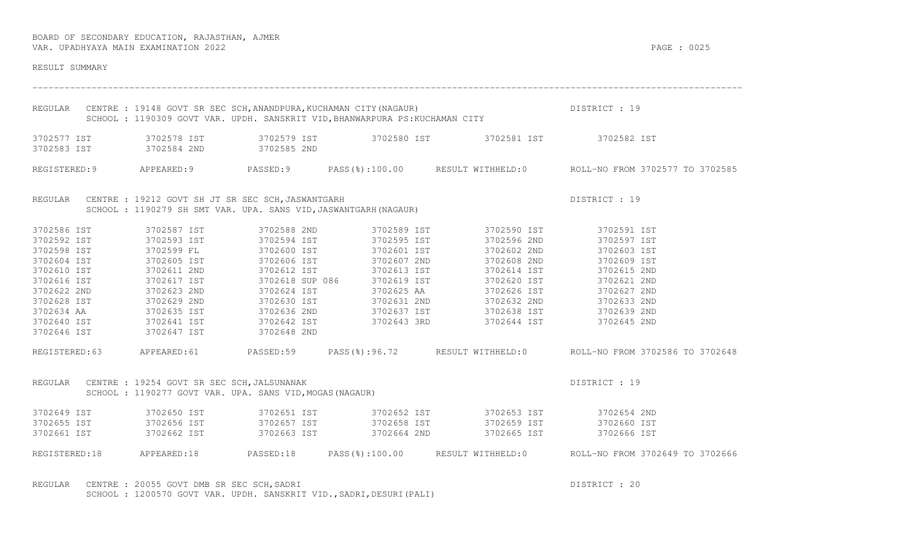| RESULT SUMMARY                                                                                                                                                   |                                                                                                                                                   |                                                                      |                                           |                                                                                                                                                                                                                                                                                                                                                                                               |                                                                                                                                                  |
|------------------------------------------------------------------------------------------------------------------------------------------------------------------|---------------------------------------------------------------------------------------------------------------------------------------------------|----------------------------------------------------------------------|-------------------------------------------|-----------------------------------------------------------------------------------------------------------------------------------------------------------------------------------------------------------------------------------------------------------------------------------------------------------------------------------------------------------------------------------------------|--------------------------------------------------------------------------------------------------------------------------------------------------|
|                                                                                                                                                                  |                                                                                                                                                   |                                                                      |                                           | REGULAR CENTRE : 19148 GOVT SR SEC SCH, ANANDPURA, KUCHAMAN CITY (NAGAUR)<br>SCHOOL : 1190309 GOVT VAR. UPDH. SANSKRIT VID, BHANWARPURA PS: KUCHAMAN CITY                                                                                                                                                                                                                                     | DISTRICT : 19                                                                                                                                    |
|                                                                                                                                                                  | 3702583 IST 3702584 2ND 3702585 2ND                                                                                                               |                                                                      |                                           | 3702577 IST 3702578 IST 3702579 IST 3702580 IST 3702581 IST 3702581 IST 3702582 IST                                                                                                                                                                                                                                                                                                           |                                                                                                                                                  |
|                                                                                                                                                                  |                                                                                                                                                   |                                                                      |                                           |                                                                                                                                                                                                                                                                                                                                                                                               | REGISTERED:9 APPEARED:9 PASSED:9 PASS(%):100.00 RESULT WITHHELD:0 ROLL-NO FROM 3702577 TO 3702585                                                |
|                                                                                                                                                                  | REGULAR CENTRE : 19212 GOVT SH JT SR SEC SCH, JASWANTGARH                                                                                         |                                                                      |                                           | CENTRE : 19212 GOVT SH JT SR SEC SCH, JASWANTGARH<br>SCHOOL : 1190279 SH SMT VAR. UPA. SANS VID, JASWANTGARH(NAGAUR)                                                                                                                                                                                                                                                                          | DISTRICT : 19                                                                                                                                    |
| 3702586 IST<br>3702592 IST<br>3702598 IST<br>3702604 IST<br>3702610 IST<br>3702616 IST<br>3702622 2ND<br>3702628 IST<br>3702634 AA<br>3702640 IST<br>3702646 IST | 3702587 IST<br>3702599 FL<br>3702605 IST<br>3702611 2ND<br>3702617 IST<br>3702623 2ND<br>3702629 2ND<br>3702635 IST<br>3702635 IST<br>3702647 IST | 3702588 2ND<br>3702593 IST 3702594 IST<br>3702600 IST<br>3702648 2ND | 3702589 IST<br>3702595 IST<br>3702601 IST | 3702590 IST<br>3702596 2ND<br>3702602 2ND<br>3702606 IST 3702607 2ND 3702608 2ND 3702609 IST<br>3702612 IST 3702613 IST 3702614 IST 3702615 2ND<br>3702618 SUP 086 3702619 IST 3702620 IST 3702621 2ND<br>3702624 IST 3702625 AA 3702626 IST 3702627 2ND<br>3702630 IST 3702631 2ND 370<br>3702636 2ND 3702637 IST 3702638 IST 3702639 2ND<br>3702642 IST 3702643 3RD 3702644 IST 3702645 2ND | 3702591 IST<br>3702597 IST<br>3702603 IST<br>REGISTERED:63 APPEARED:61 PASSED:59 PASS(%):96.72 RESULT WITHHELD:0 ROLL-NO FROM 3702586 TO 3702648 |
|                                                                                                                                                                  | REGULAR CENTRE : 19254 GOVT SR SEC SCH, JALSUNANAK<br>SCHOOL : 1190277 GOVT VAR. UPA. SANS VID, MOGAS (NAGAUR)                                    |                                                                      |                                           |                                                                                                                                                                                                                                                                                                                                                                                               | DISTRICT : 19                                                                                                                                    |
| 3702649 IST<br>3702655 IST<br>3702661 IST                                                                                                                        | 3702650 IST<br>3702656 IST<br>3702662 IST                                                                                                         | 3702663 IST                                                          | 3702664 2ND                               | 3702665 IST                                                                                                                                                                                                                                                                                                                                                                                   | 3702666 IST                                                                                                                                      |
|                                                                                                                                                                  |                                                                                                                                                   |                                                                      |                                           |                                                                                                                                                                                                                                                                                                                                                                                               | REGISTERED:18 APPEARED:18 PASSED:18 PASS(%):100.00 RESULT WITHHELD:0 ROLL-NO FROM 3702649 TO 3702666                                             |

REGULAR CENTRE : 20055 GOVT DMB SR SEC SCH, SADRI DESTRICT CONSERVATION DISTRICT : 20 SCHOOL : 1200570 GOVT VAR. UPDH. SANSKRIT VID.,SADRI,DESURI(PALI)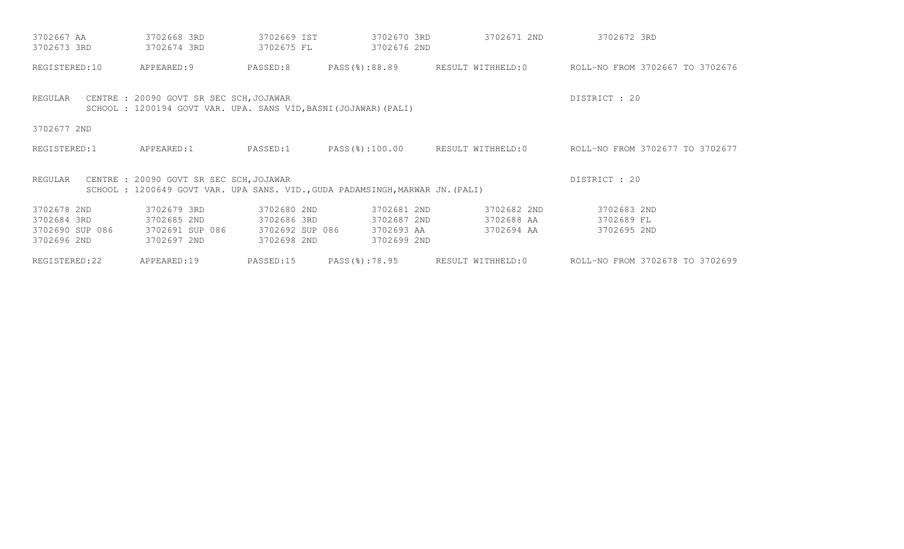| 3702667 AA      | 3702668 3RD                                                                                                 | 3702669 IST     | 3702670 3RD                                                                   | 3702671 2ND       | 3702672 3RD                                                     |
|-----------------|-------------------------------------------------------------------------------------------------------------|-----------------|-------------------------------------------------------------------------------|-------------------|-----------------------------------------------------------------|
| 3702673 3RD     | 3702674 3RD                                                                                                 | 3702675 FL      | 3702676 2ND                                                                   |                   |                                                                 |
| REGISTERED:10   | APPEARED: 9                                                                                                 | PASSED:8        |                                                                               |                   | PASS(%):88.89 RESULT WITHHELD:0 ROLL-NO FROM 3702667 TO 3702676 |
| REGULAR         | CENTRE : 20090 GOVT SR SEC SCH, JOJAWAR<br>SCHOOL : 1200194 GOVT VAR. UPA. SANS VID, BASNI (JOJAWAR) (PALI) |                 |                                                                               |                   | DISTRICT : 20                                                   |
| 3702677 2ND     |                                                                                                             |                 |                                                                               |                   |                                                                 |
| REGISTERED:1    | APPEARED:1                                                                                                  | PASSED:1        | PASS(%):100.00                                                                |                   | RESULT WITHHELD:0 ROLL-NO FROM 3702677 TO 3702677               |
| REGULAR         | CENTRE : 20090 GOVT SR SEC SCH, JOJAWAR                                                                     |                 | SCHOOL : 1200649 GOVT VAR. UPA SANS. VID., GUDA PADAMSINGH, MARWAR JN. (PALI) |                   | DISTRICT : 20                                                   |
| 3702678 2ND     | 3702679 3RD                                                                                                 | 3702680 2ND     | 3702681 2ND                                                                   | 3702682 2ND       | 3702683 2ND                                                     |
| 3702684 3RD     | 3702685 2ND                                                                                                 | 3702686 3RD     | 3702687 2ND                                                                   | 3702688 AA        | 3702689 FL                                                      |
| 3702690 SUP 086 | 3702691 SUP 086                                                                                             | 3702692 SUP 086 | 3702693 AA                                                                    | 3702694 AA        | 3702695 2ND                                                     |
| 3702696 2ND     | 3702697 2ND                                                                                                 | 3702698 2ND     | 3702699 2ND                                                                   |                   |                                                                 |
| REGISTERED:22   | APPEARED:19                                                                                                 | PASSED:15       | PASS(%):78.95                                                                 | RESULT WITHHELD:0 | ROLL-NO FROM 3702678 TO 3702699                                 |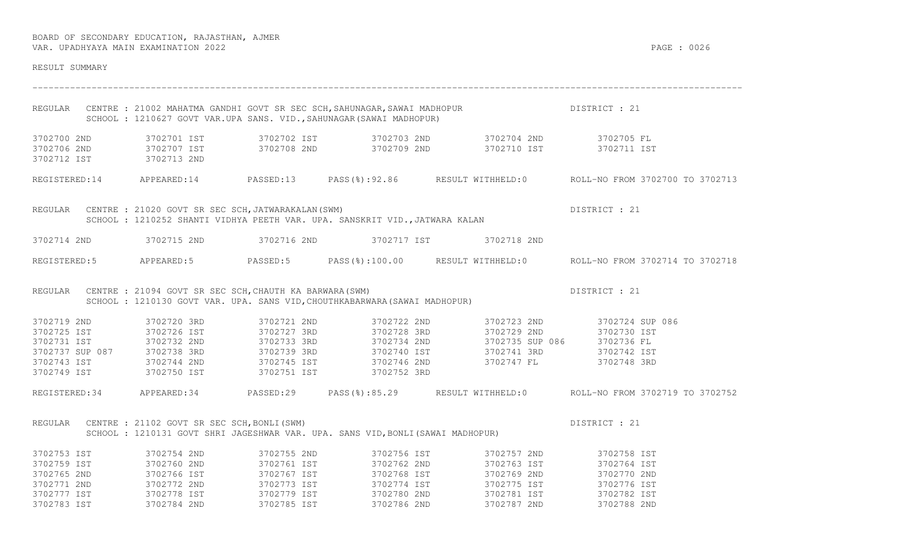| RESULT SUMMARY                                                                                  |                                                                 |                            |                                                                                 |                                                                                                                                                                                                                                                                                                                                                           |                                                                                                     |
|-------------------------------------------------------------------------------------------------|-----------------------------------------------------------------|----------------------------|---------------------------------------------------------------------------------|-----------------------------------------------------------------------------------------------------------------------------------------------------------------------------------------------------------------------------------------------------------------------------------------------------------------------------------------------------------|-----------------------------------------------------------------------------------------------------|
|                                                                                                 |                                                                 |                            | SCHOOL : 1210627 GOVT VAR.UPA SANS. VID., SAHUNAGAR (SAWAI MADHOPUR)            | REGULAR CENTRE : 21002 MAHATMA GANDHI GOVT SR SEC SCH, SAHUNAGAR, SAWAI MADHOPUR PARA DISTRICT : 21                                                                                                                                                                                                                                                       |                                                                                                     |
| 3702700 2ND                                                                                     |                                                                 |                            |                                                                                 | 3702701 IST               3702702 IST             3702703 2ND             3702704 2ND             3702705 FL<br>3702706 2ND              3702707 IST            3702708 2ND            3702709 2ND            3702710 IST            3702711 IST            3702711 IST                                                                                   |                                                                                                     |
|                                                                                                 |                                                                 |                            |                                                                                 |                                                                                                                                                                                                                                                                                                                                                           | REGISTERED:14 APPEARED:14 PASSED:13 PASS(%):92.86 RESULT WITHHELD:0 ROLL-NO FROM 3702700 TO 3702713 |
|                                                                                                 | REGULAR CENTRE : 21020 GOVT SR SEC SCH, JATWARAKALAN (SWM)      |                            | SCHOOL : 1210252 SHANTI VIDHYA PEETH VAR. UPA. SANSKRIT VID., JATWARA KALAN     |                                                                                                                                                                                                                                                                                                                                                           | DISTRICT : 21                                                                                       |
|                                                                                                 |                                                                 |                            |                                                                                 | 3702714 2ND 3702715 2ND 3702716 2ND 3702717 IST 3702718 2ND                                                                                                                                                                                                                                                                                               |                                                                                                     |
|                                                                                                 |                                                                 |                            |                                                                                 |                                                                                                                                                                                                                                                                                                                                                           | REGISTERED:5 APPEARED:5 PASSED:5 PASS(%):100.00 RESULT WITHHELD:0 ROLL-NO FROM 3702714 TO 3702718   |
|                                                                                                 | REGULAR CENTRE : 21094 GOVT SR SEC SCH, CHAUTH KA BARWARA (SWM) |                            | SCHOOL : 1210130 GOVT VAR. UPA. SANS VID, CHOUTHKABARWARA (SAWAI MADHOPUR)      |                                                                                                                                                                                                                                                                                                                                                           | DISTRICT : 21                                                                                       |
| 3702719 2ND<br>3702749 IST 3702750 IST                                                          | 3702720 3RD                                                     | 3702721 2ND<br>3702751 IST | 3702722 2ND<br>3702743 IST 3702744 2ND 3702745 IST 3702746 2ND<br>3702752 3RD   | $\begin{array}{cccccccc} 3702725 & \text{IST} & 3702726 & \text{IST} & 3702727 & 3\text{RD} & 3702728 & 3\text{RD} & 3702729 & 2\text{ND} & 3702730 & \text{IST} \\ 3702731 & \text{IST} & 3702732 & 2\text{ND} & 3702733 & 3\text{RD} & 3702734 & 2\text{ND} & 3702735 & \text{SUP} & 086 & 3702736 & \text{FL} \\ 3702737 & \text{SUP} &$<br>3702747 FL | 3702723 2ND 3702724 SUP 086<br>3702748 3RD                                                          |
|                                                                                                 |                                                                 |                            |                                                                                 |                                                                                                                                                                                                                                                                                                                                                           | REGISTERED:34 APPEARED:34 PASSED:29 PASS(%):85.29 RESULT WITHHELD:0 ROLL-NO FROM 3702719 TO 3702752 |
|                                                                                                 | REGULAR CENTRE : 21102 GOVT SR SEC SCH, BONLI (SWM)             |                            | SCHOOL : 1210131 GOVT SHRI JAGESHWAR VAR. UPA. SANS VID, BONLI (SAWAI MADHOPUR) |                                                                                                                                                                                                                                                                                                                                                           | DISTRICT : 21                                                                                       |
| 3702753 IST<br>3702759 IST<br>3702765 2ND<br>3702771 2ND 3702772 2ND<br>3702777 IST 3702778 IST | 3702754 2ND<br>3702760 2ND                                      | 3702755 2ND<br>3702761 IST |                                                                                 | 3702756 IST 3702757 2ND 3702758 IST<br>3702762 2ND 3702763 IST<br>3702783 IST       3702784 2ND       3702785 IST       3702786 2ND       3702787 2ND       3702788 2ND                                                                                                                                                                                   | 3702764 IST                                                                                         |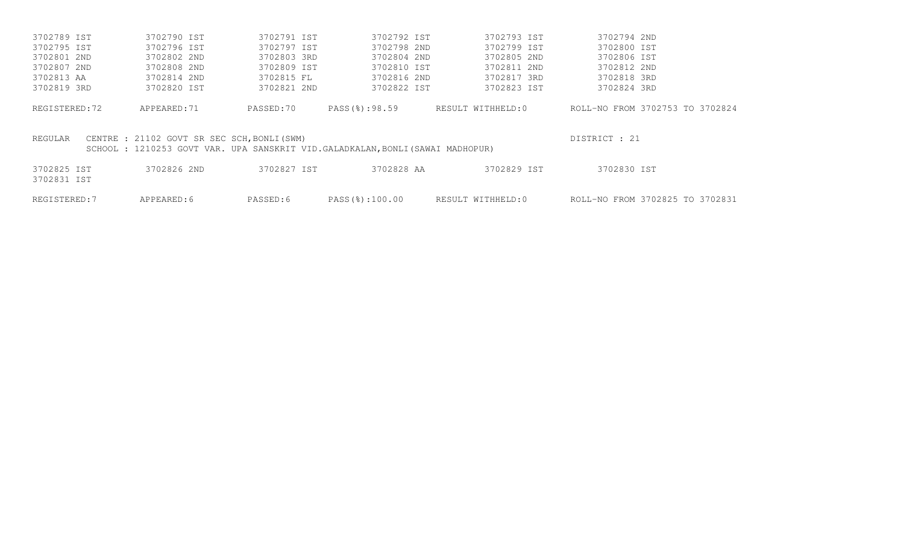| 3702789 IST                | 3702790 IST                                 | 3702791 IST | 3702792 IST                                                                   | 3702793 IST       | 3702794 2ND                     |  |
|----------------------------|---------------------------------------------|-------------|-------------------------------------------------------------------------------|-------------------|---------------------------------|--|
| 3702795 IST                | 3702796 IST                                 | 3702797 IST | 3702798 2ND                                                                   | 3702799 IST       | 3702800 IST                     |  |
| 3702801 2ND                | 3702802 2ND                                 | 3702803 3RD | 3702804 2ND                                                                   | 3702805 2ND       | 3702806 IST                     |  |
| 3702807 2ND                | 3702808 2ND                                 | 3702809 IST | 3702810 IST                                                                   | 3702811 2ND       | 3702812 2ND                     |  |
| 3702813 AA                 | 3702814 2ND                                 | 3702815 FL  | 3702816 2ND                                                                   | 3702817 3RD       | 3702818 3RD                     |  |
| 3702819 3RD                | 3702820 IST                                 | 3702821 2ND | 3702822 IST                                                                   | 3702823 IST       | 3702824 3RD                     |  |
| REGISTERED:72              | APPEARED: 71                                | PASSED:70   | PASS(%):98.59                                                                 | RESULT WITHHELD:0 | ROLL-NO FROM 3702753 TO 3702824 |  |
| REGULAR                    | CENTRE : 21102 GOVT SR SEC SCH, BONLI (SWM) |             | SCHOOL: 1210253 GOVT VAR. UPA SANSKRIT VID.GALADKALAN, BONLI (SAWAI MADHOPUR) |                   | DISTRICT : 21                   |  |
| 3702825 IST<br>3702831 IST | 3702826 2ND                                 | 3702827 IST | 3702828 AA                                                                    | 3702829 IST       | 3702830 IST                     |  |
|                            |                                             |             |                                                                               |                   |                                 |  |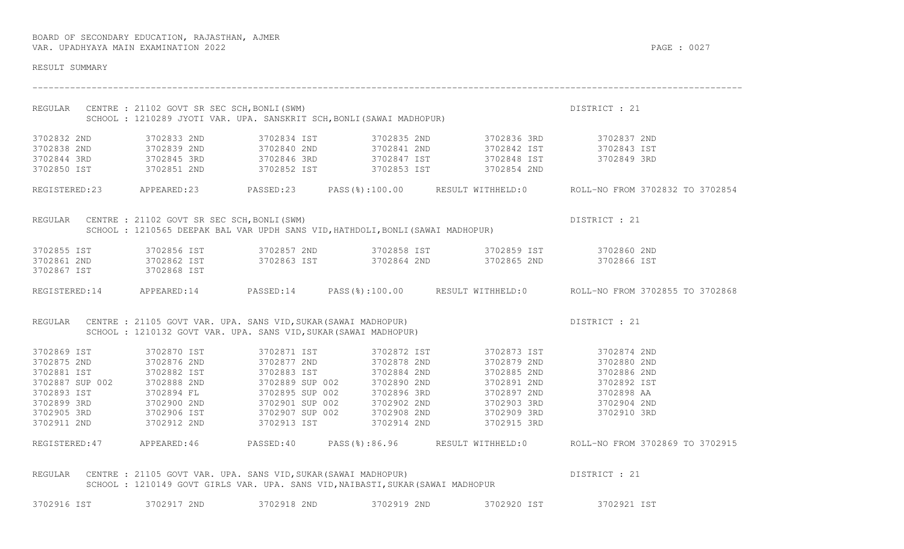| RESULT SUMMARY                                                          |             |                                                                                     |                                                                                 |                                                                                                                                                                                              |                                                                                                      |
|-------------------------------------------------------------------------|-------------|-------------------------------------------------------------------------------------|---------------------------------------------------------------------------------|----------------------------------------------------------------------------------------------------------------------------------------------------------------------------------------------|------------------------------------------------------------------------------------------------------|
|                                                                         |             | REGULAR CENTRE : 21102 GOVT SR SEC SCH, BONLI (SWM)                                 |                                                                                 | CENTRE : 21102 GOVT SR SEC SCH,BONLI(SWM)<br>SCHOOL : 1210289 JYOTI VAR. UPA. SANSKRIT SCH,BONLI(SAWAI MADHOPUR)                                                                             | DISTRICT : 21                                                                                        |
| 3702832 2ND<br>3702838 2ND<br>3702844 3RD                               |             |                                                                                     |                                                                                 | 3702850 IST 3702851 2ND 3702852 IST 3702853 IST 3702854 2ND                                                                                                                                  |                                                                                                      |
|                                                                         |             |                                                                                     |                                                                                 |                                                                                                                                                                                              | REGISTERED:23 APPEARED:23 PASSED:23 PASS(%):100.00 RESULT WITHHELD:0 ROLL-NO FROM 3702832 TO 3702854 |
|                                                                         |             | REGULAR CENTRE : 21102 GOVT SR SEC SCH, BONLI (SWM)                                 | SCHOOL: 1210565 DEEPAK BAL VAR UPDH SANS VID, HATHDOLI, BONLI (SAWAI MADHOPUR)  |                                                                                                                                                                                              | DISTRICT : 21                                                                                        |
| 3702861 2ND<br>3702867 IST                                              |             | 3702868 IST                                                                         |                                                                                 | 3702855 IST       3702856 IST       3702857 2ND       3702858 IST       3702859 IST       3702860 2ND<br>3702862 IST       3702863 IST       3702864 2ND       3702865 2ND       3702866 IST |                                                                                                      |
|                                                                         |             |                                                                                     |                                                                                 |                                                                                                                                                                                              | REGISTERED:14 APPEARED:14 PASSED:14 PASS(%):100.00 RESULT WITHHELD:0 ROLL-NO FROM 3702855 TO 3702868 |
|                                                                         |             | SCHOOL : 1210132 GOVT VAR. UPA. SANS VID, SUKAR (SAWAI MADHOPUR)                    |                                                                                 | REGULAR CENTRE : 21105 GOVT VAR. UPA. SANS VID, SUKAR (SAWAI MADHOPUR)                                                                                                                       | DISTRICT : 21                                                                                        |
| 3702875 2ND<br>3702881 IST<br>3702899 3RD<br>3702905 3RD<br>3702911 2ND | 3702869 IST | 3702870 IST<br>3702876 2ND<br>3702887 SUP 002 3702888 2ND<br>3702893 IST 3702894 FL |                                                                                 | 3702871 IST 3702872 IST 3702873 IST 3702874 2ND<br>3702877 2ND 3702878 2ND 3702879 2ND 370280 2ND                                                                                            |                                                                                                      |
|                                                                         |             |                                                                                     |                                                                                 |                                                                                                                                                                                              | REGISTERED:47 APPEARED:46 PASSED:40 PASS(%):86.96 RESULT WITHHELD:0 ROLL-NO FROM 3702869 TO 3702915  |
| REGULAR                                                                 |             | CENTRE : 21105 GOVT VAR. UPA. SANS VID, SUKAR (SAWAI MADHOPUR)                      | SCHOOL : 1210149 GOVT GIRLS VAR. UPA. SANS VID, NAIBASTI, SUKAR (SAWAI MADHOPUR |                                                                                                                                                                                              | DISTRICT : 21                                                                                        |
| 3702916 IST                                                             |             |                                                                                     |                                                                                 | 3702917 2ND       3702918 2ND       3702919 2ND       3702920 IST       3702921 IST                                                                                                          |                                                                                                      |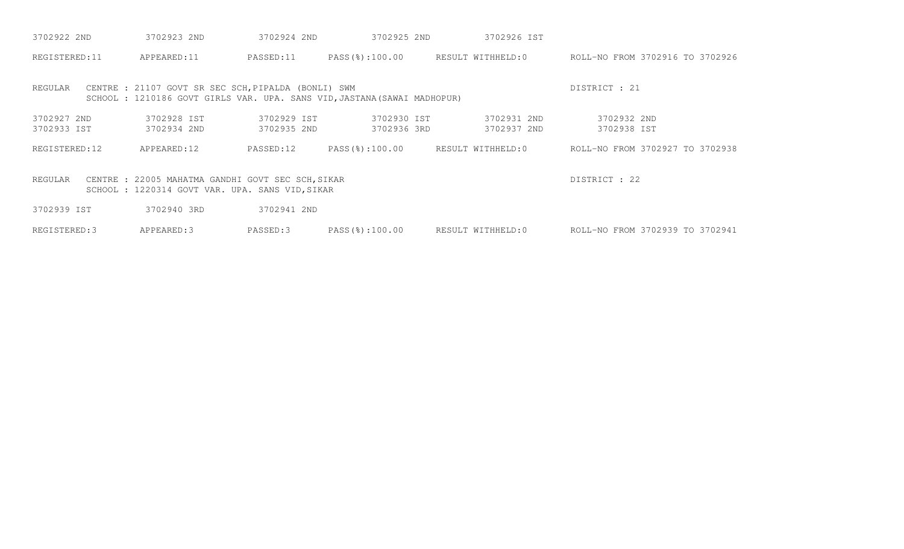| 3702922 2ND                | 3702923 2ND                                                                                          | 3702924 2ND                | 3702925 2ND                                                              | 3702926 IST                |                                 |
|----------------------------|------------------------------------------------------------------------------------------------------|----------------------------|--------------------------------------------------------------------------|----------------------------|---------------------------------|
| REGISTERED:11              | APPEARED:11                                                                                          | PASSED:11                  | PASS(%):100.00                                                           | RESULT WITHHELD:0          | ROLL-NO FROM 3702916 TO 3702926 |
| REGULAR                    | CENTRE : 21107 GOVT SR SEC SCH, PIPALDA (BONLI) SWM                                                  |                            | SCHOOL : 1210186 GOVT GIRLS VAR. UPA. SANS VID, JASTANA (SAWAI MADHOPUR) |                            | DISTRICT : 21                   |
| 3702927 2ND<br>3702933 IST | 3702928 IST<br>3702934 2ND                                                                           | 3702929 IST<br>3702935 2ND | 3702930 IST<br>3702936 3RD                                               | 3702931 2ND<br>3702937 2ND | 3702932 2ND<br>3702938 IST      |
| REGISTERED:12              | APPEARED:12                                                                                          | PASSED:12                  | PASS(%):100.00                                                           | RESULT WITHHELD:0          | ROLL-NO FROM 3702927 TO 3702938 |
| REGULAR                    | CENTRE : 22005 MAHATMA GANDHI GOVT SEC SCH, SIKAR<br>SCHOOL : 1220314 GOVT VAR. UPA. SANS VID, SIKAR |                            |                                                                          |                            | DISTRICT : 22                   |
| 3702939 IST                | 3702940 3RD                                                                                          | 3702941 2ND                |                                                                          |                            |                                 |
| REGISTERED: 3              | APPEARED: 3                                                                                          | PASSED:3                   | PASS(%):100.00                                                           | RESULT WITHHELD:0          | ROLL-NO FROM 3702939 TO 3702941 |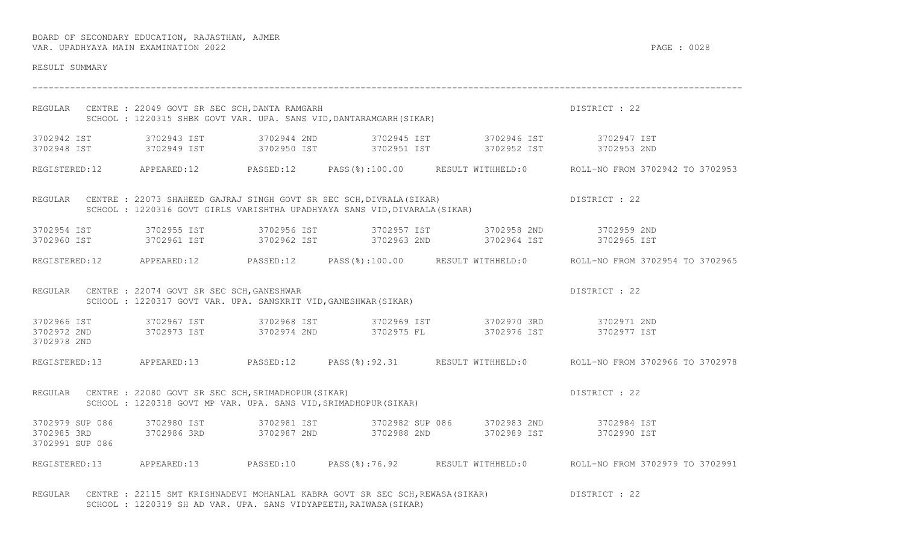| RESULT SUMMARY  |                                                             |                                                                                                                   |                                                                                                                                                                                                                                                                                                                                                           |                                                                                                      |
|-----------------|-------------------------------------------------------------|-------------------------------------------------------------------------------------------------------------------|-----------------------------------------------------------------------------------------------------------------------------------------------------------------------------------------------------------------------------------------------------------------------------------------------------------------------------------------------------------|------------------------------------------------------------------------------------------------------|
|                 | REGULAR CENTRE : 22049 GOVT SR SEC SCH, DANTA RAMGARH       | CENTRE : 22049 GOVT SR SEC SCH,DANTA RAMGARH<br>SCHOOL : 1220315 SHBK GOVT VAR. UPA. SANS VID,DANTARAMGARH(SIKAR) |                                                                                                                                                                                                                                                                                                                                                           | DISTRICT : 22                                                                                        |
|                 |                                                             |                                                                                                                   | 3702942 IST 3702943 IST 3702944 2ND 3702945 IST 3702946 IST 3702947 IST<br>3702948 IST 3702949 IST 3702950 IST 3702951 IST 3702951 IST 3702952 IST 3702953 2ND                                                                                                                                                                                            |                                                                                                      |
|                 |                                                             |                                                                                                                   |                                                                                                                                                                                                                                                                                                                                                           | REGISTERED:12 APPEARED:12 PASSED:12 PASS(%):100.00 RESULT WITHHELD:0 ROLL-NO FROM 3702942 TO 3702953 |
|                 |                                                             |                                                                                                                   | REGULAR CENTRE : 22073 SHAHEED GAJRAJ SINGH GOVT SR SEC SCH, DIVRALA(SIKAR) DISTRICT : 22<br>SCHOOL : 1220316 GOVT GIRLS VARISHTHA UPADHYAYA SANS VID, DIVARALA(SIKAR)                                                                                                                                                                                    |                                                                                                      |
|                 |                                                             |                                                                                                                   | $\begin{array}{cccccccc} 3702954 & \text{IST} & 3702955 & \text{IST} & 3702956 & \text{IST} & 3702957 & \text{IST} & 3702958 & \text{2ND} & 3702959 & \text{2ND} & 3702961 & \text{IST} & 3702961 & \text{IST} & 3702962 & \text{IST} & 3702962 & \text{IST} & 3702963 & \text{2ND} & 3702964 & \text{IST} & 3702965 & \text{IST} & 3702965 & \text{IST}$ |                                                                                                      |
|                 |                                                             |                                                                                                                   |                                                                                                                                                                                                                                                                                                                                                           | REGISTERED:12 APPEARED:12 PASSED:12 PASS(%):100.00 RESULT WITHHELD:0 ROLL-NO FROM 3702954 TO 3702965 |
|                 | REGULAR CENTRE : 22074 GOVT SR SEC SCH, GANESHWAR           | SCHOOL : 1220317 GOVT VAR. UPA. SANSKRIT VID, GANESHWAR (SIKAR)                                                   |                                                                                                                                                                                                                                                                                                                                                           | DISTRICT : 22                                                                                        |
| 3702978 2ND     |                                                             |                                                                                                                   | $\begin{array}{cccccccccccc} 3702966 & 1ST & & 3702967 & 1ST & & 3702968 & 1ST & & 3702969 & 1ST & & 3702970 & 3RD & & 3702971 & 2ND \\ & & 3702972 & 2ND & & 3702973 & 1ST & & 3702974 & 2ND & & 3702975 & FL & & 3702976 & 1ST & & 3702977 & 1ST \end{array}$                                                                                           |                                                                                                      |
|                 |                                                             |                                                                                                                   |                                                                                                                                                                                                                                                                                                                                                           | REGISTERED:13 APPEARED:13 PASSED:12 PASS(%):92.31 RESULT WITHHELD:0 ROLL-NO FROM 3702966 TO 3702978  |
|                 | REGULAR CENTRE : 22080 GOVT SR SEC SCH, SRIMADHOPUR (SIKAR) | SCHOOL : 1220318 GOVT MP VAR. UPA. SANS VID, SRIMADHOPUR (SIKAR)                                                  |                                                                                                                                                                                                                                                                                                                                                           | DISTRICT : 22                                                                                        |
| 3702991 SUP 086 |                                                             |                                                                                                                   | $\begin{array}{cccccccc} 3702979 & \text{SUP} & 086 & 3702980 & \text{IST} & 3702981 & \text{IST} & 3702982 & \text{SUP} & 3702983 & \text{2ND} & 3702984 & \text{IST} \\ 3702985 & 3RD & 3702986 & 3RD & 3702987 & \text{2ND} & 3702988 & \text{2ND} & 3702989 & \text{IST} & 3702990 & \text{IST} \end{array}$                                          |                                                                                                      |
|                 |                                                             |                                                                                                                   |                                                                                                                                                                                                                                                                                                                                                           | REGISTERED:13 APPEARED:13 PASSED:10 PASS(%):76.92 RESULT WITHHELD:0 ROLL-NO FROM 3702979 TO 3702991  |

REGULAR CENTRE : 22115 SMT KRISHNADEVI MOHANLAL KABRA GOVT SR SEC SCH, REWASA(SIKAR) DISTRICT : 22 SCHOOL : 1220319 SH AD VAR. UPA. SANS VIDYAPEETH, RAIWASA (SIKAR)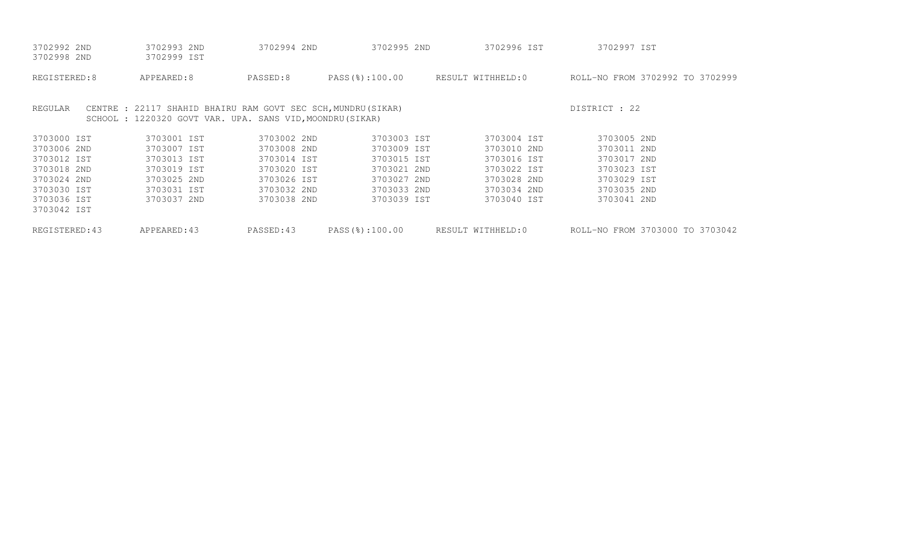| 3702992 2ND    | 3702993 2ND                                                   | 3702994 2ND | 3702995 2ND    | 3702996 IST                      | 3702997 IST                     |
|----------------|---------------------------------------------------------------|-------------|----------------|----------------------------------|---------------------------------|
| 3702998 2ND    | 3702999 IST                                                   |             |                |                                  |                                 |
| REGISTERED:8   | APPEARED:8                                                    | PASSED:8    | PASS(%):100.00 | RESULT WITHHELD:0                | ROLL-NO FROM 3702992 TO 3702999 |
| REGULAR        | CENTRE : 22117 SHAHID BHAIRU RAM GOVT SEC SCH, MUNDRU (SIKAR) |             |                |                                  | DISTRICT : 22                   |
|                | SCHOOL : 1220320 GOVT VAR. UPA. SANS VID, MOONDRU (SIKAR)     |             |                |                                  |                                 |
| 3703000 IST    | 3703001 IST                                                   | 3703002 2ND | 3703003 IST    | 3703004 IST                      | 3703005 2ND                     |
| 3703006 2ND    | 3703007 IST                                                   | 3703008 2ND | 3703009 IST    | 3703010 2ND                      | 3703011 2ND                     |
| 3703012 IST    | 3703013 IST                                                   | 3703014 IST | 3703015 IST    | 3703016 IST                      | 3703017 2ND                     |
| 3703018 2ND    | 3703019 IST                                                   | 3703020 IST | 3703021 2ND    | 3703022 IST                      | 3703023 IST                     |
| 3703024 2ND    | 3703025 2ND                                                   | 3703026 IST | 3703027 2ND    | 3703028 2ND                      | 3703029 IST                     |
| 3703030 IST    | 3703031 IST                                                   | 3703032 2ND | 3703033 2ND    | 3703034 2ND                      | 3703035 2ND                     |
| 3703036 IST    | 3703037 2ND                                                   | 3703038 2ND | 3703039 IST    | 3703040 IST                      | 3703041 2ND                     |
| 3703042 IST    |                                                               |             |                |                                  |                                 |
| REGISTERED: 43 | APPEARED:43                                                   | PASSED:43   |                | PASS(%):100.00 RESULT WITHHELD:0 | ROLL-NO FROM 3703000 TO 3703042 |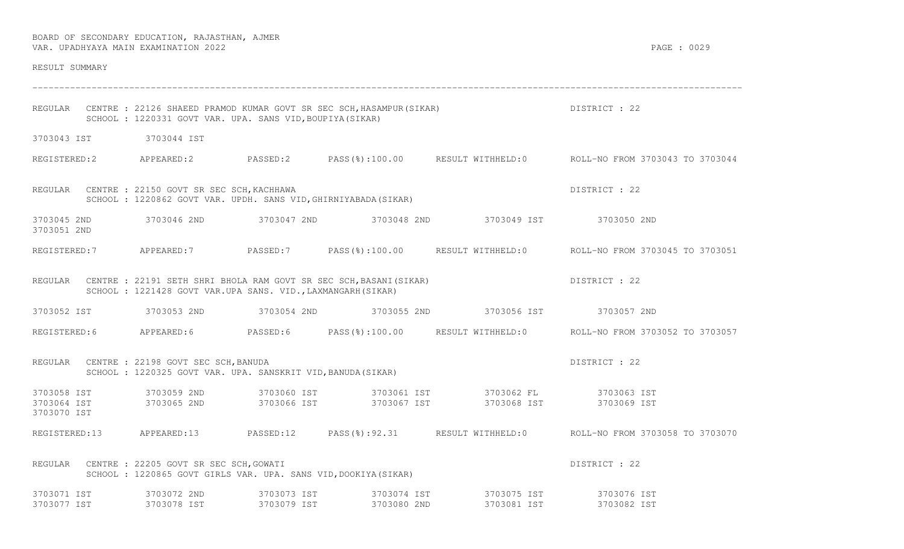| RESULT SUMMARY             |                                                                                                                                            |             |                                                                                                                                         |                                                                                                     |
|----------------------------|--------------------------------------------------------------------------------------------------------------------------------------------|-------------|-----------------------------------------------------------------------------------------------------------------------------------------|-----------------------------------------------------------------------------------------------------|
|                            | SCHOOL : 1220331 GOVT VAR. UPA. SANS VID, BOUPIYA (SIKAR)                                                                                  |             | REGULAR CENTRE : 22126 SHAEED PRAMOD KUMAR GOVT SR SEC SCH, HASAMPUR (SIKAR) [19] DISTRICT : 22                                         |                                                                                                     |
|                            | 3703043 IST 3703044 IST                                                                                                                    |             |                                                                                                                                         |                                                                                                     |
|                            |                                                                                                                                            |             |                                                                                                                                         | REGISTERED:2 APPEARED:2 PASSED:2 PASS(%):100.00 RESULT WITHHELD:0 ROLL-NO FROM 3703043 TO 3703044   |
|                            | REGULAR CENTRE : 22150 GOVT SR SEC SCH, KACHHAWA<br>SCHOOL: 1220862 GOVT VAR. UPDH. SANS VID, GHIRNIYABADA (SIKAR)                         |             |                                                                                                                                         | DISTRICT : 22                                                                                       |
| 3703045 2ND<br>3703051 2ND |                                                                                                                                            |             | 3703046 2ND       3703047 2ND       3703048 2ND       3703049 IST       3703050 2ND                                                     |                                                                                                     |
|                            |                                                                                                                                            |             |                                                                                                                                         | REGISTERED:7 APPEARED:7 PASSED:7 PASS(%):100.00 RESULT WITHHELD:0 ROLL-NO FROM 3703045 TO 3703051   |
|                            | REGULAR CENTRE : 22191 SETH SHRI BHOLA RAM GOVT SR SEC SCH, BASANI (SIKAR)<br>SCHOOL : 1221428 GOVT VAR.UPA SANS. VID., LAXMANGARH (SIKAR) |             |                                                                                                                                         | DISTRICT : 22                                                                                       |
|                            |                                                                                                                                            |             | 3703052 IST 3703053 2ND 3703054 2ND 3703055 2ND 3703056 IST 3703056 3703057 2ND                                                         |                                                                                                     |
|                            |                                                                                                                                            |             |                                                                                                                                         | REGISTERED:6 APPEARED:6 PASSED:6 PASS(%):100.00 RESULT WITHHELD:0 ROLL-NO FROM 3703052 TO 3703057   |
|                            | REGULAR CENTRE : 22198 GOVT SEC SCH, BANUDA<br>SCHOOL : 1220325 GOVT VAR. UPA. SANSKRIT VID, BANUDA (SIKAR)                                |             |                                                                                                                                         | DISTRICT : 22                                                                                       |
| 3703064 IST<br>3703070 IST | 3703065 2ND                                                                                                                                |             | 3703058 IST 3703059 2ND 3703060 IST 3703061 IST 3703062 FL 3703063 IST                                                                  |                                                                                                     |
|                            |                                                                                                                                            |             |                                                                                                                                         | REGISTERED:13 APPEARED:13 PASSED:12 PASS(%):92.31 RESULT WITHHELD:0 ROLL-NO FROM 3703058 TO 3703070 |
|                            | REGULAR CENTRE : 22205 GOVT SR SEC SCH, GOWATI<br>SCHOOL : 1220865 GOVT GIRLS VAR. UPA. SANS VID, DOOKIYA (SIKAR)                          |             |                                                                                                                                         | DISTRICT : 22                                                                                       |
|                            | 3703071 IST 3703072 2ND                                                                                                                    | 3703073 IST | 3703074 IST 3703075 IST 3703076 IST<br>3703077 IST      3703078 IST      3703079 IST      3703080 2ND      3703081 IST      3703082 IST |                                                                                                     |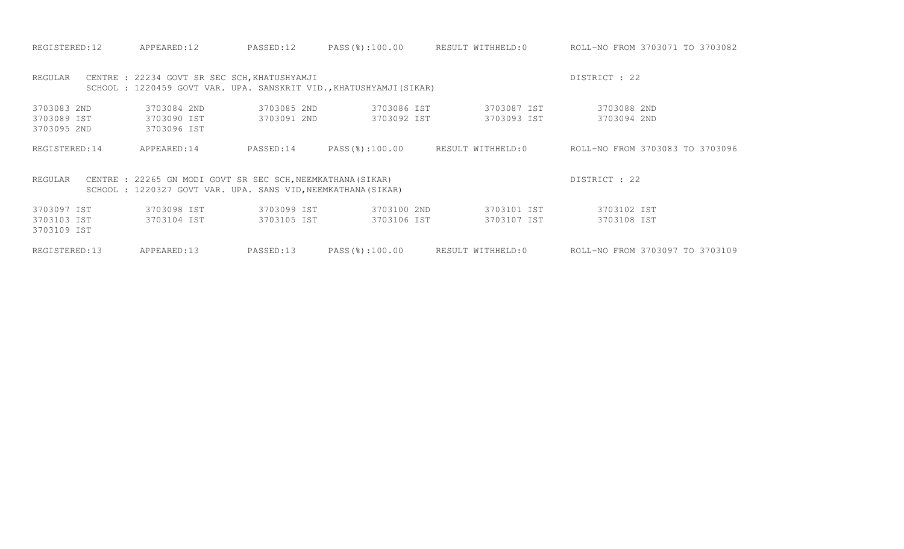| REGISTERED:12                             | APPEARED:12                                                                                                                  | PASSED:12                  | PASS(%):100.00                                                     | RESULT WITHHELD:0          | ROLL-NO FROM 3703071 TO 3703082 |
|-------------------------------------------|------------------------------------------------------------------------------------------------------------------------------|----------------------------|--------------------------------------------------------------------|----------------------------|---------------------------------|
| REGULAR                                   | CENTRE : 22234 GOVT SR SEC SCH, KHATUSHYAMJI                                                                                 |                            | SCHOOL: 1220459 GOVT VAR. UPA. SANSKRIT VID., KHATUSHYAMJI (SIKAR) |                            | DISTRICT : 22                   |
| 3703083 2ND<br>3703089 IST<br>3703095 2ND | 3703084 2ND<br>3703090 IST<br>3703096 IST                                                                                    | 3703085 2ND<br>3703091 2ND | 3703086 IST<br>3703092 IST                                         | 3703087 IST<br>3703093 IST | 3703088 2ND<br>3703094 2ND      |
| REGISTERED: 14                            | APPEARED:14                                                                                                                  | PASSED:14                  | PASS(%):100.00                                                     | RESULT WITHHELD:0          | ROLL-NO FROM 3703083 TO 3703096 |
| REGULAR                                   | CENTRE : 22265 GN MODI GOVT SR SEC SCH, NEEMKATHANA (SIKAR)<br>SCHOOL : 1220327 GOVT VAR. UPA. SANS VID, NEEMKATHANA (SIKAR) |                            |                                                                    |                            | DISTRICT : 22                   |
| 3703097 IST<br>3703103 IST<br>3703109 IST | 3703098 IST<br>3703104 IST                                                                                                   | 3703099 IST<br>3703105 IST | 3703100 2ND<br>3703106 IST                                         | 3703101 IST<br>3703107 IST | 3703102 IST<br>3703108 IST      |
| REGISTERED:13                             | APPEARED:13                                                                                                                  | PASSED:13                  | PASS(%):100.00                                                     | RESULT WITHHELD:0          | ROLL-NO FROM 3703097 TO 3703109 |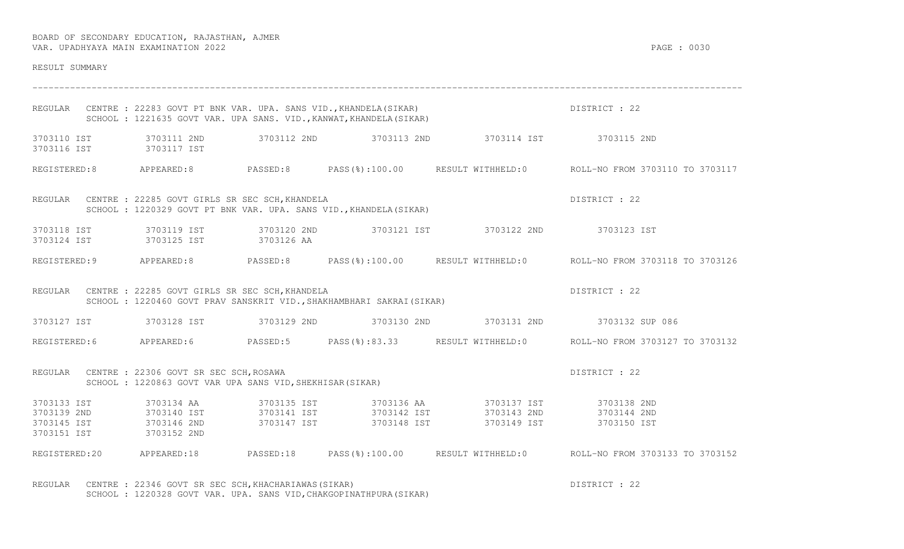| RESULT SUMMARY                                           |                                                                                                                                                 |                            |             |                                                                                         |                                                                                                   |
|----------------------------------------------------------|-------------------------------------------------------------------------------------------------------------------------------------------------|----------------------------|-------------|-----------------------------------------------------------------------------------------|---------------------------------------------------------------------------------------------------|
|                                                          | REGULAR CENTRE : 22283 GOVT PT BNK VAR. UPA. SANS VID., KHANDELA (SIKAR)<br>SCHOOL : 1221635 GOVT VAR. UPA SANS. VID., KANWAT, KHANDELA (SIKAR) |                            |             |                                                                                         | DISTRICT : 22                                                                                     |
| 3703110 IST<br>3703116 IST                               | 3703111 2ND<br>3703117 IST                                                                                                                      |                            |             | 3703112 2ND 3703113 2ND 3703114 IST 3703115 2ND                                         |                                                                                                   |
|                                                          |                                                                                                                                                 |                            |             |                                                                                         | REGISTERED:8 APPEARED:8 PASSED:8 PASS(%):100.00 RESULT WITHHELD:0 ROLL-NO FROM 3703110 TO 3703117 |
|                                                          | REGULAR CENTRE : 22285 GOVT GIRLS SR SEC SCH, KHANDELA<br>SCHOOL : 1220329 GOVT PT BNK VAR. UPA. SANS VID., KHANDELA (SIKAR)                    |                            |             |                                                                                         | DISTRICT : 22                                                                                     |
| 3703118 IST<br>3703124 IST                               | 3703119 IST<br>3703125 IST                                                                                                                      | 3703126 AA                 |             | 3703120 2ND 3703121 IST 3703122 2ND 3703123 IST                                         |                                                                                                   |
|                                                          | REGISTERED: 9 APPEARED: 8 PASSED: 8                                                                                                             |                            |             |                                                                                         | PASS(%):100.00 RESULT WITHHELD:0 ROLL-NO FROM 3703118 TO 3703126                                  |
|                                                          | REGULAR CENTRE : 22285 GOVT GIRLS SR SEC SCH, KHANDELA<br>SCHOOL : 1220460 GOVT PRAV SANSKRIT VID., SHAKHAMBHARI SAKRAI (SIKAR)                 |                            |             |                                                                                         | DISTRICT : 22                                                                                     |
|                                                          |                                                                                                                                                 |                            |             | 3703127 IST 3703128 IST 3703129 2ND 3703130 2ND 3703131 2ND 3703131 2ND 3703132 SUP 086 |                                                                                                   |
|                                                          |                                                                                                                                                 |                            |             |                                                                                         | REGISTERED:6 APPEARED:6 PASSED:5 PASS(%):83.33 RESULT WITHHELD:0 ROLL-NO FROM 3703127 TO 3703132  |
|                                                          | REGULAR CENTRE : 22306 GOVT SR SEC SCH, ROSAWA<br>SCHOOL : 1220863 GOVT VAR UPA SANS VID, SHEKHISAR (SIKAR)                                     |                            |             |                                                                                         | DISTRICT : 22                                                                                     |
| 3703133 IST<br>3703139 2ND<br>3703145 IST<br>3703151 IST | 3703134 AA<br>3703140 IST<br>3703146 2ND<br>3703152 2ND                                                                                         | 3703135 IST<br>3703147 IST | 3703148 IST | 3703136 AA 3703137 IST<br>3703149 IST                                                   | 3703138 2ND<br>3703144 2ND<br>3703150 IST                                                         |
| REGISTERED:20 APPEARED:18                                |                                                                                                                                                 | PASSED:18                  |             |                                                                                         | PASS(%):100.00 RESULT WITHHELD:0 ROLL-NO FROM 3703133 TO 3703152                                  |

REGULAR CENTRE : 22346 GOVT SR SEC SCH, KHACHARIAWAS(SIKAR) SECULAR DISTRICT : 22 SCHOOL : 1220328 GOVT VAR. UPA. SANS VID,CHAKGOPINATHPURA(SIKAR)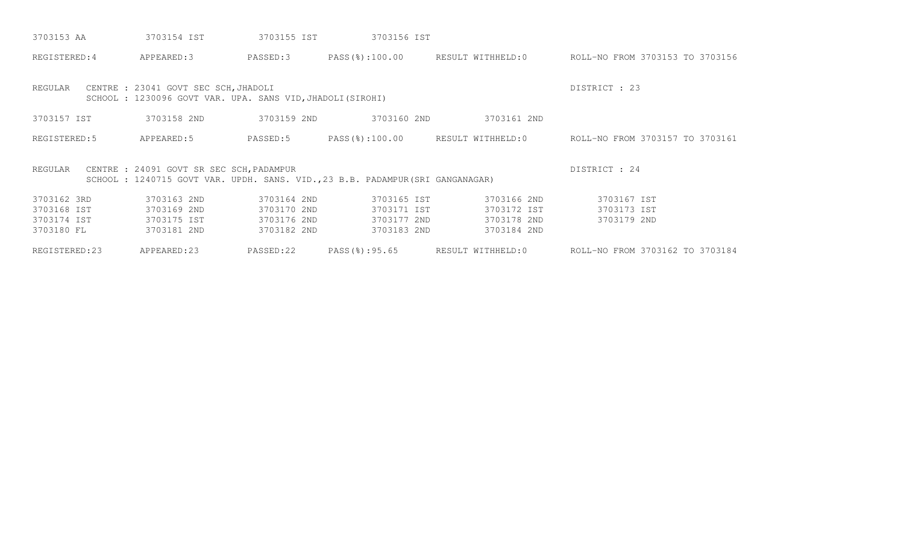| 3703153 AA     | 3703154 IST                                                                                                               | 3703155 IST | 3703156 IST   |                                  |                                 |
|----------------|---------------------------------------------------------------------------------------------------------------------------|-------------|---------------|----------------------------------|---------------------------------|
| REGISTERED: 4  | APPEARED:3                                                                                                                | PASSED:3    |               | PASS(%):100.00 RESULT WITHHELD:0 | ROLL-NO FROM 3703153 TO 3703156 |
| REGULAR        | CENTRE : 23041 GOVT SEC SCH, JHADOLI<br>SCHOOL : 1230096 GOVT VAR. UPA. SANS VID, JHADOLI (SIROHI)                        |             |               |                                  | DISTRICT : 23                   |
| 3703157 IST    | 3703158 2ND                                                                                                               | 3703159 2ND | 3703160 2ND   | 3703161 2ND                      |                                 |
| REGISTERED: 5  | APPEARED:5                                                                                                                | PASSED:5    |               | PASS(%):100.00 RESULT WITHHELD:0 | ROLL-NO FROM 3703157 TO 3703161 |
| REGULAR        | CENTRE : 24091 GOVT SR SEC SCH, PADAMPUR<br>SCHOOL: 1240715 GOVT VAR. UPDH. SANS. VID., 23 B.B. PADAMPUR (SRI GANGANAGAR) |             |               |                                  | DISTRICT : 24                   |
| 3703162 3RD    | 3703163 2ND                                                                                                               | 3703164 2ND | 3703165 IST   | 3703166 2ND                      | 3703167 IST                     |
| 3703168 IST    | 3703169 2ND                                                                                                               | 3703170 2ND | 3703171 IST   | 3703172 IST                      | 3703173 IST                     |
| 3703174 IST    | 3703175 IST                                                                                                               | 3703176 2ND | 3703177 2ND   | 3703178 2ND                      | 3703179 2ND                     |
| 3703180 FL     | 3703181 2ND                                                                                                               | 3703182 2ND | 3703183 2ND   | 3703184 2ND                      |                                 |
| REGISTERED: 23 | APPEARED:23                                                                                                               | PASSED:22   | PASS(%):95.65 | RESULT WITHHELD:0                | ROLL-NO FROM 3703162 TO 3703184 |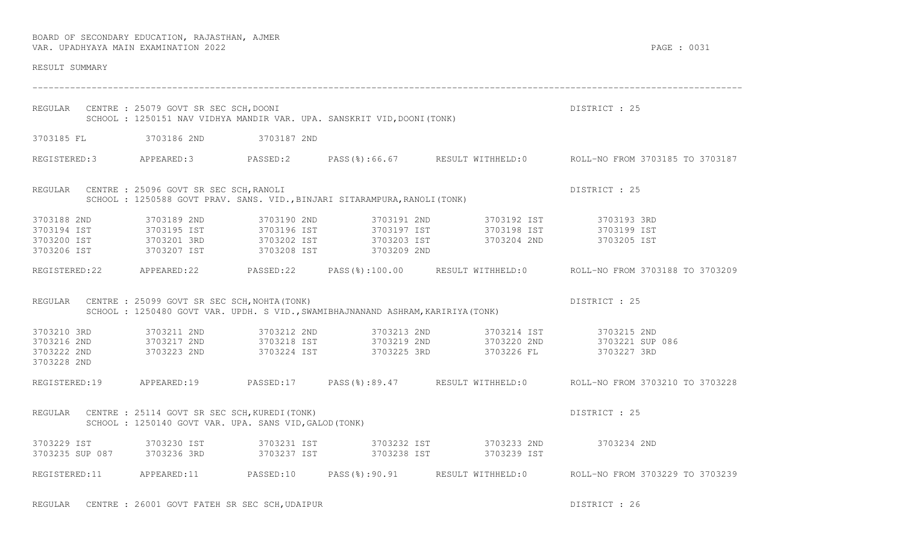| RESULT SUMMARY                                           |                                                                                                                 |             |                                                                                 |                                                 |                                                                                                      |
|----------------------------------------------------------|-----------------------------------------------------------------------------------------------------------------|-------------|---------------------------------------------------------------------------------|-------------------------------------------------|------------------------------------------------------------------------------------------------------|
|                                                          | REGULAR CENTRE : 25079 GOVT SR SEC SCH, DOONI                                                                   |             | SCHOOL : 1250151 NAV VIDHYA MANDIR VAR. UPA. SANSKRIT VID, DOONI (TONK)         |                                                 | DISTRICT : 25                                                                                        |
|                                                          | 3703185 FL 3703186 2ND 3703187 2ND                                                                              |             |                                                                                 |                                                 |                                                                                                      |
|                                                          |                                                                                                                 |             |                                                                                 |                                                 | REGISTERED:3 APPEARED:3 PASSED:2 PASS(%):66.67 RESULT WITHHELD:0 ROLL-NO FROM 3703185 TO 3703187     |
|                                                          | REGULAR CENTRE : 25096 GOVT SR SEC SCH, RANOLI                                                                  |             | SCHOOL: 1250588 GOVT PRAV. SANS. VID., BINJARI SITARAMPURA, RANOLI (TONK)       |                                                 | DISTRICT : 25                                                                                        |
| 3703188 2ND<br>3703194 IST<br>3703200 IST<br>3703206 IST | 3703189 2ND<br>3703195 IST<br>3703201 3RD<br>3703207 IST                                                        | 3703190 2ND | 3703208 IST 3703209 2ND                                                         | 3703191 2ND 3703192 IST 3703193 3RD             |                                                                                                      |
|                                                          |                                                                                                                 |             |                                                                                 |                                                 | REGISTERED:22 APPEARED:22 PASSED:22 PASS(%):100.00 RESULT WITHHELD:0 ROLL-NO FROM 3703188 TO 3703209 |
|                                                          | REGULAR CENTRE : 25099 GOVT SR SEC SCH, NOHTA (TONK)                                                            |             | SCHOOL: 1250480 GOVT VAR. UPDH. S VID., SWAMIBHAJNANAND ASHRAM, KARIRIYA (TONK) |                                                 | DISTRICT : 25                                                                                        |
| 3703210 3RD<br>3703216 2ND<br>3703222 2ND<br>3703228 2ND | 3703211 2ND<br>3703217 2ND<br>3703223 2ND                                                                       |             |                                                                                 | 3703212 2ND 3703213 2ND 3703214 IST 3703215 2ND |                                                                                                      |
|                                                          |                                                                                                                 |             |                                                                                 |                                                 | REGISTERED:19 APPEARED:19 PASSED:17 PASS(%):89.47 RESULT WITHHELD:0 ROLL-NO FROM 3703210 TO 3703228  |
|                                                          | REGULAR CENTRE : 25114 GOVT SR SEC SCH, KUREDI (TONK)<br>SCHOOL : 1250140 GOVT VAR. UPA. SANS VID, GALOD (TONK) |             |                                                                                 |                                                 | DISTRICT : 25                                                                                        |
| 3703229 IST<br>3703235 SUP 087 3703236 3RD               |                                                                                                                 |             |                                                                                 | 3703237 IST 3703238 IST 3703239 IST             |                                                                                                      |
|                                                          |                                                                                                                 |             |                                                                                 |                                                 | REGISTERED:11 APPEARED:11 PASSED:10 PASS(%):90.91 RESULT WITHHELD:0 ROLL-NO FROM 3703229 TO 3703239  |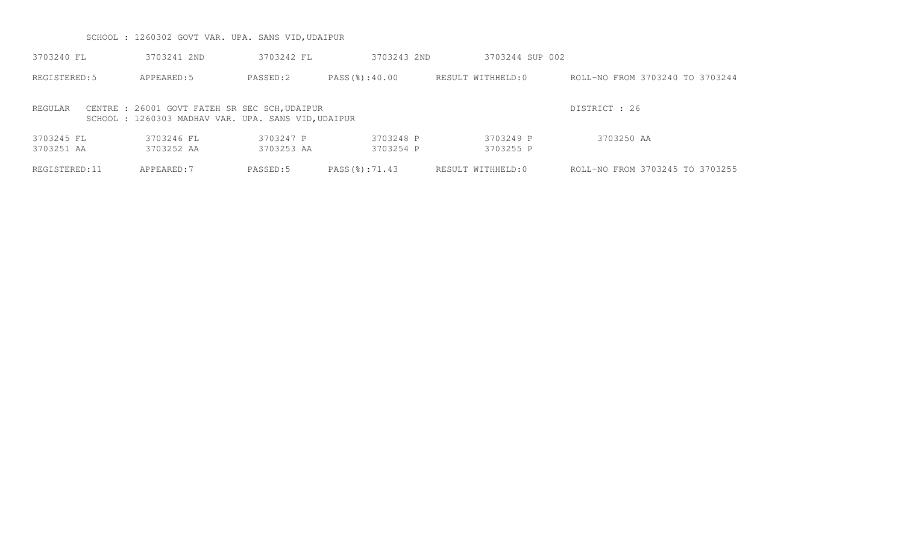SCHOOL : 1260302 GOVT VAR. UPA. SANS VID,UDAIPUR

| 3703240 FL               | 3703241 2ND                                                                                         | 3703242 FL              | 3703243 2ND            | 3703244 SUP 002        |                                 |
|--------------------------|-----------------------------------------------------------------------------------------------------|-------------------------|------------------------|------------------------|---------------------------------|
| REGISTERED: 5            | APPEARED: 5                                                                                         | PASSED:2                | PASS(%):40.00          | RESULT WITHHELD:0      | ROLL-NO FROM 3703240 TO 3703244 |
| REGULAR                  | CENTRE : 26001 GOVT FATEH SR SEC SCH, UDAIPUR<br>SCHOOL: 1260303 MADHAV VAR. UPA. SANS VID, UDAIPUR |                         |                        |                        | DISTRICT : 26                   |
| 3703245 FL<br>3703251 AA | 3703246 FL<br>3703252 AA                                                                            | 3703247 P<br>3703253 AA | 3703248 P<br>3703254 P | 3703249 P<br>3703255 P | 3703250 AA                      |
| REGISTERED:11            | APPEARED: 7                                                                                         | PASSED:5                | PASS(%):71.43          | RESULT WITHHELD:0      | ROLL-NO FROM 3703245 TO 3703255 |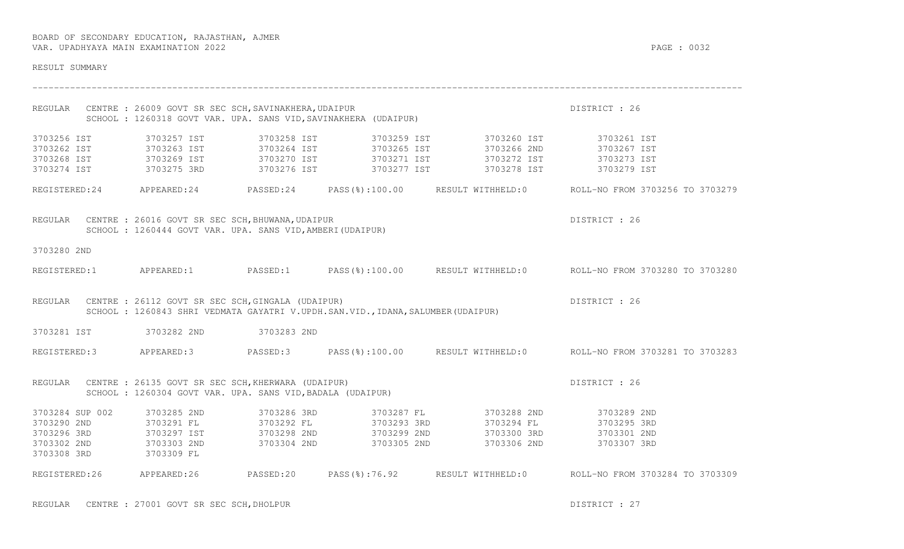| RESULT SUMMARY                                                                   |                                                                                                                          |             |                                                                                 |                                                                                                                                                                                           |                                                                                                      |
|----------------------------------------------------------------------------------|--------------------------------------------------------------------------------------------------------------------------|-------------|---------------------------------------------------------------------------------|-------------------------------------------------------------------------------------------------------------------------------------------------------------------------------------------|------------------------------------------------------------------------------------------------------|
|                                                                                  | REGULAR CENTRE : 26009 GOVT SR SEC SCH, SAVINAKHERA, UDAIPUR                                                             |             | SCHOOL : 1260318 GOVT VAR. UPA. SANS VID, SAVINAKHERA (UDAIPUR)                 |                                                                                                                                                                                           | DISTRICT : 26                                                                                        |
| 3703256 IST<br>3703262 IST<br>3703268 IST 3703269 IST<br>3703274 IST 3703275 3RD | 3703257 IST<br>3703263 IST                                                                                               |             |                                                                                 | 3703270 IST 3703271 IST 3703272 IST 3703273 IST                                                                                                                                           | 3703279 IST                                                                                          |
|                                                                                  |                                                                                                                          |             |                                                                                 |                                                                                                                                                                                           | REGISTERED:24 APPEARED:24 PASSED:24 PASS(%):100.00 RESULT WITHHELD:0 ROLL-NO FROM 3703256 TO 3703279 |
| REGULAR                                                                          | CENTRE : 26016 GOVT SR SEC SCH, BHUWANA, UDAIPUR<br>SCHOOL : 1260444 GOVT VAR. UPA. SANS VID, AMBERI (UDAIPUR)           |             |                                                                                 |                                                                                                                                                                                           | DISTRICT : 26                                                                                        |
| 3703280 2ND                                                                      |                                                                                                                          |             |                                                                                 |                                                                                                                                                                                           |                                                                                                      |
|                                                                                  |                                                                                                                          |             |                                                                                 |                                                                                                                                                                                           | REGISTERED:1 APPEARED:1 PASSED:1 PASS(%):100.00 RESULT WITHHELD:0 ROLL-NO FROM 3703280 TO 3703280    |
|                                                                                  | REGULAR CENTRE : 26112 GOVT SR SEC SCH, GINGALA (UDAIPUR)                                                                |             | SCHOOL: 1260843 SHRI VEDMATA GAYATRI V.UPDH.SAN.VID., IDANA, SALUMBER (UDAIPUR) |                                                                                                                                                                                           | DISTRICT : 26                                                                                        |
|                                                                                  | 3703281 IST 3703282 2ND 3703283 2ND                                                                                      |             |                                                                                 |                                                                                                                                                                                           |                                                                                                      |
|                                                                                  |                                                                                                                          |             |                                                                                 |                                                                                                                                                                                           | REGISTERED:3 APPEARED:3 PASSED:3 PASS(%):100.00 RESULT WITHHELD:0 ROLL-NO FROM 3703281 TO 3703283    |
|                                                                                  | REGULAR CENTRE : 26135 GOVT SR SEC SCH, KHERWARA (UDAIPUR)<br>SCHOOL : 1260304 GOVT VAR. UPA. SANS VID, BADALA (UDAIPUR) |             |                                                                                 |                                                                                                                                                                                           | DISTRICT : 26                                                                                        |
| 3703284 SUP 002<br>3703290 2ND<br>3703296 3RD<br>3703302 2ND<br>3703308 3RD      | 3703285 2ND<br>3703291 FL<br>3703297 IST<br>3703303 2ND<br>3703309 FL                                                    | 3703286 3RD |                                                                                 | 3703287 FL 3703288 2ND 3703289 2ND<br>3703292 FL 3703293 3RD 3703294 FL 3703295 3RD<br>3703298 2ND 3703299 2ND 3703300 3RD 3703301 2ND<br>3703304 2ND 3703305 2ND 3703306 2ND 3703307 3RD |                                                                                                      |
|                                                                                  |                                                                                                                          |             |                                                                                 |                                                                                                                                                                                           | REGISTERED:26 APPEARED:26 PASSED:20 PASS(%):76.92 RESULT WITHHELD:0 ROLL-NO FROM 3703284 TO 3703309  |

REGULAR CENTRE : 27001 GOVT SR SEC SCH, DHOLPUR DESTRICT OF STRICT CONTRICT OF STRICT : 27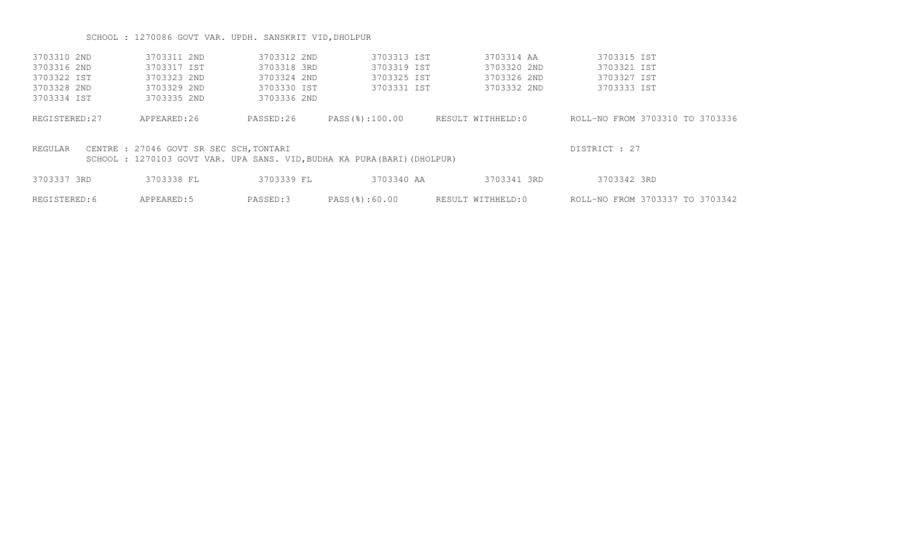# SCHOOL : 1270086 GOVT VAR. UPDH. SANSKRIT VID,DHOLPUR

| 3703310 2ND   | 3703311 2ND                             | 3703312 2ND | 3703313 IST                                                             | 3703314 AA        | 3703315 IST                     |
|---------------|-----------------------------------------|-------------|-------------------------------------------------------------------------|-------------------|---------------------------------|
| 3703316 2ND   | 3703317 IST                             | 3703318 3RD | 3703319 IST                                                             | 3703320 2ND       | 3703321 IST                     |
| 3703322 IST   | 3703323 2ND                             | 3703324 2ND | 3703325 IST                                                             | 3703326 2ND       | 3703327 IST                     |
| 3703328 2ND   | 3703329 2ND                             | 3703330 IST | 3703331 IST                                                             | 3703332 2ND       | 3703333 IST                     |
| 3703334 IST   | 3703335 2ND                             | 3703336 2ND |                                                                         |                   |                                 |
| REGISTERED:27 | APPEARED:26                             | PASSED:26   | PASS(%):100.00                                                          | RESULT WITHHELD:0 | ROLL-NO FROM 3703310 TO 3703336 |
| REGULAR       | CENTRE : 27046 GOVT SR SEC SCH, TONTARI |             | SCHOOL: 1270103 GOVT VAR. UPA SANS. VID, BUDHA KA PURA (BARI) (DHOLPUR) |                   | DISTRICT : 27                   |
| 3703337 3RD   | 3703338 FL                              | 3703339 FL  | 3703340 AA                                                              | 3703341 3RD       | 3703342 3RD                     |
| REGISTERED: 6 | APPEARED: 5                             | PASSED:3    | PASS(%):60.00                                                           | RESULT WITHHELD:0 | ROLL-NO FROM 3703337 TO 3703342 |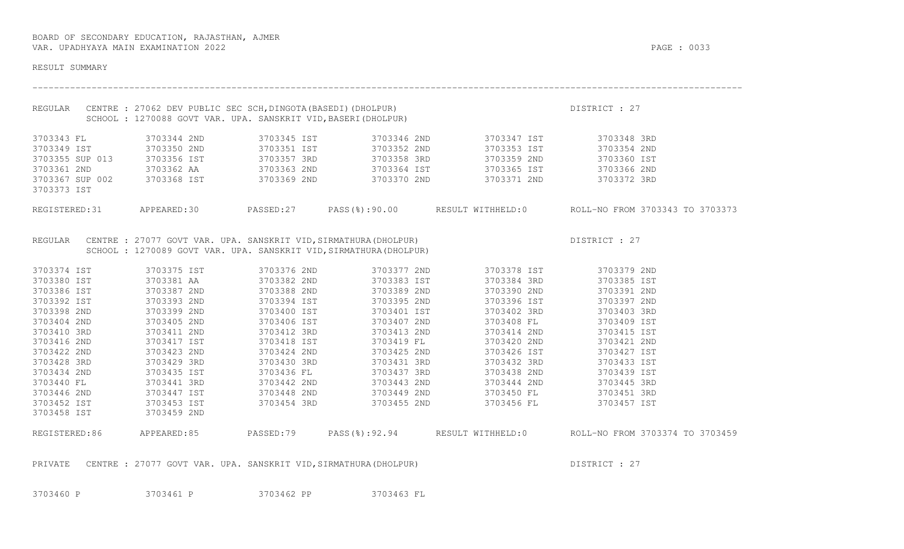| RESULT SUMMARY                 |                                                                          |             |                                                                                                                                        |                                                                                                |                                                                                                     |
|--------------------------------|--------------------------------------------------------------------------|-------------|----------------------------------------------------------------------------------------------------------------------------------------|------------------------------------------------------------------------------------------------|-----------------------------------------------------------------------------------------------------|
| REGULAR                        | SCHOOL : 1270088 GOVT VAR. UPA. SANSKRIT VID, BASERI (DHOLPUR)           |             | CENTRE : 27062 DEV PUBLIC SEC SCH,DINGOTA(BASEDI)(DHOLPUR)<br>SCHOOL : 1270088 GOVT VAR. UPA. SANSKRIT VID,BASERI(DHOLPUR)             |                                                                                                | DISTRICT : 27                                                                                       |
| 3703343 FL                     | 3703344 2ND                                                              | 3703345 IST |                                                                                                                                        | 3703346 2ND 3703347 IST                                                                        | 3703348 3RD                                                                                         |
| 3703349 IST                    | 3703350 2ND                                                              | 3703351 IST | 3703352 2ND                                                                                                                            | 3703353 IST                                                                                    | 3703354 2ND                                                                                         |
| 3703355 SUP 013 3703356 IST    |                                                                          | 3703357 3RD | 3703358 3RD                                                                                                                            | 3703359 2ND                                                                                    | 3703360 IST                                                                                         |
| 3703361 2ND                    |                                                                          |             |                                                                                                                                        |                                                                                                |                                                                                                     |
| 3703367 SUP 002<br>3703373 IST |                                                                          |             |                                                                                                                                        | 3703362 AA 3703363 2ND 3703364 IST 3703365 IST 3703366 2ND 3703366 2ND 3703372 3RD 3703372 3RD |                                                                                                     |
|                                |                                                                          |             |                                                                                                                                        |                                                                                                | REGISTERED:31 APPEARED:30 PASSED:27 PASS(%):90.00 RESULT WITHHELD:0 ROLL-NO FROM 3703343 TO 3703373 |
| REGULAR                        |                                                                          |             | CENTRE : 27077 GOVT VAR. UPA. SANSKRIT VID, SIRMATHURA (DHOLPUR)<br>SCHOOL : 1270089 GOVT VAR. UPA. SANSKRIT VID, SIRMATHURA (DHOLPUR) |                                                                                                | DISTRICT : 27                                                                                       |
| 3703374 IST                    | 3703375 IST                                                              | 3703376 2ND | 3703377 2ND                                                                                                                            | 3703378 IST                                                                                    | 3703379 2ND                                                                                         |
| 3703380 IST                    | 3703381 AA                                                               | 3703382 2ND | 3703383 IST                                                                                                                            | 3703384 3RD                                                                                    | 3703385 IST                                                                                         |
| 3703386 IST                    | 3703387 2ND                                                              | 3703388 2ND | 3703389 2ND                                                                                                                            | 3703390 2ND                                                                                    | 3703391 2ND                                                                                         |
| 3703392 IST                    | 3703393 2ND                                                              | 3703394 IST | 3703395 2ND                                                                                                                            | 3703396 IST                                                                                    | 3703397 2ND                                                                                         |
| 3703398 2ND                    | 3703399 2ND                                                              | 3703400 IST | 3703401 IST                                                                                                                            | 3703402 3RD                                                                                    | 3703403 3RD                                                                                         |
| 3703404 2ND                    | 3703405 2ND                                                              | 3703406 IST | 3703407 2ND                                                                                                                            | 3703408 FL                                                                                     | 3703409 IST                                                                                         |
| 3703410 3RD                    | 3703411 2ND                                                              | 3703412 3RD | 3703413 2ND                                                                                                                            | 3703414 2ND                                                                                    | 3703415 IST                                                                                         |
| 3703416 2ND                    | 3703417 IST                                                              | 3703418 IST | 3703413 2ND<br>3703419 FL<br>3703425 2ND                                                                                               | 3703420 2ND                                                                                    | 3703421 2ND                                                                                         |
| 3703422 2ND                    | 3703423 2ND                                                              | 3703424 2ND | 3703425 2ND                                                                                                                            | 3703426 IST                                                                                    | 3703427 IST                                                                                         |
| 3703428 3RD                    | 3703429 3RD                                                              | 3703430 3RD | 3703431 3RD                                                                                                                            | 3703432 3RD                                                                                    | 3703433 IST                                                                                         |
| 3703434 2ND                    | 3703435 IST                                                              | 3703436 FL  | 3703437 3RD                                                                                                                            | 3703438 2ND                                                                                    | 3703439 IST                                                                                         |
| 3703440 FL                     | 3703441 3RD                                                              | 3703442 2ND | 3703443 2ND                                                                                                                            | 3703444 2ND                                                                                    | 3703445 3RD                                                                                         |
| 3703446 2ND                    | 3703447 IST                                                              |             |                                                                                                                                        | 3703448 2ND 3703449 2ND 3703450 FL                                                             | 3703451 3RD                                                                                         |
| 3703452 IST                    | 3703453 IST                                                              |             | 3703454 3RD 3703455 2ND                                                                                                                | 3703456 FL                                                                                     | 3703457 IST                                                                                         |
| 3703458 IST                    | 3703459 2ND                                                              |             |                                                                                                                                        |                                                                                                |                                                                                                     |
|                                |                                                                          |             |                                                                                                                                        |                                                                                                | REGISTERED:86 APPEARED:85 PASSED:79 PASS(%):92.94 RESULT WITHHELD:0 ROLL-NO FROM 3703374 TO 3703459 |
|                                | PRIVATE CENTRE : 27077 GOVT VAR. UPA. SANSKRIT VID, SIRMATHURA (DHOLPUR) |             |                                                                                                                                        |                                                                                                | DISTRICT : 27                                                                                       |

3703460 P 3703461 P 3703462 PP 3703463 FL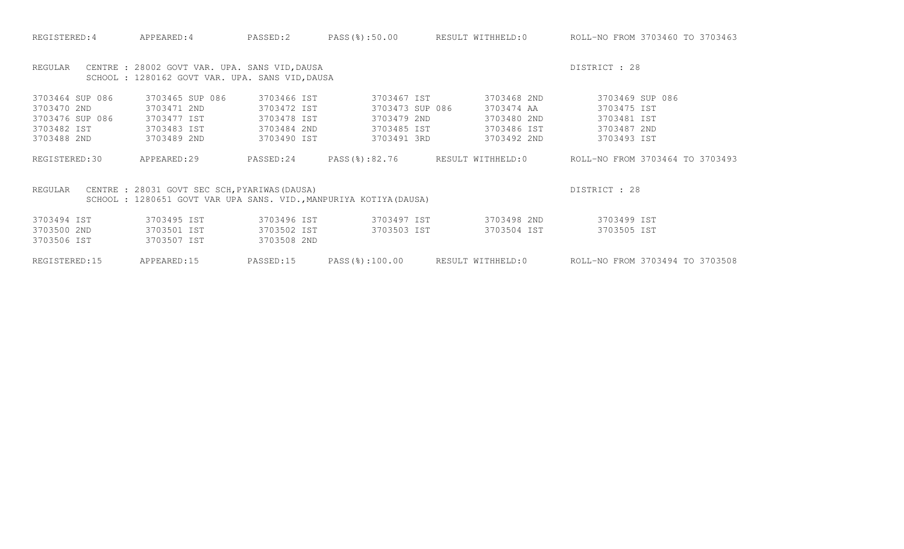| REGULAR         | CENTRE : 28002 GOVT VAR. UPA. SANS VID, DAUSA<br>SCHOOL : 1280162 GOVT VAR. UPA. SANS VID, DAUSA                    |             |                 |                   | DISTRICT : 28                   |
|-----------------|---------------------------------------------------------------------------------------------------------------------|-------------|-----------------|-------------------|---------------------------------|
| 3703464 SUP 086 | 3703465 SUP 086                                                                                                     | 3703466 IST | 3703467 IST     | 3703468 2ND       | 3703469 SUP 086                 |
| 3703470 2ND     | 3703471 2ND                                                                                                         | 3703472 IST | 3703473 SUP 086 | 3703474 AA        | 3703475 IST                     |
| 3703476 SUP 086 | 3703477 IST                                                                                                         | 3703478 IST | 3703479 2ND     | 3703480 2ND       | 3703481 IST                     |
| 3703482 IST     | 3703483 IST                                                                                                         | 3703484 2ND | 3703485 IST     | 3703486 IST       | 3703487 2ND                     |
| 3703488 2ND     | 3703489 2ND                                                                                                         | 3703490 IST | 3703491 3RD     | 3703492 2ND       | 3703493 IST                     |
| REGISTERED:30   | APPEARED:29                                                                                                         | PASSED:24   | PASS(%):82.76   | RESULT WITHHELD:0 | ROLL-NO FROM 3703464 TO 3703493 |
| REGULAR         | CENTRE : 28031 GOVT SEC SCH, PYARIWAS (DAUSA)<br>SCHOOL : 1280651 GOVT VAR UPA SANS. VID., MANPURIYA KOTIYA (DAUSA) |             |                 |                   | DISTRICT : 28                   |
| 3703494 IST     | 3703495 IST                                                                                                         | 3703496 IST | 3703497 IST     | 3703498 2ND       | 3703499 IST                     |
| 3703500 2ND     | 3703501 IST                                                                                                         | 3703502 IST | 3703503 IST     | 3703504 IST       | 3703505 IST                     |
| 3703506 IST     | 3703507 IST                                                                                                         | 3703508 2ND |                 |                   |                                 |
| REGISTERED:15   | APPEARED:15                                                                                                         | PASSED:15   | PASS(%):100.00  | RESULT WITHHELD:0 | ROLL-NO FROM 3703494 TO 3703508 |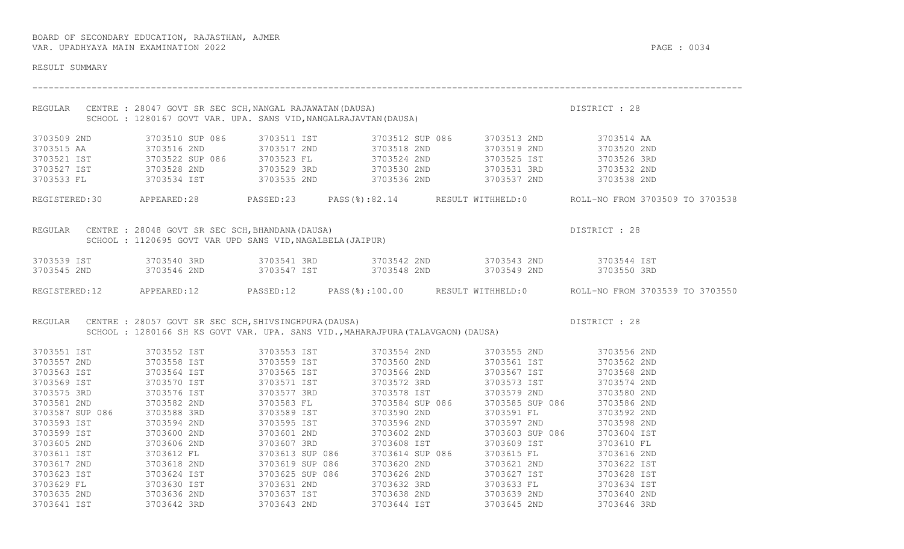| RESULT SUMMARY             |                                                                                                                                                                                                                                          |                 |             |                                                                                                                                                          |                                                                                                      |
|----------------------------|------------------------------------------------------------------------------------------------------------------------------------------------------------------------------------------------------------------------------------------|-----------------|-------------|----------------------------------------------------------------------------------------------------------------------------------------------------------|------------------------------------------------------------------------------------------------------|
|                            | REGULAR CENTRE : 28047 GOVT SR SEC SCH, NANGAL RAJAWATAN (DAUSA)<br>SCHOOL : 1280167 GOVT VAR. UPA. SANS VID, NANGALRAJAVTAN (DAUSA)                                                                                                     |                 |             |                                                                                                                                                          | DISTRICT : 28                                                                                        |
| 3703509 2ND                |                                                                                                                                                                                                                                          |                 |             | 3703510 SUP 086 3703511 IST 3703512 SUP 086 3703513 2ND 3703514 AA                                                                                       |                                                                                                      |
|                            |                                                                                                                                                                                                                                          |                 |             |                                                                                                                                                          |                                                                                                      |
|                            | 3703515 AA              3703516 2ND          3703517 2ND          3703518 2ND            3703519 2ND          3703520 2ND<br>3703521 IST          3703522 SUP 086      3703523 FL          3703524 2ND        3703525 IST                |                 |             |                                                                                                                                                          |                                                                                                      |
|                            |                                                                                                                                                                                                                                          |                 |             |                                                                                                                                                          |                                                                                                      |
|                            | 3703533 FL 3703534 IST 3703535 2ND 3703536 2ND 3703536 2ND 3703537 2ND 3703538 2ND                                                                                                                                                       |                 |             |                                                                                                                                                          |                                                                                                      |
|                            |                                                                                                                                                                                                                                          |                 |             |                                                                                                                                                          | REGISTERED:30 APPEARED:28 PASSED:23 PASS(%):82.14 RESULT WITHHELD:0 ROLL-NO FROM 3703509 TO 3703538  |
|                            | REGULAR CENTRE : 28048 GOVT SR SEC SCH, BHANDANA (DAUSA)<br>SCHOOL : 1120695 GOVT VAR UPD SANS VID, NAGALBELA (JAIPUR)                                                                                                                   |                 |             |                                                                                                                                                          | DISTRICT : 28                                                                                        |
|                            |                                                                                                                                                                                                                                          |                 |             |                                                                                                                                                          |                                                                                                      |
|                            | 3703539 IST      3703540 3RD       3703541 3RD       3703542 2ND       3703543 2ND       3703544 IST<br>3703545 2ND      3703546 2ND       3703547 IST       3703548 2ND       3703549 2ND       3703550 3RD                             |                 |             |                                                                                                                                                          |                                                                                                      |
|                            |                                                                                                                                                                                                                                          |                 |             |                                                                                                                                                          |                                                                                                      |
|                            |                                                                                                                                                                                                                                          |                 |             |                                                                                                                                                          | REGISTERED:12 APPEARED:12 PASSED:12 PASS(%):100.00 RESULT WITHHELD:0 ROLL-NO FROM 3703539 TO 3703550 |
| REGULAR                    | CENTRE : 28057 GOVT SR SEC SCH, SHIVSINGHPURA (DAUSA)                                                                                                                                                                                    |                 |             | DISTRICT : 28                                                                                                                                            |                                                                                                      |
|                            | SCHOOL: 1280166 SH KS GOVT VAR. UPA. SANS VID., MAHARAJPURA (TALAVGAON) (DAUSA)                                                                                                                                                          |                 |             |                                                                                                                                                          |                                                                                                      |
| 3703551 IST                | 3703552 IST                                                                                                                                                                                                                              |                 |             | 3703553 IST 3703554 2ND 3703555 2ND 3703556 2ND                                                                                                          |                                                                                                      |
|                            | 3703557 2ND<br>3703557 2ND<br>3703563 IST 3703558 IST 3703559 IST 3703568 2ND<br>3703569 IST 3703568 IST 3703559 IST 3703566 2ND<br>3703569 IST 3703570 IST 3703571 IST 3703566 2ND<br>3703569 IST 3703570 IST 3703571 IST 3703572 3RD 3 |                 |             |                                                                                                                                                          |                                                                                                      |
|                            |                                                                                                                                                                                                                                          |                 |             |                                                                                                                                                          |                                                                                                      |
|                            |                                                                                                                                                                                                                                          |                 |             |                                                                                                                                                          |                                                                                                      |
|                            |                                                                                                                                                                                                                                          |                 |             |                                                                                                                                                          |                                                                                                      |
|                            |                                                                                                                                                                                                                                          |                 |             |                                                                                                                                                          |                                                                                                      |
|                            |                                                                                                                                                                                                                                          |                 |             |                                                                                                                                                          |                                                                                                      |
|                            |                                                                                                                                                                                                                                          |                 |             |                                                                                                                                                          |                                                                                                      |
| 3703599 IST                | 3703600 2ND                                                                                                                                                                                                                              | 3703601 2ND     | 3703602 2ND | 3703603 SUP 086                                                                                                                                          | 3703604 IST                                                                                          |
| 3703605 2ND<br>3703611 IST |                                                                                                                                                                                                                                          |                 |             |                                                                                                                                                          | 3703610 FL                                                                                           |
|                            | 3/03606 2ND<br>3703612 FL<br>3703612 FL                                                                                                                                                                                                  |                 |             | 3703609 IST<br>3703615 FL                                                                                                                                | 3703616 2ND                                                                                          |
| 3703617 2ND                | 3703618 2ND                                                                                                                                                                                                                              | 3703619 SUP 086 | 3703620 2ND | 3703621 2ND                                                                                                                                              | 3703622 IST                                                                                          |
|                            |                                                                                                                                                                                                                                          |                 |             | 3703627 IST                                                                                                                                              |                                                                                                      |
|                            | 3703623 IST<br>3703629 FL 3703624 IST<br>3703635 2ND 3703636 2ND                                                                                                                                                                         |                 |             | 3703625 SUP 086 3703626 2ND 3703627 IST 3703628 IST<br>3703631 2ND 3703632 3RD 3703633 FL 3703634 IST<br>3703637 IST 3703638 2ND 3703639 2ND 3703640 2ND |                                                                                                      |
|                            |                                                                                                                                                                                                                                          |                 |             |                                                                                                                                                          |                                                                                                      |
| 3703641 IST 3703642 3RD    |                                                                                                                                                                                                                                          |                 |             | 3703643 2ND 3703644 IST 3703645 2ND 3703646 3RD                                                                                                          |                                                                                                      |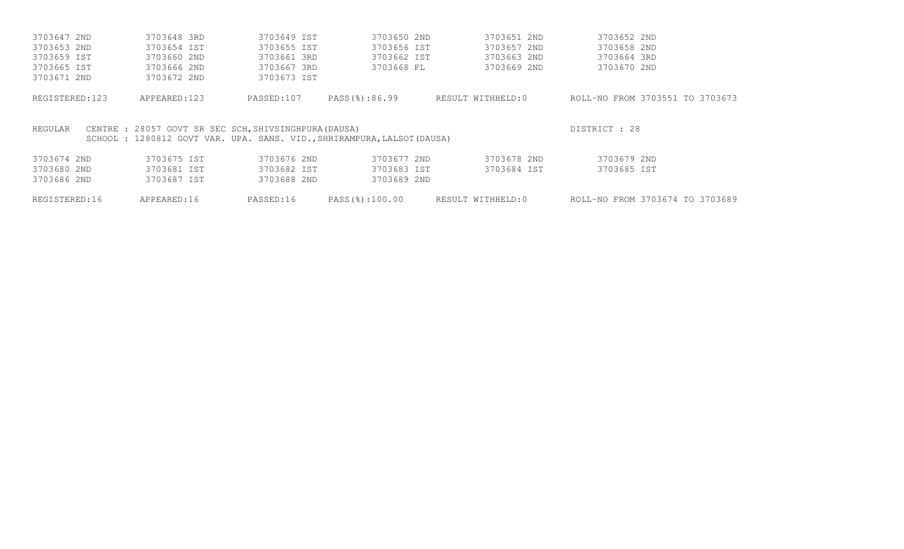| 3703647 2ND    | 3703648 3RD                                                            | 3703649 IST | 3703650 2ND   | 3703651 2ND       | 3703652 2ND                     |
|----------------|------------------------------------------------------------------------|-------------|---------------|-------------------|---------------------------------|
| 3703653 2ND    | 3703654 IST                                                            | 3703655 IST | 3703656 IST   | 3703657 2ND       | 3703658 2ND                     |
| 3703659 IST    | 3703660 2ND                                                            | 3703661 3RD | 3703662 IST   | 3703663 2ND       | 3703664 3RD                     |
| 3703665 IST    | 3703666 2ND                                                            | 3703667 3RD | 3703668 FL    | 3703669 2ND       | 3703670 2ND                     |
| 3703671 2ND    | 3703672 2ND                                                            | 3703673 IST |               |                   |                                 |
| REGISTERED:123 | APPEARED:123                                                           | PASSED:107  | PASS(%):86.99 | RESULT WITHHELD:0 | ROLL-NO FROM 3703551 TO 3703673 |
|                |                                                                        |             |               |                   |                                 |
| REGULAR        | CENTRE : 28057 GOVT SR SEC SCH. SHIVSINGHPURA (DAUSA)                  |             |               |                   | DISTRICT : 28                   |
|                | SCHOOL: 1280812 GOVT VAR. UPA. SANS. VID., SHRIRAMPURA, LALSOT (DAUSA) |             |               |                   |                                 |
| 3703674 2ND    | 3703675 IST                                                            | 3703676 2ND | 3703677 2ND   | 3703678 2ND       | 3703679 2ND                     |
| 3703680 2ND    | 3703681 IST                                                            | 3703682 IST | 3703683 IST   | 3703684 IST       | 3703685 IST                     |
| 3703686 2ND    | 3703687 IST                                                            | 3703688 2ND | 3703689 2ND   |                   |                                 |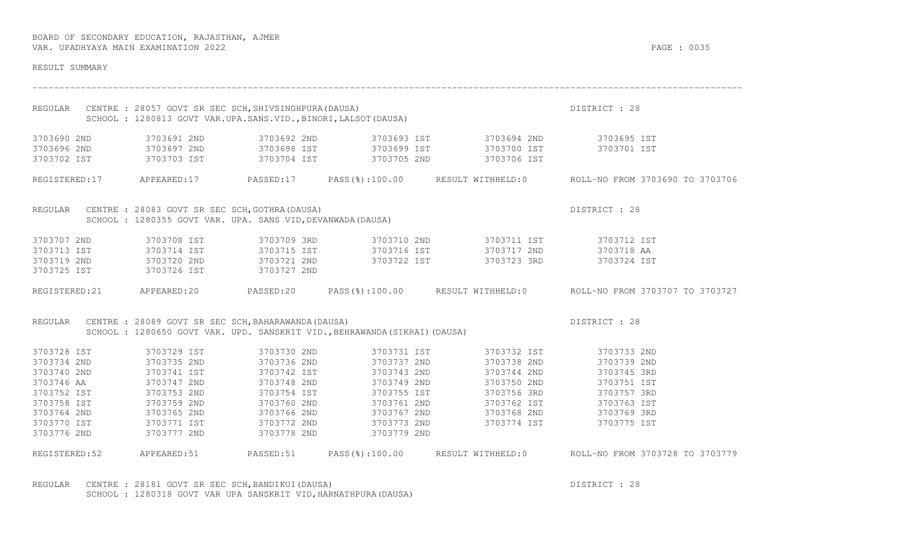| RESULT SUMMARY                                                                                                                     |                                                                                                                                     |                                                                                                                                                    |                                                                                                                                     |                                                                                                                   |                                                                                                                                              |
|------------------------------------------------------------------------------------------------------------------------------------|-------------------------------------------------------------------------------------------------------------------------------------|----------------------------------------------------------------------------------------------------------------------------------------------------|-------------------------------------------------------------------------------------------------------------------------------------|-------------------------------------------------------------------------------------------------------------------|----------------------------------------------------------------------------------------------------------------------------------------------|
| REGULAR                                                                                                                            | CENTRE : 28057 GOVT SR SEC SCH, SHIVSINGHPURA (DAUSA)<br>SCHOOL : 1280813 GOVT VAR.UPA.SANS.VID., BINORI, LALSOT (DAUSA)            |                                                                                                                                                    |                                                                                                                                     |                                                                                                                   | DISTRICT : 28                                                                                                                                |
| 3703690 2ND<br>3703696 2ND<br>3703702 IST                                                                                          | 3703691 2ND<br>3703697 2ND<br>3703703 IST                                                                                           | 3703692 2ND                                                                                                                                        |                                                                                                                                     | 3703693 IST 3703694 2ND 3703695 IST<br>3703698 IST 3703699 IST 3703700 IST<br>3703704 IST 3703705 2ND 3703706 IST | 3703701 IST                                                                                                                                  |
|                                                                                                                                    |                                                                                                                                     |                                                                                                                                                    |                                                                                                                                     |                                                                                                                   | REGISTERED:17 APPEARED:17 PASSED:17 PASS(%):100.00 RESULT WITHHELD:0 ROLL-NO FROM 3703690 TO 3703706                                         |
|                                                                                                                                    | REGULAR CENTRE : 28083 GOVT SR SEC SCH, GOTHRA (DAUSA)<br>SCHOOL : 1280355 GOVT VAR. UPA. SANS VID, DEVANWADA (DAUSA)               |                                                                                                                                                    |                                                                                                                                     |                                                                                                                   | DISTRICT : 28                                                                                                                                |
| 3703707 2ND<br>3703713 IST<br>3703719 2ND<br>3703725 IST                                                                           | 3703708 IST<br>3703714 IST<br>3703720 2ND<br>3703726 IST                                                                            | 3703709 3RD                                                                                                                                        |                                                                                                                                     | 3703710 2ND 3703711 IST 3703712 IST                                                                               | 3703724 IST                                                                                                                                  |
|                                                                                                                                    |                                                                                                                                     |                                                                                                                                                    |                                                                                                                                     |                                                                                                                   | REGISTERED:21 APPEARED:20 PASSED:20 PASS(%):100.00 RESULT WITHHELD:0 ROLL-NO FROM 3703707 TO 3703727                                         |
| REGULAR                                                                                                                            | CENTRE : 28089 GOVT SR SEC SCH, BAHARAWANDA (DAUSA)                                                                                 |                                                                                                                                                    | SCHOOL: 1280650 GOVT VAR. UPD. SANSKRIT VID., BEHRAWANDA (SIKRAI) (DAUSA)                                                           |                                                                                                                   | DISTRICT : 28                                                                                                                                |
| 3703728 IST<br>3703734 2ND<br>3703740 2ND<br>3703746 AA<br>3703752 IST<br>3703758 IST<br>3703764 2ND<br>3703770 IST<br>3703776 2ND | 3703729 IST<br>3703735 2ND<br>3703741 IST<br>3703747 2ND<br>3703753 2ND<br>3703759 2ND<br>3703765 2ND<br>3703771 IST<br>3703777 2ND | 3703730 2ND<br>3703736 2ND<br>3703742 IST<br>3703748 2ND<br>3703754 IST<br>3703760 2ND<br>3703760 2ND<br>3703766 2ND<br>3703772 2ND<br>3703778 2ND | 3703731 IST<br>3703737 2ND<br>3703743 2ND<br>3703749 2ND<br>3703755 IST<br>3703761 2ND<br>3703767 2ND<br>3703773 2ND<br>3703779 2ND | 3703732 IST<br>3703738 2ND<br>3703744 2ND<br>3703750 2ND<br>3703756 3RD<br>3703774 IST                            | 3703733 2ND<br>3703739 2ND<br>3703745 3RD<br>3703751 IST<br>3703757 3RD<br>3703762 IST 3703763 IST<br>3703768 2ND 3703769 3RD<br>3703775 IST |
| REGISTERED: 52                                                                                                                     |                                                                                                                                     |                                                                                                                                                    |                                                                                                                                     |                                                                                                                   | APPEARED:51 PASSED:51 PASS(%):100.00 RESULT_WITHHELD:0 ROLL-NO_FROM_3703728_TO_3703779                                                       |

REGULAR CENTRE : 28181 GOVT SR SEC SCH, BANDIKUI(DAUSA) DISTRICT : 28 SCHOOL : 1280318 GOVT VAR UPA SANSKRIT VID, HARNATHPURA (DAUSA)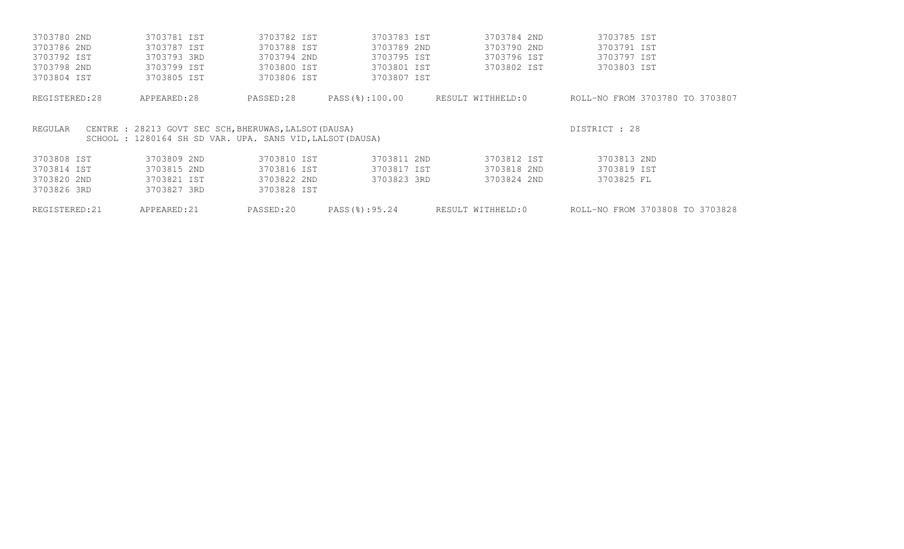| 3703780 2ND    | 3703781 IST                                                                                                        | 3703782 IST | 3703783 IST    | 3703784 2ND       | 3703785 IST                     |
|----------------|--------------------------------------------------------------------------------------------------------------------|-------------|----------------|-------------------|---------------------------------|
| 3703786 2ND    | 3703787 IST                                                                                                        | 3703788 IST | 3703789 2ND    | 3703790 2ND       | 3703791 IST                     |
| 3703792 IST    | 3703793 3RD                                                                                                        | 3703794 2ND | 3703795 IST    | 3703796 IST       | 3703797 IST                     |
| 3703798 2ND    | 3703799 IST                                                                                                        | 3703800 IST | 3703801 IST    | 3703802 IST       | 3703803 IST                     |
| 3703804 IST    | 3703805 IST                                                                                                        | 3703806 IST | 3703807 IST    |                   |                                 |
| REGISTERED: 28 | APPEARED:28                                                                                                        | PASSED:28   | PASS(%):100.00 | RESULT WITHHELD:0 | ROLL-NO FROM 3703780 TO 3703807 |
| REGULAR        | CENTRE : 28213 GOVT SEC SCH, BHERUWAS, LALSOT (DAUSA)<br>SCHOOL : 1280164 SH SD VAR. UPA. SANS VID, LALSOT (DAUSA) |             |                |                   | DISTRICT : 28                   |
| 3703808 IST    | 3703809 2ND                                                                                                        | 3703810 IST | 3703811 2ND    | 3703812 IST       | 3703813 2ND                     |
| 3703814 IST    | 3703815 2ND                                                                                                        | 3703816 IST | 3703817 IST    | 3703818 2ND       | 3703819 IST                     |
| 3703820 2ND    | 3703821 IST                                                                                                        | 3703822 2ND | 3703823 3RD    | 3703824 2ND       | 3703825 FL                      |
| 3703826 3RD    | 3703827 3RD                                                                                                        | 3703828 IST |                |                   |                                 |
| REGISTERED: 21 | APPEARED: 21                                                                                                       | PASSED:20   | PASS(%):95.24  | RESULT WITHHELD:0 | ROLL-NO FROM 3703808 TO 3703828 |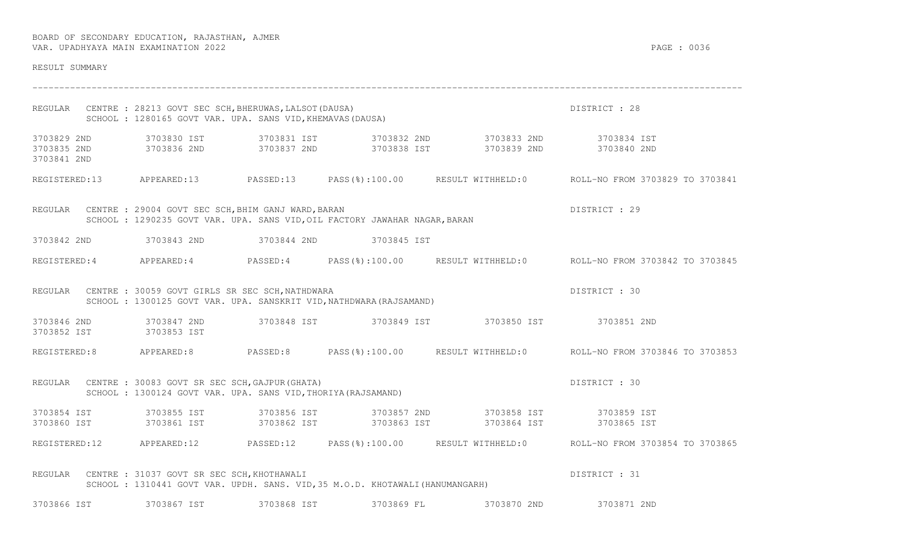| RESULT SUMMARY                            |                                                                                                                                          |             |             |                                                                                                                                        |                                                                                                      |
|-------------------------------------------|------------------------------------------------------------------------------------------------------------------------------------------|-------------|-------------|----------------------------------------------------------------------------------------------------------------------------------------|------------------------------------------------------------------------------------------------------|
|                                           | REGULAR CENTRE : 28213 GOVT SEC SCH, BHERUWAS, LALSOT (DAUSA)<br>SCHOOL: 1280165 GOVT VAR. UPA. SANS VID, KHEMAVAS (DAUSA)               |             |             |                                                                                                                                        | DISTRICT : 28                                                                                        |
| 3703829 2ND<br>3703835 2ND<br>3703841 2ND |                                                                                                                                          |             |             |                                                                                                                                        |                                                                                                      |
|                                           |                                                                                                                                          |             |             |                                                                                                                                        | REGISTERED:13 APPEARED:13 PASSED:13 PASS(%):100.00 RESULT WITHHELD:0 ROLL-NO FROM 3703829 TO 3703841 |
|                                           | REGULAR CENTRE : 29004 GOVT SEC SCH, BHIM GANJ WARD, BARAN<br>SCHOOL : 1290235 GOVT VAR. UPA. SANS VID, OIL FACTORY JAWAHAR NAGAR, BARAN |             |             |                                                                                                                                        | DISTRICT : 29                                                                                        |
|                                           | 3703842 2ND 3703843 2ND 3703844 2ND                                                                                                      |             | 3703845 IST |                                                                                                                                        |                                                                                                      |
|                                           |                                                                                                                                          |             |             |                                                                                                                                        | REGISTERED:4 APPEARED:4 PASSED:4 PASS(%):100.00 RESULT WITHHELD:0 ROLL-NO FROM 3703842 TO 3703845    |
|                                           | REGULAR CENTRE : 30059 GOVT GIRLS SR SEC SCH, NATHDWARA<br>SCHOOL: 1300125 GOVT VAR. UPA. SANSKRIT VID, NATHDWARA (RAJSAMAND)            |             |             |                                                                                                                                        | DISTRICT : 30                                                                                        |
| 3703846 2ND<br>3703852 IST 3703853 IST    | 3703847 2ND                                                                                                                              |             |             |                                                                                                                                        |                                                                                                      |
|                                           | REGISTERED:8 APPEARED:8 PASSED:8                                                                                                         |             |             |                                                                                                                                        | PASS(%):100.00 RESULT WITHHELD:0 ROLL-NO FROM 3703846 TO 3703853                                     |
|                                           | REGULAR CENTRE : 30083 GOVT SR SEC SCH, GAJPUR (GHATA)<br>SCHOOL: 1300124 GOVT VAR. UPA. SANS VID, THORIYA (RAJSAMAND)                   |             |             |                                                                                                                                        | DISTRICT : 30                                                                                        |
|                                           |                                                                                                                                          |             |             | 3703854 IST 3703855 IST 3703856 IST 3703857 2ND 3703858 IST 3703859 IST<br>3703860 IST 3703861 IST 3703862 IST 3703863 IST 3703864 IST | 3703865 IST                                                                                          |
|                                           |                                                                                                                                          |             |             |                                                                                                                                        | REGISTERED:12 APPEARED:12 PASSED:12 PASS(%):100.00 RESULT WITHHELD:0 ROLL-NO FROM 3703854 TO 3703865 |
|                                           | REGULAR CENTRE : 31037 GOVT SR SEC SCH, KHOTHAWALI<br>SCHOOL : 1310441 GOVT VAR. UPDH. SANS. VID, 35 M.O.D. KHOTAWALI (HANUMANGARH)      |             |             |                                                                                                                                        | DISTRICT : 31                                                                                        |
| 3703866 IST                               | 3703867 IST                                                                                                                              | 3703868 IST | 3703869 FL  | 3703870 2ND                                                                                                                            | 3703871 2ND                                                                                          |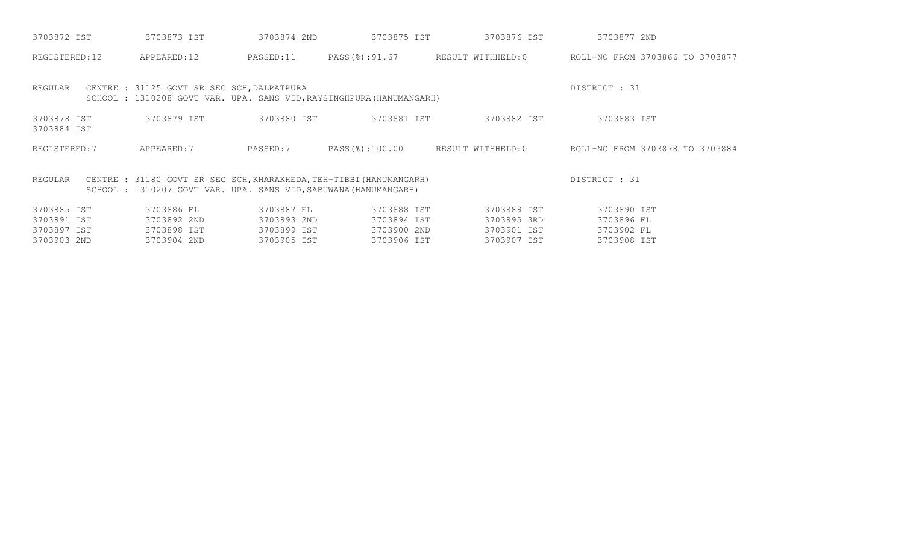| 3703872 IST                | 3703873 IST                                                                                                                            | 3703874 2ND | 3703875 IST | 3703876 IST                      | 3703877 2ND                                                     |
|----------------------------|----------------------------------------------------------------------------------------------------------------------------------------|-------------|-------------|----------------------------------|-----------------------------------------------------------------|
| REGISTERED:12              | APPEARED:12                                                                                                                            | PASSED:11   |             |                                  | PASS(%):91.67 RESULT WITHHELD:0 ROLL-NO FROM 3703866 TO 3703877 |
| REGULAR                    | CENTRE : 31125 GOVT SR SEC SCH, DALPATPURA<br>SCHOOL: 1310208 GOVT VAR. UPA. SANS VID, RAYSINGHPURA (HANUMANGARH)                      |             |             |                                  | DISTRICT : 31                                                   |
| 3703878 IST<br>3703884 IST | 3703879 IST                                                                                                                            | 3703880 IST | 3703881 IST | 3703882 IST                      | 3703883 IST                                                     |
| REGISTERED: 7              | APPEARED:7                                                                                                                             | PASSED:7    |             | PASS(%):100.00 RESULT WITHHELD:0 | ROLL-NO FROM 3703878 TO 3703884                                 |
| REGULAR                    | CENTRE : 31180 GOVT SR SEC SCH, KHARAKHEDA, TEH-TIBBI (HANUMANGARH)<br>SCHOOL: 1310207 GOVT VAR. UPA. SANS VID, SABUWANA (HANUMANGARH) |             |             |                                  | DISTRICT : 31                                                   |
| 3703885 IST                | 3703886 FL                                                                                                                             | 3703887 FL  | 3703888 IST | 3703889 IST                      | 3703890 IST                                                     |
| 3703891 IST                | 3703892 2ND                                                                                                                            | 3703893 2ND | 3703894 IST | 3703895 3RD                      | 3703896 FL                                                      |
| 3703897 IST                | 3703898 IST                                                                                                                            | 3703899 IST | 3703900 2ND | 3703901 IST                      | 3703902 FL                                                      |
| 3703903 2ND                | 3703904 2ND                                                                                                                            | 3703905 IST | 3703906 IST | 3703907 IST                      | 3703908 IST                                                     |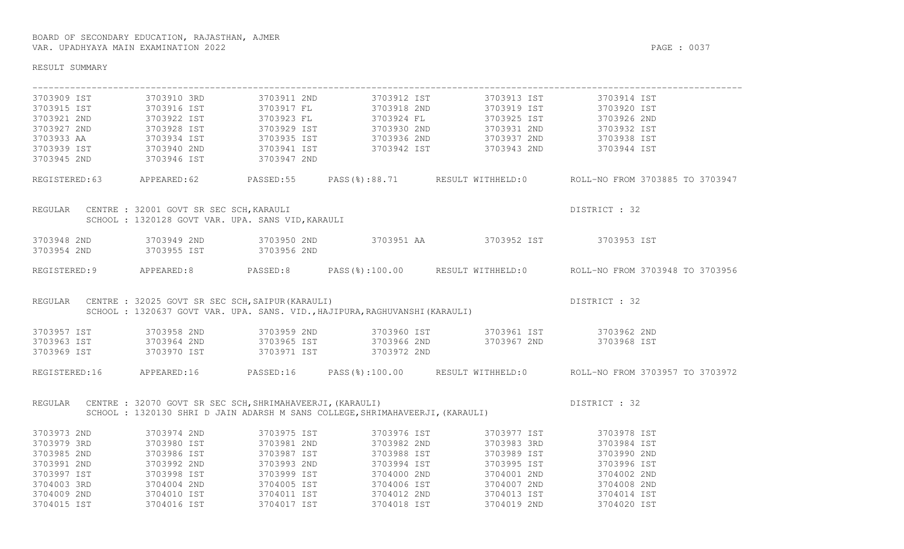| RESULT SUMMARY                                                                                                                                                      |                                                                         |                            |                                                                             |                                                                                              |                                                                                                       |  |  |  |
|---------------------------------------------------------------------------------------------------------------------------------------------------------------------|-------------------------------------------------------------------------|----------------------------|-----------------------------------------------------------------------------|----------------------------------------------------------------------------------------------|-------------------------------------------------------------------------------------------------------|--|--|--|
| 3703909 IST                                                                                                                                                         | 3703910 3RD                                                             | 3703911 2ND                |                                                                             | 3703912 IST 3703913 IST                                                                      | 3703914 IST                                                                                           |  |  |  |
| 3703915 IST                                                                                                                                                         | 3703916 IST                                                             | 3703917 FL                 |                                                                             | 3703918 2ND 3703919 IST                                                                      | 3703920 IST                                                                                           |  |  |  |
| 3703921 2ND                                                                                                                                                         |                                                                         |                            |                                                                             |                                                                                              |                                                                                                       |  |  |  |
| 3703927 2ND                                                                                                                                                         |                                                                         |                            |                                                                             |                                                                                              |                                                                                                       |  |  |  |
| 3703933 AA                                                                                                                                                          |                                                                         |                            |                                                                             |                                                                                              |                                                                                                       |  |  |  |
| 3703939 IST                                                                                                                                                         |                                                                         |                            |                                                                             | 3703941 IST 3703942 IST 3703943 2ND 3703944 IST                                              |                                                                                                       |  |  |  |
| 3703945 2ND                                                                                                                                                         | 3703922 IST<br>3703928 IST<br>3703934 IST<br>3703940 2ND<br>3703946 IST | 3703947 2ND                |                                                                             |                                                                                              |                                                                                                       |  |  |  |
|                                                                                                                                                                     |                                                                         |                            |                                                                             |                                                                                              | REGISTERED:63 APPEARED:62 PASSED:55 PASS(%):88.71 RESULT WITHHELD:0 ROLL-NO FROM 3703885 TO 3703947   |  |  |  |
|                                                                                                                                                                     | REGULAR CENTRE : 32001 GOVT SR SEC SCH, KARAULI                         |                            |                                                                             | CENTRE : 32001 GOVT SR SEC SCH, KARAULI<br>SCHOOL : 1320128 GOVT VAR. UPA. SANS VID, KARAULI | DISTRICT : 32                                                                                         |  |  |  |
|                                                                                                                                                                     |                                                                         |                            |                                                                             |                                                                                              |                                                                                                       |  |  |  |
|                                                                                                                                                                     |                                                                         |                            |                                                                             |                                                                                              |                                                                                                       |  |  |  |
|                                                                                                                                                                     |                                                                         |                            |                                                                             |                                                                                              |                                                                                                       |  |  |  |
|                                                                                                                                                                     |                                                                         |                            |                                                                             |                                                                                              | REGISTERED: 9 APPEARED: 8 PASSED: 8 PASS(%):100.00 RESULT WITHHELD: 0 ROLL-NO FROM 3703948 TO 3703956 |  |  |  |
|                                                                                                                                                                     | REGULAR CENTRE : 32025 GOVT SR SEC SCH, SAIPUR (KARAULI)                | DISTRICT : 32              |                                                                             |                                                                                              |                                                                                                       |  |  |  |
|                                                                                                                                                                     |                                                                         |                            | SCHOOL : 1320637 GOVT VAR. UPA. SANS. VID., HAJIPURA, RAGHUVANSHI (KARAULI) |                                                                                              |                                                                                                       |  |  |  |
|                                                                                                                                                                     |                                                                         |                            |                                                                             | 3703957 IST 3703958 2ND 3703959 2ND 3703960 IST 3703961 IST 3703961 IST 3703962 2ND          |                                                                                                       |  |  |  |
|                                                                                                                                                                     |                                                                         |                            |                                                                             | 3703963 IST 3703964 2ND 3703965 IST 3703966 2ND 3703967 2ND 3703968 IST                      |                                                                                                       |  |  |  |
| 3703969 IST                                                                                                                                                         |                                                                         |                            | 3703970 IST 3703971 IST 3703972 2ND                                         |                                                                                              |                                                                                                       |  |  |  |
|                                                                                                                                                                     |                                                                         |                            |                                                                             |                                                                                              | REGISTERED:16 APPEARED:16 PASSED:16 PASS(%):100.00 RESULT WITHHELD:0 ROLL-NO FROM 3703957 TO 3703972  |  |  |  |
| REGULAR CENTRE : 32070 GOVT SR SEC SCH, SHRIMAHAVEERJI, (KARAULI)<br>DISTRICT : 32<br>SCHOOL : 1320130 SHRI D JAIN ADARSH M SANS COLLEGE, SHRIMAHAVEERJI, (KARAULI) |                                                                         |                            |                                                                             |                                                                                              |                                                                                                       |  |  |  |
| 3703973 2ND                                                                                                                                                         | 3703974 2ND                                                             | 3703975 IST                |                                                                             | 3703976 IST 3703977 IST                                                                      | 3703978 IST                                                                                           |  |  |  |
| 3703979 3RD                                                                                                                                                         | 3703980 IST                                                             | 3703981 2ND<br>3703987 IST | 3703982 2ND<br>3703988 IST                                                  | 3703983 3RD                                                                                  | 3703984 IST                                                                                           |  |  |  |
| 3703985 2ND                                                                                                                                                         | 3703986 IST                                                             |                            | 3703988 IST                                                                 | 3703989 IST                                                                                  | 3703990 2ND                                                                                           |  |  |  |
| 3703991 2ND                                                                                                                                                         | 3703992 2ND                                                             | 3703993 2ND                | 3703994 IST                                                                 | 3703995 IST                                                                                  | 3703996 IST                                                                                           |  |  |  |
| 3703997 IST                                                                                                                                                         | 3703998 IST                                                             | 3703999 IST                | 3704000 2ND                                                                 | 3704001 2ND                                                                                  | 3704002 2ND                                                                                           |  |  |  |
| 3704003 3RD                                                                                                                                                         | 3704004 2ND                                                             | 3704005 IST                |                                                                             |                                                                                              |                                                                                                       |  |  |  |
| 3704009 2ND                                                                                                                                                         | 3704010 IST                                                             | 3704011 IST                | 3704012 2ND                                                                 |                                                                                              |                                                                                                       |  |  |  |

3704015 IST 3704016 IST 3704017 IST 3704018 IST 3704019 2ND 3704020 IST